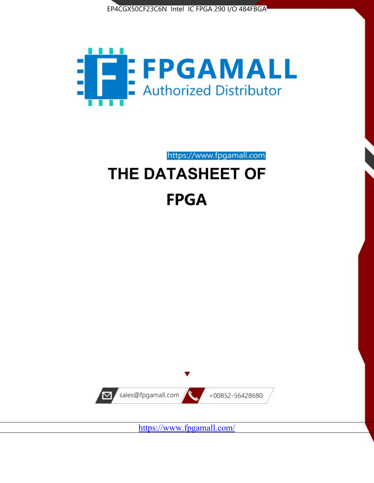



https://www.fpgamall.com THE DATASHEET OF

# **FPGA**



<https://www.fpgamall.com/>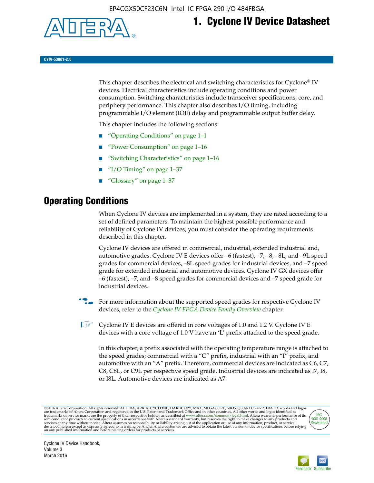

## **1. Cyclone IV Device Datasheet**

**CYIV-53001-2.0**

This chapter describes the electrical and switching characteristics for Cyclone<sup>®</sup> IV devices. Electrical characteristics include operating conditions and power consumption. Switching characteristics include transceiver specifications, core, and periphery performance. This chapter also describes I/O timing, including programmable I/O element (IOE) delay and programmable output buffer delay.

This chapter includes the following sections:

- "Operating Conditions" on page 1–1
- "Power Consumption" on page 1–16
- "Switching Characteristics" on page 1–16
- " $I/O$  Timing" on page  $1-37$
- "Glossary" on page 1–37

## **Operating Conditions**

When Cyclone IV devices are implemented in a system, they are rated according to a set of defined parameters. To maintain the highest possible performance and reliability of Cyclone IV devices, you must consider the operating requirements described in this chapter.

Cyclone IV devices are offered in commercial, industrial, extended industrial and, automotive grades. Cyclone IV E devices offer –6 (fastest), –7, –8, –8L, and –9L speed grades for commercial devices, –8L speed grades for industrial devices, and –7 speed grade for extended industrial and automotive devices. Cyclone IV GX devices offer –6 (fastest), –7, and –8 speed grades for commercial devices and –7 speed grade for industrial devices.

**For more information about the supported speed grades for respective Cyclone IV** devices, refer to the *[Cyclone IV FPGA Device Family Overview](http://www.altera.com/literature/hb/cyclone-iv/cyiv-51001.pdf)* chapter.

**1** Cyclone IV E devices are offered in core voltages of 1.0 and 1.2 V. Cyclone IV E devices with a core voltage of 1.0 V have an 'L' prefix attached to the speed grade.

In this chapter, a prefix associated with the operating temperature range is attached to the speed grades; commercial with a "C" prefix, industrial with an "I" prefix, and automotive with an "A" prefix. Therefore, commercial devices are indicated as C6, C7, C8, C8L, or C9L per respective speed grade. Industrial devices are indicated as I7, I8, or I8L. Automotive devices are indicated as A7.

@2016 Altera Corporation. All rights reserved. ALTERA, ARRIA, CYCLONE, HARDCOPY, MAX, MEGACORE, NIOS, QUARTUS and STRATIX words and logos are trademarks of Altera Corporation and registered in the U.S. Patent and Trademark



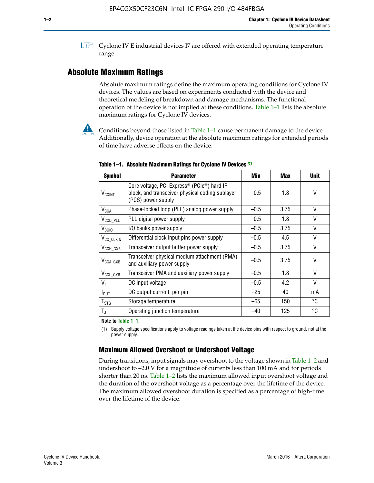**1 Cyclone IV E industrial devices I7 are offered with extended operating temperature** range.

## **Absolute Maximum Ratings**

Absolute maximum ratings define the maximum operating conditions for Cyclone IV devices. The values are based on experiments conducted with the device and theoretical modeling of breakdown and damage mechanisms. The functional operation of the device is not implied at these conditions. Table 1–1 lists the absolute maximum ratings for Cyclone IV devices.



Conditions beyond those listed in Table  $1-1$  cause permanent damage to the device. Additionally, device operation at the absolute maximum ratings for extended periods of time have adverse effects on the device.

| <b>Symbol</b>              | <b>Parameter</b>                                                                                                                             | Min    | <b>Max</b> | <b>Unit</b> |
|----------------------------|----------------------------------------------------------------------------------------------------------------------------------------------|--------|------------|-------------|
| <b>V<sub>CCINT</sub></b>   | Core voltage, PCI Express <sup>®</sup> (PCIe <sup>®</sup> ) hard IP<br>block, and transceiver physical coding sublayer<br>(PCS) power supply | $-0.5$ | 1.8        | V           |
| $V_{CCA}$                  | Phase-locked loop (PLL) analog power supply                                                                                                  | $-0.5$ | 3.75       | V           |
| $V_{\text{CCD\_PLL}}$      | PLL digital power supply                                                                                                                     | $-0.5$ | 1.8        | V           |
| V <sub>CCIO</sub>          | I/O banks power supply                                                                                                                       | $-0.5$ | 3.75       | V           |
| V <sub>CC_CLKIN</sub>      | Differential clock input pins power supply                                                                                                   | $-0.5$ | 4.5        | V           |
| $V_{\text{CCH_GXB}}$       | Transceiver output buffer power supply                                                                                                       | $-0.5$ | 3.75       | V           |
| $V_{\text{CCA\_GXB}}$      | Transceiver physical medium attachment (PMA)<br>and auxiliary power supply                                                                   | $-0.5$ | 3.75       | V           |
| $V_{CCL_GXB}$              | Transceiver PMA and auxiliary power supply                                                                                                   | $-0.5$ | 1.8        | $\vee$      |
| $V_{1}$                    | DC input voltage                                                                                                                             | $-0.5$ | 4.2        | V           |
| $I_{\text{OUT}}$           | DC output current, per pin                                                                                                                   | $-25$  | 40         | mA          |
| ${\mathsf T}_{\text{STG}}$ | Storage temperature                                                                                                                          | -65    | 150        | °C          |
| $T_{\rm J}$                | Operating junction temperature                                                                                                               | $-40$  | 125        | °C          |

**Table 1–1. Absolute Maximum Ratings for Cyclone IV Devices** *(1)*

**Note to Table 1–1:**

(1) Supply voltage specifications apply to voltage readings taken at the device pins with respect to ground, not at the power supply.

## **Maximum Allowed Overshoot or Undershoot Voltage**

During transitions, input signals may overshoot to the voltage shown in Table 1–2 and undershoot to –2.0 V for a magnitude of currents less than 100 mA and for periods shorter than 20 ns. Table 1–2 lists the maximum allowed input overshoot voltage and the duration of the overshoot voltage as a percentage over the lifetime of the device. The maximum allowed overshoot duration is specified as a percentage of high-time over the lifetime of the device.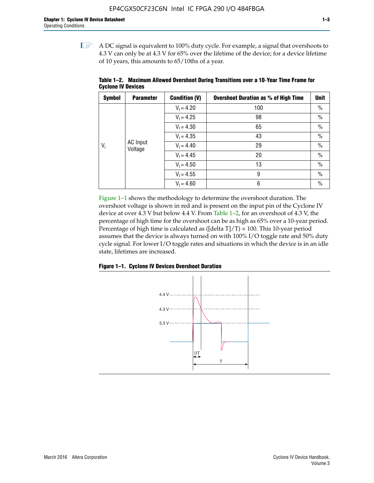$\mathbb{I}$  A DC signal is equivalent to 100% duty cycle. For example, a signal that overshoots to 4.3 V can only be at 4.3 V for 65% over the lifetime of the device; for a device lifetime of 10 years, this amounts to 65/10ths of a year.

| <b>Symbol</b> | <b>Parameter</b>    | <b>Condition (V)</b> | <b>Overshoot Duration as % of High Time</b> | <b>Unit</b>   |              |    |      |
|---------------|---------------------|----------------------|---------------------------------------------|---------------|--------------|----|------|
|               |                     | $V_1 = 4.20$         | 100                                         | $\%$          |              |    |      |
|               |                     | $V_1 = 4.25$         | 98                                          | $\frac{0}{0}$ |              |    |      |
|               | AC Input<br>Voltage | $V_1 = 4.30$         | 65                                          | $\frac{0}{0}$ |              |    |      |
|               |                     | $V_1 = 4.35$         | 43                                          | $\%$          |              |    |      |
| $V_i$         |                     |                      |                                             |               | $V_1 = 4.40$ | 29 | $\%$ |
|               |                     | $V_1 = 4.45$         | 20                                          | $\%$          |              |    |      |
|               |                     | $V_1 = 4.50$         | 13                                          | $\%$          |              |    |      |
|               |                     | $V_1 = 4.55$         | 9                                           | $\%$          |              |    |      |
|               |                     | $V_1 = 4.60$         | 6                                           | $\frac{0}{0}$ |              |    |      |

**Table 1–2. Maximum Allowed Overshoot During Transitions over a 10**-**Year Time Frame for Cyclone IV Devices**

Figure 1–1 shows the methodology to determine the overshoot duration. The overshoot voltage is shown in red and is present on the input pin of the Cyclone IV device at over 4.3 V but below 4.4 V. From Table 1–2, for an overshoot of 4.3 V, the percentage of high time for the overshoot can be as high as 65% over a 10-year period. Percentage of high time is calculated as ([delta  $T$ ]/T)  $\times$  100. This 10-year period assumes that the device is always turned on with 100% I/O toggle rate and 50% duty cycle signal. For lower I/O toggle rates and situations in which the device is in an idle state, lifetimes are increased.



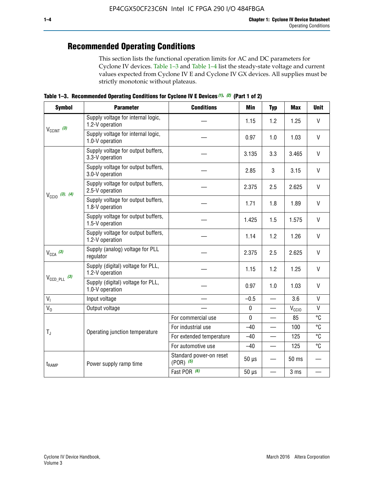## **Recommended Operating Conditions**

This section lists the functional operation limits for AC and DC parameters for Cyclone IV devices. Table 1–3 and Table 1–4 list the steady-state voltage and current values expected from Cyclone IV E and Cyclone IV GX devices. All supplies must be strictly monotonic without plateaus.

**Table 1–3. Recommended Operating Conditions for Cyclone IV E Devices** *(1)***,** *(2)* **(Part 1 of 2)**

| <b>Symbol</b>              | <b>Parameter</b>                                      | <b>Conditions</b>                        | <b>Min</b>                                                                                                                                                                                                                                                                            | <b>Typ</b> | <b>Max</b>                                                                                                                                                                                                                                                                                                                                        | <b>Unit</b> |  |  |  |
|----------------------------|-------------------------------------------------------|------------------------------------------|---------------------------------------------------------------------------------------------------------------------------------------------------------------------------------------------------------------------------------------------------------------------------------------|------------|---------------------------------------------------------------------------------------------------------------------------------------------------------------------------------------------------------------------------------------------------------------------------------------------------------------------------------------------------|-------------|--|--|--|
|                            | Supply voltage for internal logic,<br>1.2-V operation |                                          | 1.15                                                                                                                                                                                                                                                                                  | 1.2        | $\mathsf{V}$<br>1.25<br>$\mathsf{V}$<br>1.03<br>$\vee$<br>3.465<br>$\vee$<br>3.15<br>$\vee$<br>2.625<br>$\vee$<br>1.89<br>$\vee$<br>1.575<br>$\mathsf{V}$<br>1.26<br>$\vee$<br>2.625<br>$\vee$<br>1.25<br>$\vee$<br>1.03<br>$\mathsf{V}$<br>3.6<br>$\mathsf{V}$<br>$V_{CCIO}$<br>°C<br>85<br>°C<br>100<br>°C<br>125<br>°C<br>125<br>50 ms<br>3 ms |             |  |  |  |
| $V_{CClNT}$ (3)            | Supply voltage for internal logic,<br>1.0-V operation |                                          | 0.97                                                                                                                                                                                                                                                                                  | 1.0        |                                                                                                                                                                                                                                                                                                                                                   |             |  |  |  |
|                            | Supply voltage for output buffers,<br>3.3-V operation |                                          | 3.135                                                                                                                                                                                                                                                                                 | 3.3        |                                                                                                                                                                                                                                                                                                                                                   |             |  |  |  |
|                            | Supply voltage for output buffers,<br>3.0-V operation |                                          | 2.85                                                                                                                                                                                                                                                                                  | 3          |                                                                                                                                                                                                                                                                                                                                                   |             |  |  |  |
| $V_{\text{CC10}}$ (3), (4) | Supply voltage for output buffers,<br>2.5-V operation |                                          | 2.375<br>2.5<br>1.8<br>1.71<br>1.425<br>1.5<br>1.2<br>1.14<br>2.375<br>2.5<br>1.15<br>1.2<br>0.97<br>1.0<br>$-0.5$<br>$\overline{\phantom{0}}$<br>$\pmb{0}$<br>—<br>$\mathbf 0$<br>$-40$<br>$-40$<br>$-40$<br>$\qquad \qquad$<br>$50 \mu s$<br>$50 \mu s$<br>$\overline{\phantom{0}}$ |            |                                                                                                                                                                                                                                                                                                                                                   |             |  |  |  |
|                            | Supply voltage for output buffers,<br>1.8-V operation |                                          |                                                                                                                                                                                                                                                                                       |            |                                                                                                                                                                                                                                                                                                                                                   |             |  |  |  |
|                            | Supply voltage for output buffers,<br>1.5-V operation |                                          |                                                                                                                                                                                                                                                                                       |            |                                                                                                                                                                                                                                                                                                                                                   |             |  |  |  |
|                            | Supply voltage for output buffers,<br>1.2-V operation |                                          |                                                                                                                                                                                                                                                                                       |            |                                                                                                                                                                                                                                                                                                                                                   |             |  |  |  |
| $V_{CCA}$ (3)              | Supply (analog) voltage for PLL<br>regulator          |                                          |                                                                                                                                                                                                                                                                                       |            |                                                                                                                                                                                                                                                                                                                                                   |             |  |  |  |
|                            | Supply (digital) voltage for PLL,<br>1.2-V operation  |                                          |                                                                                                                                                                                                                                                                                       |            |                                                                                                                                                                                                                                                                                                                                                   |             |  |  |  |
| $V_{\text{CCD\_PLL}}$ (3)  | Supply (digital) voltage for PLL,<br>1.0-V operation  |                                          |                                                                                                                                                                                                                                                                                       |            |                                                                                                                                                                                                                                                                                                                                                   |             |  |  |  |
| V <sub>1</sub>             | Input voltage                                         |                                          |                                                                                                                                                                                                                                                                                       |            |                                                                                                                                                                                                                                                                                                                                                   |             |  |  |  |
| $V_0$                      | Output voltage                                        |                                          |                                                                                                                                                                                                                                                                                       |            |                                                                                                                                                                                                                                                                                                                                                   |             |  |  |  |
|                            |                                                       | For commercial use                       |                                                                                                                                                                                                                                                                                       |            |                                                                                                                                                                                                                                                                                                                                                   |             |  |  |  |
| $T_{\rm J}$                | Operating junction temperature                        | For industrial use                       |                                                                                                                                                                                                                                                                                       |            |                                                                                                                                                                                                                                                                                                                                                   |             |  |  |  |
|                            |                                                       | For extended temperature                 |                                                                                                                                                                                                                                                                                       |            |                                                                                                                                                                                                                                                                                                                                                   |             |  |  |  |
|                            |                                                       | For automotive use                       |                                                                                                                                                                                                                                                                                       |            |                                                                                                                                                                                                                                                                                                                                                   |             |  |  |  |
| $t_{\rm{RAMP}}$            | Power supply ramp time                                | Standard power-on reset<br>$(POR)$ $(5)$ |                                                                                                                                                                                                                                                                                       |            |                                                                                                                                                                                                                                                                                                                                                   |             |  |  |  |
|                            |                                                       | Fast POR (6)                             |                                                                                                                                                                                                                                                                                       |            |                                                                                                                                                                                                                                                                                                                                                   |             |  |  |  |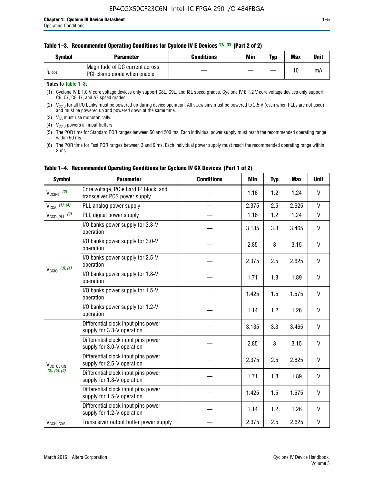### **Table 1–3. Recommended Operating Conditions for Cyclone IV E Devices** *(1)***,** *(2)* **(Part 2 of 2)**

| Svmbol             | <b>Parameter</b>                                              | <b>Conditions</b> | Min | Typ | <b>Max</b> | Unit |
|--------------------|---------------------------------------------------------------|-------------------|-----|-----|------------|------|
| <sup>I</sup> Diode | Magnitude of DC current across<br>PCI-clamp diode when enable |                   |     |     | 10         | mA   |

### **Notes to Table 1–3:**

(1) Cyclone IV E 1.0 V core voltage devices only support C8L, C9L, and I8L speed grades. Cyclone IV E 1.2 V core voltage devices only support C6, C7, C8, I7, and A7 speed grades.

(2)  $V_{CCIO}$  for all I/O banks must be powered up during device operation. All vcca pins must be powered to 2.5 V (even when PLLs are not used) and must be powered up and powered down at the same time.

(3)  $V_{CC}$  must rise monotonically.

(4)  $V_{\text{CCIO}}$  powers all input buffers.

(5) The POR time for Standard POR ranges between 50 and 200 ms. Each individual power supply must reach the recommended operating range within 50 ms.

(6) The POR time for Fast POR ranges between 3 and 9 ms. Each individual power supply must reach the recommended operating range within 3 ms.

| <b>Symbol</b>                | <b>Parameter</b>                                                      | <b>Conditions</b>                                                                 | <b>Min</b> | <b>Typ</b> | <b>Max</b> | <b>Unit</b>                     |  |  |  |  |  |  |  |
|------------------------------|-----------------------------------------------------------------------|-----------------------------------------------------------------------------------|------------|------------|------------|---------------------------------|--|--|--|--|--|--|--|
| $V_{CClNT}$ (3)              | Core voltage, PCIe hard IP block, and<br>transceiver PCS power supply |                                                                                   | 1.16       | 1.2        | 1.24       | V                               |  |  |  |  |  |  |  |
| $V_{CCA}$ (1), (3)           | PLL analog power supply                                               |                                                                                   | 2.375      | 2.5        | 2.625      | V<br>V<br>V<br>V<br>V<br>V<br>V |  |  |  |  |  |  |  |
| $V_{CCD\ PLL}$ (2)           | PLL digital power supply                                              |                                                                                   | 1.16       | 1.2        | 1.24       |                                 |  |  |  |  |  |  |  |
|                              | I/O banks power supply for 3.3-V<br>operation                         |                                                                                   | 3.135      | 3.3        | 3.465      |                                 |  |  |  |  |  |  |  |
|                              | I/O banks power supply for 3.0-V<br>operation                         |                                                                                   | 2.85       | 3          | 3.15       |                                 |  |  |  |  |  |  |  |
| $V_{\text{CC10}}$ (3), (4)   | I/O banks power supply for 2.5-V<br>operation                         | 2.375<br>1.71<br>1.425<br>1.14<br>3.135<br>2.85<br>2.375<br>1.71<br>1.425<br>1.14 | 2.5        | 2.625      |            |                                 |  |  |  |  |  |  |  |
|                              | I/O banks power supply for 1.8-V<br>operation                         |                                                                                   |            | 1.8        | 1.89       |                                 |  |  |  |  |  |  |  |
|                              | I/O banks power supply for 1.5-V<br>operation                         |                                                                                   |            | 1.5        | 1.575      |                                 |  |  |  |  |  |  |  |
|                              | I/O banks power supply for 1.2-V<br>operation                         |                                                                                   |            | 1.2        | 1.26       | V                               |  |  |  |  |  |  |  |
|                              | Differential clock input pins power<br>supply for 3.3-V operation     |                                                                                   |            | 3.3        | 3.465      | V                               |  |  |  |  |  |  |  |
|                              | Differential clock input pins power<br>supply for 3.0-V operation     |                                                                                   |            | 3          | 3.15       | $\mathsf{V}$                    |  |  |  |  |  |  |  |
| V <sub>CC_CLKIN</sub>        | Differential clock input pins power<br>supply for 2.5-V operation     |                                                                                   |            | 2.5        | 2.625      | V                               |  |  |  |  |  |  |  |
| (3), (5), (6)                | Differential clock input pins power<br>supply for 1.8-V operation     |                                                                                   |            | 1.8        | 1.89       | V                               |  |  |  |  |  |  |  |
|                              | Differential clock input pins power<br>supply for 1.5-V operation     |                                                                                   |            | 1.5        | 1.575      | V                               |  |  |  |  |  |  |  |
|                              | Differential clock input pins power<br>supply for 1.2-V operation     |                                                                                   |            | 1.2        | 1.26       | V                               |  |  |  |  |  |  |  |
| $V_{\text{CCH}\_\text{GXB}}$ | Transceiver output buffer power supply                                |                                                                                   | 2.375      | 2.5        | 2.625      | $\mathsf{V}$                    |  |  |  |  |  |  |  |

## **Table 1–4. Recommended Operating Conditions for Cyclone IV GX Devices (Part 1 of 2)**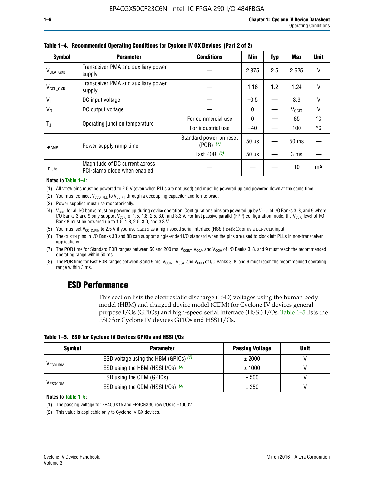| <b>Symbol</b>         | <b>Parameter</b>                                               | <b>Conditions</b>                        | Min          | <b>Typ</b> | Max               | <b>Unit</b> |
|-----------------------|----------------------------------------------------------------|------------------------------------------|--------------|------------|-------------------|-------------|
| $V_{\text{CCA\_GXB}}$ | Transceiver PMA and auxiliary power<br>supply                  |                                          | 2.375        | 2.5        | 2.625             | $\vee$      |
| $V_{\rm CCL\_GXB}$    | Transceiver PMA and auxiliary power<br>supply                  |                                          | 1.16         | 1.2        | 1.24              | V           |
| V <sub>1</sub>        | DC input voltage                                               |                                          | $-0.5$       |            | 3.6               | V           |
| $V_0$                 | DC output voltage                                              |                                          | $\mathbf{0}$ |            | V <sub>CCIO</sub> | V           |
| $T_{\rm J}$           | Operating junction temperature                                 | For commercial use                       | 0            |            | 85                | °C          |
|                       |                                                                | For industrial use                       | $-40$        |            | 100               | °C          |
| t <sub>RAMP</sub>     | Power supply ramp time                                         | Standard power-on reset<br>$(POR)$ $(7)$ | $50 \mu s$   |            | $50 \text{ ms}$   |             |
|                       |                                                                | Fast POR (8)                             | $50 \mu s$   |            | 3 <sub>ms</sub>   |             |
| <b>I</b> Diode        | Magnitude of DC current across<br>PCI-clamp diode when enabled |                                          |              |            | 10                | mA          |

**Table 1–4. Recommended Operating Conditions for Cyclone IV GX Devices (Part 2 of 2)**

#### **Notes to Table 1–4:**

- (1) All VCCA pins must be powered to 2.5 V (even when PLLs are not used) and must be powered up and powered down at the same time.
- (2) You must connect  $V_{CCD-PLL}$  to  $V_{CCINT}$  through a decoupling capacitor and ferrite bead.
- (3) Power supplies must rise monotonically.
- (4)  $V_{\text{CCIO}}$  for all I/O banks must be powered up during device operation. Configurations pins are powered up by V<sub>CCIO</sub> of I/O Banks 3, 8, and 9 where I/O Banks 3 and 9 only support V<sub>CCIO</sub> of 1.5, 1.8, 2.5, 3.0, and 3.3 V. For fast passive parallel (FPP) configuration mode, the V<sub>CCIO</sub> level of I/O<br>Bank 8 must be powered up to 1.5, 1.8, 2.5, 3.0, and 3.3 V.
- (5) You must set  $V_{CC_CCLKIN}$  to 2.5 V if you use CLKIN as a high-speed serial interface (HSSI) refclk or as a DIFFCLK input.
- (6) The CLKIN pins in I/O Banks 3B and 8B can support single-ended I/O standard when the pins are used to clock left PLLs in non-transceiver applications.
- (7) The POR time for Standard POR ranges between 50 and 200 ms.  $V_{\text{CCIA}}$ ,  $V_{\text{CCIA}}$ , and  $V_{\text{CCIO}}$  of I/O Banks 3, 8, and 9 must reach the recommended operating range within 50 ms.
- (8) The POR time for Fast POR ranges between 3 and 9 ms.  $V_{\text{CCH},T}$ ,  $V_{\text{CCA}}$ , and  $V_{\text{CCI}}$  of I/O Banks 3, 8, and 9 must reach the recommended operating range within 3 ms.

## **ESD Performance**

This section lists the electrostatic discharge (ESD) voltages using the human body model (HBM) and charged device model (CDM) for Cyclone IV devices general purpose I/Os (GPIOs) and high-speed serial interface (HSSI) I/Os. Table 1–5 lists the ESD for Cyclone IV devices GPIOs and HSSI I/Os.

|  |  |  |  | Table 1–5. ESD for Cyclone IV Devices GPIOs and HSSI I/Os |  |
|--|--|--|--|-----------------------------------------------------------|--|
|--|--|--|--|-----------------------------------------------------------|--|

| <b>Symbol</b>  | <b>Parameter</b>                      | <b>Passing Voltage</b> | <b>Unit</b> |
|----------------|---------------------------------------|------------------------|-------------|
|                | ESD voltage using the HBM (GPIOs) (1) | ± 2000<br>± 1000       |             |
| <b>VESDHBM</b> | ESD using the HBM (HSSI I/Os) (2)     |                        |             |
|                | ESD using the CDM (GPIOs)             | ± 500                  |             |
| <b>VESDCDM</b> | ESD using the CDM (HSSI I/Os) (2)     | ± 250                  |             |

#### **Notes to Table 1–5:**

(1) The passing voltage for EP4CGX15 and EP4CGX30 row I/Os is ±1000V.

(2) This value is applicable only to Cyclone IV GX devices.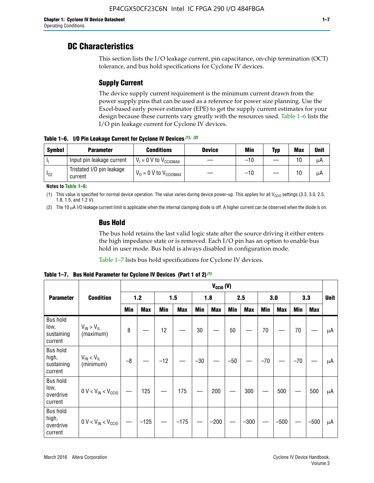## **DC Characteristics**

This section lists the I/O leakage current, pin capacitance, on-chip termination (OCT) tolerance, and bus hold specifications for Cyclone IV devices.

## **Supply Current**

The device supply current requirement is the minimum current drawn from the power supply pins that can be used as a reference for power size planning. Use the Excel-based early power estimator (EPE) to get the supply current estimates for your design because these currents vary greatly with the resources used. Table 1–6 lists the I/O pin leakage current for Cyclone IV devices.

**Table 1–6. I/O Pin Leakage Current for Cyclone IV Devices** *(1)***,** *(2)*

| <b>Symbol</b> | <b>Parameter</b>                     | <b>Conditions</b>                     | <b>Device</b> | Min   | Typ | <b>Max</b> | <b>Unit</b> |
|---------------|--------------------------------------|---------------------------------------|---------------|-------|-----|------------|-------------|
| -lı           | Input pin leakage current            | $V_1 = 0$ V to $V_{\text{CCIOMAX}}$   |               | $-10$ |     | 10         | μA          |
| $I_{0Z}$      | Tristated I/O pin leakage<br>current | $V_0 = 0 V$ to $V_{\text{CCIOMAX}}$ I |               | $-10$ |     | 10         | μA          |

**Notes to Table 1–6:**

(1) This value is specified for normal device operation. The value varies during device power-up. This applies for all V<sub>CCIO</sub> settings (3.3, 3.0, 2.5, 1.8, 1.5, and 1.2 V).

(2) The 10 µA I/O leakage current limit is applicable when the internal clamping diode is off. A higher current can be observed when the diode is on.

## **Bus Hold**

The bus hold retains the last valid logic state after the source driving it either enters the high impedance state or is removed. Each I/O pin has an option to enable bus hold in user mode. Bus hold is always disabled in configuration mode.

Table 1–7 lists bus hold specifications for Cyclone IV devices.

|                                                   |                                  |            | $V_{CClO}$ (V) |       |            |            |            |            |            |       |            |       |            |             |
|---------------------------------------------------|----------------------------------|------------|----------------|-------|------------|------------|------------|------------|------------|-------|------------|-------|------------|-------------|
| <b>Parameter</b>                                  | <b>Condition</b>                 | $1.2$      |                | 1.5   |            | 1.8        |            | 2.5        |            | 3.0   |            |       | 3.3        | <b>Unit</b> |
|                                                   |                                  | <b>Min</b> | <b>Max</b>     | Min   | <b>Max</b> | <b>Min</b> | <b>Max</b> | <b>Min</b> | <b>Max</b> | Min   | <b>Max</b> | Min   | <b>Max</b> |             |
| <b>Bus hold</b><br>low,<br>sustaining<br>current  | $V_{IN}$ > $V_{IL}$<br>(maximum) | 8          |                | 12    |            | $30\,$     |            | 50         |            | 70    |            | 70    |            | μA          |
| <b>Bus hold</b><br>high,<br>sustaining<br>current | $V_{IN}$ < $V_{IL}$<br>(minimum) | $-8$       |                | $-12$ |            | $-30$      |            | $-50$      |            | $-70$ |            | $-70$ |            | μA          |
| <b>Bus hold</b><br>low,<br>overdrive<br>current   | $0 V < V_{IN} < V_{CG10}$        |            | 125            |       | 175        |            | 200        |            | 300        |       | 500        |       | 500        | μA          |
| <b>Bus hold</b><br>high,<br>overdrive<br>current  | $0 V < V_{IN} < V_{CG10}$        |            | $-125$         |       | $-175$     |            | $-200$     |            | $-300$     |       | $-500$     |       | $-500$     | μA          |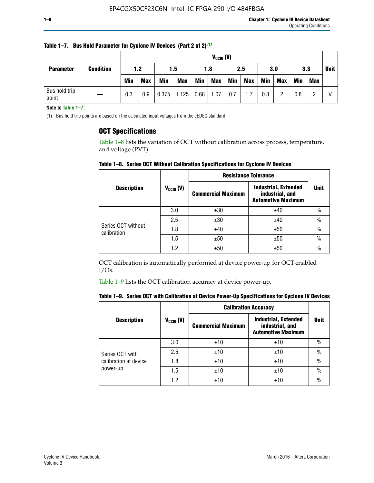|                  |                        | $V_{CGI0} (V)$ |            |            |            |            |      |            |     |            |            |            |            |            |  |
|------------------|------------------------|----------------|------------|------------|------------|------------|------|------------|-----|------------|------------|------------|------------|------------|--|
| <b>Parameter</b> | <b>Condition</b>       | 1.2            |            | 1.5        |            | 1.8        |      |            | 2.5 |            | 3.0        |            | 3.3        |            |  |
|                  |                        |                | <b>Min</b> | <b>Max</b> | <b>Min</b> | <b>Max</b> | Min  | <b>Max</b> | Min | <b>Max</b> | <b>Min</b> | <b>Max</b> | <b>Min</b> | <b>Max</b> |  |
|                  | Bus hold trip<br>point |                | 0.3        | 0.9        | 0.375      | 1.125      | 0.68 | 1.07       | 0.7 | 1.7        | 0.8        |            | 0.8        |            |  |

**Table 1–7. Bus Hold Parameter for Cyclone IV Devices (Part 2 of 2)** *(1)*

**Note to Table 1–7:**

(1) Bus hold trip points are based on the calculated input voltages from the JEDEC standard.

## **OCT Specifications**

Table 1–8 lists the variation of OCT without calibration across process, temperature, and voltage (PVT).

**Table 1–8. Series OCT Without Calibration Specifications for Cyclone IV Devices**

|                                   |                      | <b>Resistance Tolerance</b> |                                                                             |               |
|-----------------------------------|----------------------|-----------------------------|-----------------------------------------------------------------------------|---------------|
| <b>Description</b>                | $V_{\text{CCIO}}(V)$ | <b>Commercial Maximum</b>   | <b>Industrial, Extended</b><br>industrial, and<br><b>Automotive Maximum</b> | <b>Unit</b>   |
|                                   | 3.0                  | ±30                         | ±40                                                                         | $\frac{0}{0}$ |
|                                   | 2.5                  | ±30                         | ±40                                                                         | $\frac{0}{0}$ |
| Series OCT without<br>calibration | 1.8                  | ±40                         | ±50                                                                         | $\frac{0}{0}$ |
|                                   | 1.5                  | ±50                         | ±50                                                                         | $\frac{0}{0}$ |
|                                   | 1.2                  | ±50                         | ±50                                                                         | $\frac{0}{0}$ |

OCT calibration is automatically performed at device power-up for OCT-enabled I/Os.

Table 1–9 lists the OCT calibration accuracy at device power-up.

|  | Table 1–9.  Series OCT with Calibration at Device Power-Up Specifications for Cyclone IV Devices |  |  |  |
|--|--------------------------------------------------------------------------------------------------|--|--|--|
|--|--------------------------------------------------------------------------------------------------|--|--|--|

|                                   |                | <b>Calibration Accuracy</b> |                                                                             |               |
|-----------------------------------|----------------|-----------------------------|-----------------------------------------------------------------------------|---------------|
| <b>Description</b>                | $V_{CGI0} (V)$ | <b>Commercial Maximum</b>   | <b>Industrial, Extended</b><br>industrial, and<br><b>Automotive Maximum</b> | Unit          |
|                                   | 3.0            | ±10                         | ±10                                                                         | $\%$          |
| Series OCT with                   | 2.5            | ±10                         | ±10                                                                         | $\%$          |
| calibration at device<br>power-up | 1.8            | ±10                         | ±10                                                                         | $\frac{0}{0}$ |
|                                   | 1.5            | ±10                         | ±10                                                                         | $\frac{0}{0}$ |
|                                   | 1.2            | ±10                         | ±10                                                                         | $\frac{0}{0}$ |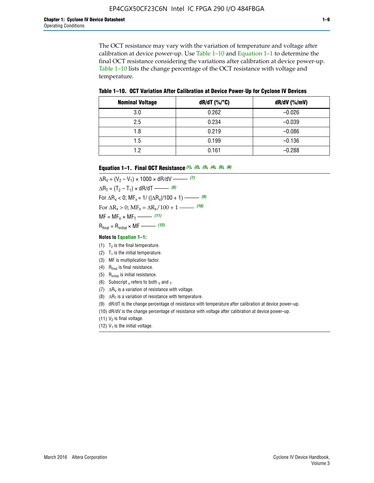The OCT resistance may vary with the variation of temperature and voltage after calibration at device power-up. Use Table 1–10 and Equation 1–1 to determine the final OCT resistance considering the variations after calibration at device power-up. Table 1–10 lists the change percentage of the OCT resistance with voltage and temperature.

**Table 1–10. OCT Variation After Calibration at Device Power**-**Up for Cyclone IV Devices**

| <b>Nominal Voltage</b> | $dR/dT$ (%/°C) | $dR/dV$ (%/mV) |
|------------------------|----------------|----------------|
| 3.0                    | 0.262          | $-0.026$       |
| 2.5                    | 0.234          | $-0.039$       |
| 1.8                    | 0.219          | $-0.086$       |
| 1.5                    | 0.199          | $-0.136$       |
| 1.2                    | 0.161          | $-0.288$       |

#### **Equation 1–1. Final OCT Resistance** *(1)***,** *(2)***,** *(3)***,** *(4)***,** *(5)***,** *(6)*

 $\Delta R_V = (V_2 - V_1) \times 1000 \times dR/dV$  ––––––––––––(7)  $\Delta R_T = (T_2 - T_1) \times dR/dT$  –––––––– *(8)* For  $\Delta R_x < 0$ ; MF<sub>x</sub> = 1/ ( $|\Delta R_x|/100 + 1$ ) –––––– (9) For  $\Delta R_x > 0$ ;  $\text{MF}_x = \Delta R_x / 100 + 1$  ——– (10)  $MF = MF_V \times MF_T$  –––––––––––(11) Rfinal = Rinitial × MF ––––– *(12)*

#### **Notes to Equation 1–1:**

- (1)  $T_2$  is the final temperature.
- (2)  $T_1$  is the initial temperature.
- (3) MF is multiplication factor.
- (4)  $R<sub>final</sub>$  is final resistance.
- (5) Rinitial is initial resistance.
- (6) Subscript x refers to both  $\sqrt{v}$  and  $\sqrt{v}$ .
- (7)  $\Delta R_V$  is a variation of resistance with voltage.
- (8)  $\Delta R_T$  is a variation of resistance with temperature.
- (9) dR/dT is the change percentage of resistance with temperature after calibration at device power-up.
- (10) dR/dV is the change percentage of resistance with voltage after calibration at device power-up.
- (11)  $V_2$  is final voltage.
- (12)  $V_1$  is the initial voltage.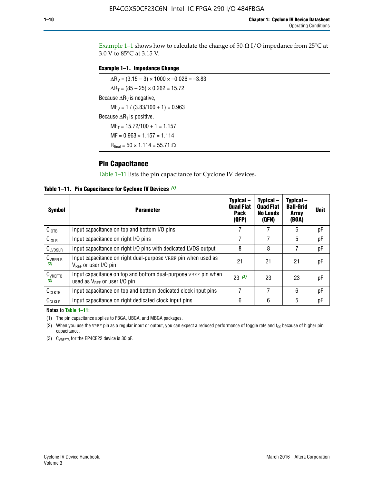Example 1-1 shows how to calculate the change of  $50$ - $\Omega$  I/O impedance from 25°C at 3.0 V to 85°C at 3.15 V.

### **Example 1–1. Impedance Change**

 $\Delta R_V = (3.15 - 3) \times 1000 \times -0.026 = -3.83$  $\Delta R_T = (85 - 25) \times 0.262 = 15.72$ Because  $\Delta R_V$  is negative,  $MF_V = 1 / (3.83/100 + 1) = 0.963$ Because  $\Delta R_T$  is positive,  $MF_T = 15.72/100 + 1 = 1.157$  $MF = 0.963 \times 1.157 = 1.114$  $R_{final} = 50 \times 1.114 = 55.71 \Omega$ 

## **Pin Capacitance**

Table 1–11 lists the pin capacitance for Cyclone IV devices.

**Table 1–11. Pin Capacitance for Cyclone IV Devices** *(1)*

| Symbol              | <b>Parameter</b>                                                                                           | Typical-<br><b>Quad Flat</b><br><b>Pack</b><br>(QFP) | Typical-<br><b>Quad Flat</b><br><b>No Leads</b><br>(QFN) | Typical-<br><b>Ball-Grid</b><br><b>Array</b><br>(BGA) | <b>Unit</b> |
|---------------------|------------------------------------------------------------------------------------------------------------|------------------------------------------------------|----------------------------------------------------------|-------------------------------------------------------|-------------|
| C <sub>IOTB</sub>   | Input capacitance on top and bottom I/O pins                                                               |                                                      |                                                          | 6                                                     | рF          |
| C <sub>IOLR</sub>   | Input capacitance on right I/O pins                                                                        |                                                      |                                                          | 5                                                     | рF          |
| $C_{LVDSLR}$        | Input capacitance on right I/O pins with dedicated LVDS output                                             | 8                                                    | 8                                                        |                                                       | рF          |
| $C_{VREFLR}$<br>(2) | Input capacitance on right dual-purpose VREF pin when used as<br>$V_{BFE}$ or user I/O pin                 | 21                                                   | 21                                                       | 21                                                    | pF          |
| $C_{VREFTB}$<br>(2) | Input capacitance on top and bottom dual-purpose VREF pin when<br>used as $V_{\text{RFF}}$ or user I/O pin | 23(3)                                                | 23                                                       | 23                                                    | pF          |
| $C_{CLKTB}$         | Input capacitance on top and bottom dedicated clock input pins                                             | 7                                                    | 7                                                        | 6                                                     | pF          |
| $C_{CLKLR}$         | Input capacitance on right dedicated clock input pins                                                      | 6                                                    | 6                                                        | 5                                                     | рF          |

#### **Notes to Table 1–11:**

(1) The pin capacitance applies to FBGA, UBGA, and MBGA packages.

(2) When you use the VREF pin as a regular input or output, you can expect a reduced performance of toggle rate and  $t_{\rm CO}$  because of higher pin capacitance.

(3) CVREFTB for the EP4CE22 device is 30 pF.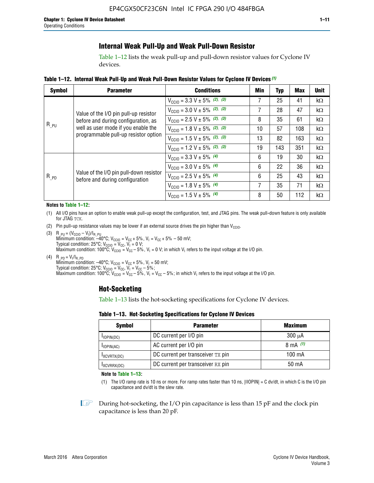## **Internal Weak Pull-Up and Weak Pull-Down Resistor**

Table 1–12 lists the weak pull-up and pull-down resistor values for Cyclone IV devices.

**Table 1–12. Internal Weak Pull**-**Up and Weak Pull**-**Down Resistor Values for Cyclone IV Devices** *(1)*

| <b>Symbol</b> | <b>Parameter</b>                                                            | <b>Conditions</b>                                  | Min | Typ | <b>Max</b> | <b>Unit</b> |
|---------------|-----------------------------------------------------------------------------|----------------------------------------------------|-----|-----|------------|-------------|
|               |                                                                             | $V_{\text{CC10}} = 3.3 \text{ V} \pm 5\%$ (2), (3) |     | 25  | 41         | kΩ          |
|               | Value of the I/O pin pull-up resistor                                       | $V_{\text{CC10}} = 3.0 \text{ V} \pm 5\%$ (2), (3) | 7   | 28  | 47         | kΩ          |
|               | before and during configuration, as                                         | $V_{\text{CC10}} = 2.5 V \pm 5\%$ (2), (3)         | 8   | 35  | 61         | kΩ          |
| $R_{PU}$      | well as user mode if you enable the<br>programmable pull-up resistor option | $V_{\text{CC10}} = 1.8 V \pm 5\%$ (2), (3)         | 10  | 57  | 108        | kΩ          |
|               |                                                                             | $V_{\text{CC10}} = 1.5 \text{ V} \pm 5\%$ (2), (3) | 13  | 82  | 163        | $k\Omega$   |
|               |                                                                             | $V_{\text{CGI0}} = 1.2 V \pm 5\%$ (2), (3)         | 19  | 143 | 351        | kΩ          |
|               |                                                                             | $V_{\text{CC10}} = 3.3 V \pm 5\%$ (4)              | 6   | 19  | 30         | kΩ          |
|               |                                                                             | $V_{\text{CC10}} = 3.0 V \pm 5\%$ (4)              | 6   | 22  | 36         | kΩ          |
| $R_{PD}$      | Value of the I/O pin pull-down resistor<br>before and during configuration  | $V_{\text{CC10}} = 2.5 V \pm 5\%$ (4)              | 6   | 25  | 43         | kΩ          |
|               |                                                                             | $V_{\text{CC10}} = 1.8 \text{ V} \pm 5\%$ (4)      | 7   | 35  | 71         | kΩ          |
|               |                                                                             | $V_{\text{CC10}} = 1.5 V \pm 5\%$ (4)              | 8   | 50  | 112        | kΩ          |

#### **Notes to Table 1–12:**

- (1) All I/O pins have an option to enable weak pull-up except the configuration, test, and JTAG pins. The weak pull-down feature is only available for JTAG TCK.
- (2) Pin pull-up resistance values may be lower if an external source drives the pin higher than  $V_{\text{CCIO}}$ .
- (3)  $R_{PU} = (V_{CC10} V_1)/I_{R_PU}$ Minimum condition: –40°C; V<sub>CCIO</sub> = V<sub>CC</sub> + 5%, V<sub>I</sub> = V<sub>CC</sub> + 5% – 50 mV; Typical condition: 25°C; V<sub>CCIO</sub> = V<sub>CC</sub>, V<sub>I</sub> = 0 V; Maximum condition: 100°C;  $V_{\text{CCIO}} = V_{\text{CC}} - 5\%$ ,  $V_1 = 0$  V; in which V<sub>I</sub> refers to the input voltage at the I/O pin.
- (4)  $R_{PD} = V_I/I_{R_PD}$ Minimum condition:  $-40^{\circ}$ C; V<sub>CCIO</sub> = V<sub>CC</sub> + 5%, V<sub>I</sub> = 50 mV; Typical condition: 25°C;  $V_{\text{CCIO}} = V_{\text{CC}}$ ,  $V_{\text{I}} = V_{\text{CC}} - 5\%$ ; Maximum condition: 100°C; V<sub>CClO</sub> = V<sub>CC</sub> – 5%, V<sub>I</sub> = V<sub>CC</sub> – 5%; in which V<sub>I</sub> refers to the input voltage at the I/O pin.

## **Hot-Socketing**

Table 1–13 lists the hot-socketing specifications for Cyclone IV devices.

**Table 1–13. Hot**-**Socketing Specifications for Cyclone IV Devices**

| <b>Symbol</b> | <b>Maximum</b>                    |             |
|---------------|-----------------------------------|-------------|
| $I$ IOPIN(DC) | DC current per I/O pin            | $300 \mu A$ |
| $I$ IOPIN(AC) | AC current per I/O pin            | 8 mA $(1)$  |
| IXCVRTX(DC)   | DC current per transceiver TX pin | 100 mA      |
| IXCVRRX(DC)   | DC current per transceiver RX pin | 50 mA       |

**Note to Table 1–13:**

(1) The I/O ramp rate is 10 ns or more. For ramp rates faster than 10 ns, |IIOPIN| = C dv/dt, in which C is the I/O pin capacitance and dv/dt is the slew rate.

 $\mathbb{I} \rightarrow \mathbb{I}$  During hot-socketing, the I/O pin capacitance is less than 15 pF and the clock pin capacitance is less than 20 pF.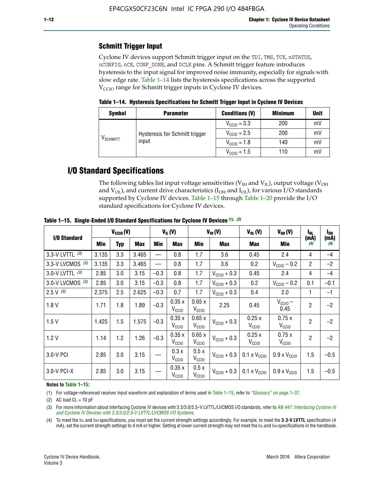## **Schmitt Trigger Input**

Cyclone IV devices support Schmitt trigger input on the TDI, TMS, TCK, nSTATUS, nCONFIG, nCE, CONF\_DONE, and DCLK pins. A Schmitt trigger feature introduces hysteresis to the input signal for improved noise immunity, especially for signals with slow edge rate. Table 1–14 lists the hysteresis specifications across the supported  $V<sub>CCIO</sub>$  range for Schmitt trigger inputs in Cyclone IV devices.

**Table 1–14. Hysteresis Specifications for Schmitt Trigger Input in Cyclone IV Devices**

| <b>Symbol</b>     | <b>Parameter</b>               | <b>Conditions (V)</b>   | <b>Minimum</b> | <b>Unit</b> |
|-------------------|--------------------------------|-------------------------|----------------|-------------|
|                   |                                | $V_{\text{CGI0}} = 3.3$ | 200            | mV          |
|                   | Hysteresis for Schmitt trigger | $V_{\text{CGI0}} = 2.5$ | 200            | mV          |
| $\rm{V_{SCHMIT}}$ | input                          | $V_{\text{CCIO}} = 1.8$ | 140            | mV          |
|                   |                                | $V_{\text{CC10}} = 1.5$ | 110            | mV          |

## **I/O Standard Specifications**

The following tables list input voltage sensitivities ( $V<sub>IH</sub>$  and  $V<sub>II</sub>$ ), output voltage ( $V<sub>OH</sub>$ and  $V_{OL}$ ), and current drive characteristics ( $I_{OH}$  and  $I_{OL}$ ), for various I/O standards supported by Cyclone IV devices. Table 1–15 through Table 1–20 provide the I/O standard specifications for Cyclone IV devices.

|                   | $V_{CClO}(V)$ |            | $V_{IL}(V)$ |        |                            | $V_{IH} (V)$               | $V_{OL}(V)$             | $V_{OH} (V)$                 | l <sub>OL</sub>              | $I_{0H}$       |             |
|-------------------|---------------|------------|-------------|--------|----------------------------|----------------------------|-------------------------|------------------------------|------------------------------|----------------|-------------|
| I/O Standard      | Min           | <b>Typ</b> | Max         | Min    | Max                        | Min                        | <b>Max</b>              | Max                          | Min                          | (mA)<br>(4)    | (mA)<br>(4) |
| 3.3-V LVTTL (3)   | 3.135         | 3.3        | 3.465       |        | 0.8                        | 1.7                        | 3.6                     | 0.45                         | 2.4                          | 4              | $-4$        |
| 3.3-V LVCMOS (3)  | 3.135         | 3.3        | 3.465       |        | 0.8                        | 1.7                        | 3.6                     | 0.2                          | $V_{\text{CCIO}} - 0.2$      | $\overline{2}$ | $-2$        |
| 3.0-V LVTTL $(3)$ | 2.85          | 3.0        | 3.15        | $-0.3$ | 0.8                        | 1.7                        | $V_{\text{CC10}} + 0.3$ | 0.45                         | 2.4                          | $\overline{4}$ | $-4$        |
| 3.0-V LVCMOS (3)  | 2.85          | 3.0        | 3.15        | $-0.3$ | 0.8                        | 1.7                        | $V_{\text{CCI}0}$ + 0.3 | 0.2                          | $V_{\text{CC10}} - 0.2$      | 0.1            | $-0.1$      |
| $2.5 V$ (3)       | 2.375         | 2.5        | 2.625       | $-0.3$ | 0.7                        | 1.7                        | $V_{\text{CCI}0}$ + 0.3 | 0.4                          | 2.0                          | 1              | $-1$        |
| 1.8V              | 1.71          | 1.8        | 1.89        | $-0.3$ | 0.35x<br>V <sub>CCIO</sub> | 0.65x<br>V <sub>CCIO</sub> | 2.25                    | 0.45                         | $V_{\text{CCIO}}$ –<br>0.45  | $\overline{2}$ | $-2$        |
| 1.5V              | 1.425         | 1.5        | 1.575       | $-0.3$ | 0.35x<br>V <sub>CCIO</sub> | 0.65x<br>V <sub>CCIO</sub> | $V_{\text{CGI0}} + 0.3$ | 0.25x<br>V <sub>CCIO</sub>   | 0.75x<br>V <sub>CCIO</sub>   | $\overline{2}$ | $-2$        |
| 1.2V              | 1.14          | 1.2        | 1.26        | $-0.3$ | 0.35x<br>V <sub>CCIO</sub> | 0.65x<br>V <sub>CCIO</sub> | $V_{\text{CGI0}} + 0.3$ | 0.25x<br>V <sub>CCIO</sub>   | 0.75x<br>V <sub>CCIO</sub>   | $\overline{2}$ | $-2$        |
| 3.0-V PCI         | 2.85          | 3.0        | 3.15        |        | 0.3x<br>V <sub>CCIO</sub>  | 0.5x<br>V <sub>CCIO</sub>  | $V_{\text{CC10}} + 0.3$ | $0.1 \times V_{CC10}$        | $0.9 \times V_{\text{CC10}}$ | 1.5            | $-0.5$      |
| 3.0-V PCI-X       | 2.85          | 3.0        | 3.15        |        | 0.35x<br>V <sub>CCIO</sub> | 0.5x<br>V <sub>CCIO</sub>  | $V_{\text{CC10}} + 0.3$ | $0.1 \times V_{\text{CCIO}}$ | $0.9 \times V_{\text{CC10}}$ | 1.5            | $-0.5$      |

**Table 1–15. Single**-**Ended I/O Standard Specifications for Cyclone IV Devices** *(1)***,** *(2)*

#### **Notes to Table 1–15:**

(1) For voltage-referenced receiver input waveform and explanation of terms used in Table 1–15, refer to "Glossary" on page 1–37.

(2) AC load  $CL = 10$  pF

(3) For more information about interfacing Cyclone IV devices with 3.3/3.0/2.5-V LVTTL/LVCMOS I/O standards, refer to *[AN 447: Interfacing Cyclone III](http://www.altera.com/literature/an/an447.pdf)  [and Cyclone IV Devices with 3.3/3.0/2.5-V LVTTL/LVCMOS I/O Systems](http://www.altera.com/literature/an/an447.pdf)*.

(4) To meet the IOL and IOH specifications, you must set the current strength settings accordingly. For example, to meet the **3.3-V LVTTL** specification (4 mA), set the current strength settings to 4 mA or higher. Setting at lower current strength may not meet the lou and lon specifications in the handbook.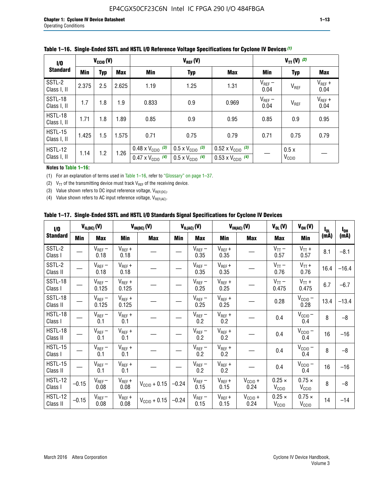| 1/0                           | $V_{CGI0}(V)$ |            |       |                                                                        | $V_{REF}(V)$                                                         |                                                                        |                     |                           | $V_{TT}(V)^{(2)}$   |  |  |  |
|-------------------------------|---------------|------------|-------|------------------------------------------------------------------------|----------------------------------------------------------------------|------------------------------------------------------------------------|---------------------|---------------------------|---------------------|--|--|--|
| <b>Standard</b>               | <b>Min</b>    | <b>Typ</b> | Max   | Min                                                                    | <b>Typ</b>                                                           | <b>Max</b>                                                             | Min                 | <b>Typ</b>                | Max                 |  |  |  |
| SSTL-2<br>Class I, II         | 2.375         | 2.5        | 2.625 | 1.19                                                                   | 1.25                                                                 | 1.31                                                                   | $V_{REF}$ –<br>0.04 | V <sub>REF</sub>          | $V_{REF}$ +<br>0.04 |  |  |  |
| SSTL-18<br>Class I, II        | 1.7           | 1.8        | 1.9   | 0.833                                                                  | 0.9                                                                  | 0.969                                                                  | $V_{REF}$ –<br>0.04 | V <sub>REF</sub>          | $V_{REF}$ +<br>0.04 |  |  |  |
| HSTL-18<br>Class I, II        | 1.71          | 1.8        | .89   | 0.85                                                                   | 0.9                                                                  | 0.95                                                                   | 0.85                | 0.9                       | 0.95                |  |  |  |
| <b>HSTL-15</b><br>Class I, II | 1.425         | 1.5        | 1.575 | 0.71                                                                   | 0.75                                                                 | 0.79                                                                   | 0.71                | 0.75                      | 0.79                |  |  |  |
| HSTL-12<br>Class I, II        | 1.14          | 1.2        | 1.26  | $0.48 \times V_{\text{CC10}}$ (3)<br>$0.47 \times V_{\text{CC10}}$ (4) | $0.5 \times V_{\text{CC10}}$ (3)<br>$0.5 \times V_{\text{CC10}}$ (4) | $0.52 \times V_{\text{CC10}}$ (3)<br>$0.53 \times V_{\text{CC10}}$ (4) |                     | 0.5x<br>V <sub>CCIO</sub> |                     |  |  |  |

|  |  |  |  | Table 1–16. Single-Ended SSTL and HSTL I/O Reference Voltage Specifications for Cyclone IV Devices (1) |
|--|--|--|--|--------------------------------------------------------------------------------------------------------|
|--|--|--|--|--------------------------------------------------------------------------------------------------------|

### **Notes to Table 1–16:**

(1) For an explanation of terms used in Table 1–16, refer to "Glossary" on page 1–37.

(2)  $V_{TT}$  of the transmitting device must track  $V_{REF}$  of the receiving device.

(3) Value shown refers to DC input reference voltage,  $V_{REF(DC)}$ .

(4) Value shown refers to AC input reference voltage,  $V_{REF(AC)}$ .

|  | Table 1–17.  Single-Ended SSTL and HSTL I/O Standards Signal Specifications for Cyclone IV Devices |  |  |  |  |  |
|--|----------------------------------------------------------------------------------------------------|--|--|--|--|--|
|--|----------------------------------------------------------------------------------------------------|--|--|--|--|--|

| I/O                        |         | $V_{IL(DC)}(V)$        |                                      | $V_{IH(DC)}(V)$       |         | $V_{IL(AC)}(V)$     |                     | $V_{IH(AC)}(V)$      | $V_{OL}(V)$                        | $V_{OH} (V)$                       | l <sub>ol</sub> | $I_{0H}$ |
|----------------------------|---------|------------------------|--------------------------------------|-----------------------|---------|---------------------|---------------------|----------------------|------------------------------------|------------------------------------|-----------------|----------|
| <b>Standard</b>            | Min     | <b>Max</b>             | Min                                  | <b>Max</b>            | Min     | <b>Max</b>          | Min                 | <b>Max</b>           | <b>Max</b>                         | Min                                | (mA)            | (mA)     |
| SSTL-2<br>Class I          |         | $\rm V_{REF}-$<br>0.18 | $V_{REF} +$<br>0.18                  |                       |         | $V_{REF}$ –<br>0.35 | $V_{REF} +$<br>0.35 |                      | $V_{TT}$ –<br>0.57                 | $V_{TT}$ +<br>0.57                 | 8.1             | $-8.1$   |
| SSTL-2<br>Class II         |         | $V_{REF}$ –<br>0.18    | $V_{REF} +$<br>0.18                  |                       |         | $V_{REF}$ –<br>0.35 | $V_{REF} +$<br>0.35 |                      | $V_{TT}$ –<br>0.76                 | $V_{TT}$ +<br>0.76                 | 16.4            | $-16.4$  |
| <b>SSTL-18</b><br>Class I  |         | $V_{REF}$ –<br>0.125   | $V_{REF}$ +<br>0.125                 |                       |         | $V_{REF}$ –<br>0.25 | $V_{REF}$ +<br>0.25 |                      | $V_{TT}$ –<br>0.475                | $V_{TT}$ +<br>0.475                | 6.7             | $-6.7$   |
| <b>SSTL-18</b><br>Class II |         | $V_{REF}$ –<br>0.125   | $V_{REF}$ +<br>0.125                 |                       |         | $V_{REF}$ –<br>0.25 | $V_{REF}$ +<br>0.25 |                      | 0.28                               | $V_{CC10}$ –<br>0.28               | 13.4            | $-13.4$  |
| HSTL-18<br>Class I         |         | $V_{REF}$ –<br>0.1     | $V_{REF} +$<br>0.1                   |                       |         | $V_{REF}$ –<br>0.2  | $V_{REF}$ +<br>0.2  |                      | 0.4                                | $V_{CCIO}$ –<br>0.4                | 8               | $-8$     |
| HSTL-18<br>Class II        |         | $V_{REF}$ –<br>0.1     | $V_{REF} +$<br>0.1                   |                       |         | $V_{REF}$ –<br>0.2  | $V_{REF} +$<br>0.2  |                      | 0.4                                | $V_{CC10}$ –<br>0.4                | 16              | $-16$    |
| HSTL-15<br>Class I         |         | $V_{REF}$ –<br>0.1     | $V_{REF} +$<br>0.1                   |                       |         | $V_{REF}$ –<br>0.2  | $V_{REF}$ +<br>0.2  |                      | 0.4                                | $V_{\text{CC1O}} -$<br>0.4         | 8               | $-8$     |
| HSTL-15<br>Class II        |         | $V_{REF}$ –<br>0.1     | $\mathsf{V}_{\mathsf{REF}}$ +<br>0.1 |                       |         | $V_{REF}$ –<br>0.2  | $V_{REF}$ +<br>0.2  |                      | 0.4                                | $V_{CC10}$ –<br>0.4                | 16              | $-16$    |
| <b>HSTL-12</b><br>Class I  | $-0.15$ | $V_{REF}-$<br>0.08     | $V_{REF} +$<br>0.08                  | $V_{CGI0} + 0.15$     | $-0.24$ | $V_{REF}$ –<br>0.15 | $V_{REF} +$<br>0.15 | $V_{CCIO} +$<br>0.24 | $0.25 \times$<br>V <sub>CCIO</sub> | $0.75 \times$<br>V <sub>CCIO</sub> | 8               | $-8$     |
| HSTL-12<br>Class II        | $-0.15$ | $V_{REF}$ –<br>0.08    | $V_{REF} +$<br>0.08                  | $V_{\rm CClO} + 0.15$ | $-0.24$ | $V_{REF}$ –<br>0.15 | $V_{REF} +$<br>0.15 | $V_{CC10}$ +<br>0.24 | $0.25 \times$<br>V <sub>CCIO</sub> | $0.75 \times$<br>V <sub>CCIO</sub> | 14              | $-14$    |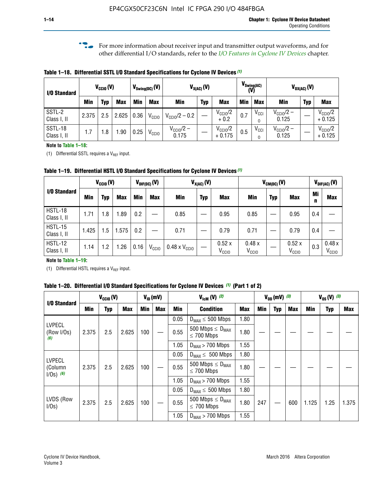**f For more information about receiver input and transmitter output waveforms, and for** other differential I/O standards, refer to the *[I/O Features in Cyclone IV Devices](http://www.altera.com/literature/hb/cyclone-iv/cyiv-51006.pdf)* chapter*.*

**Table 1–18. Differential SSTL I/O Standard Specifications for Cyclone IV Devices** *(1)*

| I/O Standard           |       | $V_{CCl0}(V)$ |            |      | $V_{\text{Swing(DC)}}(V)$ |                                | $V_{X(AC)}(V)$ |                                 |            | $V_{\text{Swing(AC)}}$<br>(V) | $V_{OX(AC)}(V)$                |            |                                 |  |
|------------------------|-------|---------------|------------|------|---------------------------|--------------------------------|----------------|---------------------------------|------------|-------------------------------|--------------------------------|------------|---------------------------------|--|
|                        | Min   | Typ           | <b>Max</b> | Min  | <b>Max</b>                | <b>Min</b>                     | <b>Typ</b>     | <b>Max</b>                      | <b>Min</b> | <b>Max</b>                    | Min                            | <b>Typ</b> | <b>Max</b>                      |  |
| SSTL-2<br>Class I, II  | 2.375 | 2.5           | 2.625      | 0.36 | V <sub>CCIO</sub>         | $V_{\text{CC10}}/2 - 0.2$      |                | $V_{\text{CC1O}}/2$<br>$+0.2$   | 0.7        | $V_{\rm CCI}$                 | $V_{\text{CC10}}/2 -$<br>0.125 |            | $V_{\text{CC10}}/2$<br>$+0.125$ |  |
| SSTL-18<br>Class I, II | 1.7   | .8            | .90        | 0.25 | V <sub>CCIO</sub>         | $V_{\text{CC10}}/2 -$<br>0.175 |                | $V_{\text{CC10}}/2$<br>$+0.175$ | 0.5        | $V_{\rm CCI}$                 | $V_{\text{CC10}}/2 -$<br>0.125 |            | $V_{\text{CC10}}/2$<br>$+0.125$ |  |

#### **Note to Table 1–18:**

(1) Differential SSTL requires a  $V_{REF}$  input.

**Table 1–19. Differential HSTL I/O Standard Specifications for Cyclone IV Devices** *(1)*

|                               |       | $V_{CClO}(V)$ |            | $V_{\text{DIF(DC)}}(V)$ |                   | $V_{X(AC)}(V)$                |            |                            |                            | $V_{CM(DC)}(V)$ |                            | $V_{\text{DIF(AC)}}(V)$ |                            |  |
|-------------------------------|-------|---------------|------------|-------------------------|-------------------|-------------------------------|------------|----------------------------|----------------------------|-----------------|----------------------------|-------------------------|----------------------------|--|
| I/O Standard                  | Min   | Typ           | <b>Max</b> | Min                     | <b>Max</b>        | Min                           | <b>Typ</b> | <b>Max</b>                 | Min                        | <b>Typ</b>      | <b>Max</b>                 | Mi<br>n                 | <b>Max</b>                 |  |
| HSTL-18<br>Class I, II        | 1.71  | 1.8           | .89        | 0.2                     |                   | 0.85                          |            | 0.95                       | 0.85                       |                 | 0.95                       | 0.4                     |                            |  |
| <b>HSTL-15</b><br>Class I, II | 1.425 | 1.5           | .575       | $0.2\,$                 |                   | 0.71                          |            | 0.79                       | 0.71                       |                 | 0.79                       | 0.4                     |                            |  |
| <b>HSTL-12</b><br>Class I, II | 1.14  | 1.2           | 1.26       | 0.16                    | V <sub>CCIO</sub> | $0.48 \times V_{\text{CC10}}$ |            | 0.52x<br>V <sub>CCIO</sub> | 0.48x<br>V <sub>CCIO</sub> |                 | 0.52x<br>V <sub>CCIO</sub> | 0.3                     | 0.48x<br>V <sub>CCIO</sub> |  |

### **Note to Table 1–19:**

(1) Differential HSTL requires a  $V_{REF}$  input.

**Table 1–20. Differential I/O Standard Specifications for Cyclone IV Devices** *(1)* **(Part 1 of 2)**

| I/O Standard                            |       | $V_{CCl0} (V)$ |            |            | $V_{ID}$ (mV) |      | $V_{\text{lcm}}(V)^{(2)}$                           |            | $V_{0D}$ (mV) $(3)$ |     |     | $V_{0S} (V)^{(3)}$ |            |       |
|-----------------------------------------|-------|----------------|------------|------------|---------------|------|-----------------------------------------------------|------------|---------------------|-----|-----|--------------------|------------|-------|
|                                         | Min   | Typ            | <b>Max</b> | <b>Min</b> | <b>Max</b>    | Min  | <b>Condition</b>                                    | <b>Max</b> | Min                 | Typ | Max | Min                | <b>Typ</b> | Max   |
|                                         |       |                |            |            |               | 0.05 | $D_{MAX} \leq 500$ Mbps                             | 1.80       |                     |     |     |                    |            |       |
| <b>LVPECL</b><br>(Row I/Os)<br>(6)      | 2.375 | 2.5            | 2.625      | 100        |               | 0.55 | 500 Mbps $\leq$ D <sub>MAX</sub><br>$\leq$ 700 Mbps | 1.80       |                     |     |     |                    |            |       |
|                                         |       |                |            |            |               | 1.05 | $D_{MAX}$ > 700 Mbps                                | 1.55       |                     |     |     |                    |            |       |
|                                         |       |                |            |            |               | 0.05 | $D_{MAX} \leq 500$ Mbps                             | 1.80       |                     |     |     |                    |            |       |
| <b>LVPECL</b><br>(Column<br>$1/Os)$ (6) | 2.375 | 2.5            | 2.625      | 100        |               | 0.55 | 500 Mbps $\leq D_{MAX}$<br>$\leq$ 700 Mbps          | 1.80       |                     |     |     |                    |            |       |
|                                         |       |                |            |            |               | 1.05 | $D_{MAX}$ > 700 Mbps                                | 1.55       |                     |     |     |                    |            |       |
|                                         |       |                |            |            |               | 0.05 | $D_{MAX} \leq 500$ Mbps                             | 1.80       |                     |     |     |                    |            |       |
| LVDS (Row<br>I/Os)                      | 2.375 | 2.5            | 2.625      | 100        |               | 0.55 | 500 Mbps $\leq D_{MAX}$<br>$\leq 700$ Mbps          | 1.80       | 247                 |     | 600 | 1.125              | 1.25       | 1.375 |
|                                         |       |                |            |            |               | 1.05 | $D_{MAX}$ > 700 Mbps                                | 1.55       |                     |     |     |                    |            |       |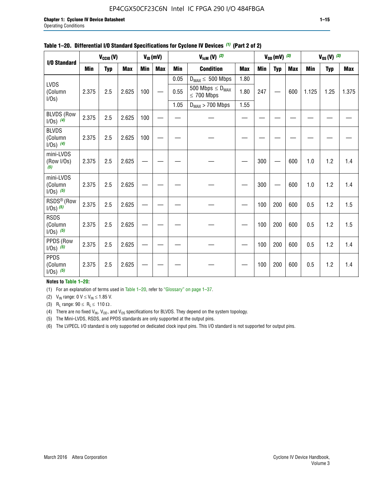## EP4CGX50CF23C6N Intel IC FPGA 290 I/O 484FBGA

|                                         |            | $V_{CClO}(V)$ |            |            | $V_{ID}(mV)$ | $V_{\text{lcm}}(V)^{(2)}$ |                                            |            |     | $V_{OD}$ (mV) $(3)$ |            | $V_{0S} (V)$ (3) |            |       |
|-----------------------------------------|------------|---------------|------------|------------|--------------|---------------------------|--------------------------------------------|------------|-----|---------------------|------------|------------------|------------|-------|
| I/O Standard                            | <b>Min</b> | <b>Typ</b>    | <b>Max</b> | <b>Min</b> | <b>Max</b>   | <b>Min</b>                | <b>Condition</b>                           | <b>Max</b> | Min | Typ                 | <b>Max</b> | Min              | <b>Typ</b> | Max   |
|                                         |            |               |            |            |              | 0.05                      | $D_{MAX} \leq 500$ Mbps                    | 1.80       |     |                     |            |                  |            |       |
| <b>LVDS</b><br>(Column<br>I/0s)         | 2.375      | 2.5           | 2.625      | 100        |              | 0.55                      | 500 Mbps $\leq D_{MAX}$<br>$\leq 700$ Mbps | 1.80       | 247 |                     | 600        | 1.125            | 1.25       | 1.375 |
|                                         |            |               |            |            |              | 1.05                      | $D_{MAX}$ > 700 Mbps                       | 1.55       |     |                     |            |                  |            |       |
| <b>BLVDS (Row</b><br>$1/0s)$ (4)        | 2.375      | 2.5           | 2.625      | 100        |              |                           |                                            |            |     |                     |            |                  |            |       |
| <b>BLVDS</b><br>(Column<br>$1/0s)$ (4)  | 2.375      | 2.5           | 2.625      | 100        |              |                           |                                            |            |     |                     |            |                  |            |       |
| mini-LVDS<br>(Row I/Os)<br>(5)          | 2.375      | 2.5           | 2.625      |            |              |                           |                                            |            | 300 |                     | 600        | 1.0              | 1.2        | 1.4   |
| mini-LVDS<br>(Column<br>$1/Os)$ (5)     | 2.375      | 2.5           | 2.625      |            |              |                           |                                            |            | 300 |                     | 600        | 1.0              | 1.2        | 1.4   |
| RSDS <sup>®</sup> (Row<br>$1/0s)$ $(5)$ | 2.375      | 2.5           | 2.625      |            |              |                           |                                            |            | 100 | 200                 | 600        | 0.5              | 1.2        | 1.5   |
| <b>RSDS</b><br>(Column<br>$1/Os)$ (5)   | 2.375      | 2.5           | 2.625      |            |              |                           |                                            |            | 100 | 200                 | 600        | 0.5              | 1.2        | 1.5   |
| PPDS (Row<br>$1/Os)$ (5)                | 2.375      | 2.5           | 2.625      |            |              |                           |                                            |            | 100 | 200                 | 600        | 0.5              | 1.2        | 1.4   |
| <b>PPDS</b><br>(Column<br>$1/Os)$ (5)   | 2.375      | 2.5           | 2.625      |            |              |                           |                                            |            | 100 | 200                 | 600        | 0.5              | 1.2        | 1.4   |

### **Table 1–20. Differential I/O Standard Specifications for Cyclone IV Devices** *(1)* **(Part 2 of 2)**

### **Notes to Table 1–20:**

(1) For an explanation of terms used in Table 1–20, refer to "Glossary" on page 1–37.

(2)  $V_{IN}$  range: 0  $V \le V_{IN} \le 1.85$  V.

(3) R<sub>L</sub> range:  $90 \le R_L \le 110 \Omega$ .

(4) There are no fixed  $V_{IN}$ ,  $V_{OD}$ , and  $V_{OS}$  specifications for BLVDS. They depend on the system topology.

(5) The Mini-LVDS, RSDS, and PPDS standards are only supported at the output pins.

(6) The LVPECL I/O standard is only supported on dedicated clock input pins. This I/O standard is not supported for output pins.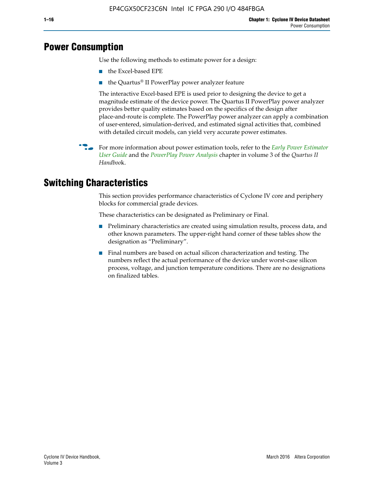## **Power Consumption**

Use the following methods to estimate power for a design:

- the Excel-based EPE
- the Quartus® II PowerPlay power analyzer feature

The interactive Excel-based EPE is used prior to designing the device to get a magnitude estimate of the device power. The Quartus II PowerPlay power analyzer provides better quality estimates based on the specifics of the design after place-and-route is complete. The PowerPlay power analyzer can apply a combination of user-entered, simulation-derived, and estimated signal activities that, combined with detailed circuit models, can yield very accurate power estimates.

f For more information about power estimation tools, refer to the *[Early Power Estimator](http://www.altera.com/literature/ug/ug_epe.pdf
)  [User Guide](http://www.altera.com/literature/ug/ug_epe.pdf
)* and the *[PowerPlay Power Analysis](http://www.altera.com/literature/hb/qts/qts_qii53013.pdf)* chapter in volume 3 of the *Quartus II Handboo*k.

## **Switching Characteristics**

This section provides performance characteristics of Cyclone IV core and periphery blocks for commercial grade devices.

These characteristics can be designated as Preliminary or Final.

- Preliminary characteristics are created using simulation results, process data, and other known parameters. The upper-right hand corner of these tables show the designation as "Preliminary".
- Final numbers are based on actual silicon characterization and testing. The numbers reflect the actual performance of the device under worst-case silicon process, voltage, and junction temperature conditions. There are no designations on finalized tables.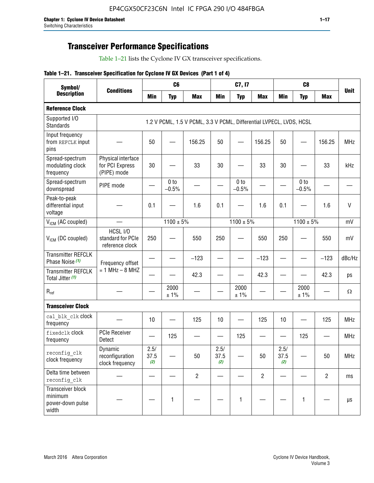## **Transceiver Performance Specifications**

Table 1–21 lists the Cyclone IV GX transceiver specifications.

|  |  |  |  | Table 1-21. Transceiver Specification for Cyclone IV GX Devices (Part 1 of 4) |  |
|--|--|--|--|-------------------------------------------------------------------------------|--|
|--|--|--|--|-------------------------------------------------------------------------------|--|

| Symbol/                                                   |                                                      |                     | C <sub>6</sub>             |                                                                     |                     | C7, I7                     |                   |                     | C <sub>8</sub>             |                |              |
|-----------------------------------------------------------|------------------------------------------------------|---------------------|----------------------------|---------------------------------------------------------------------|---------------------|----------------------------|-------------------|---------------------|----------------------------|----------------|--------------|
| <b>Description</b>                                        | <b>Conditions</b>                                    | <b>Min</b>          | <b>Typ</b>                 | <b>Max</b>                                                          | <b>Min</b>          | <b>Typ</b>                 | <b>Max</b>        | <b>Min</b>          | <b>Typ</b>                 | <b>Max</b>     | <b>Unit</b>  |
| <b>Reference Clock</b>                                    |                                                      |                     |                            |                                                                     |                     |                            |                   |                     |                            |                |              |
| Supported I/O<br><b>Standards</b>                         |                                                      |                     |                            | 1.2 V PCML, 1.5 V PCML, 3.3 V PCML, Differential LVPECL, LVDS, HCSL |                     |                            |                   |                     |                            |                |              |
| Input frequency<br>from REFCLK input<br>pins              |                                                      | 50                  |                            | 156.25                                                              | 50                  |                            | 156.25            | 50                  |                            | 156.25         | <b>MHz</b>   |
| Spread-spectrum<br>modulating clock<br>frequency          | Physical interface<br>for PCI Express<br>(PIPE) mode | 30                  |                            | 33                                                                  | 30                  |                            | 33                | 30                  |                            | 33             | kHz          |
| Spread-spectrum<br>downspread                             | PIPE mode                                            |                     | 0 <sub>to</sub><br>$-0.5%$ |                                                                     |                     | 0 <sub>to</sub><br>$-0.5%$ |                   |                     | 0 <sub>to</sub><br>$-0.5%$ |                |              |
| Peak-to-peak<br>differential input<br>voltage             |                                                      | 0.1                 |                            | 1.6                                                                 | 0.1                 |                            | 1.6               | 0.1                 |                            | 1.6            | $\mathsf{V}$ |
| V <sub>ICM</sub> (AC coupled)                             |                                                      |                     | $1100 \pm 5\%$             |                                                                     |                     | $1100 \pm 5\%$             |                   |                     | $1100 \pm 5\%$             |                | mV           |
| $V_{ICM}$ (DC coupled)                                    | HCSL I/O<br>standard for PCIe<br>reference clock     | 250                 |                            | 550                                                                 | 250                 |                            | 550               | 250                 |                            | 550            | mV           |
| <b>Transmitter REFCLK</b><br>Phase Noise (1)              | Frequency offset                                     |                     |                            | $-123$                                                              |                     |                            | $-123$            |                     |                            | $-123$         | dBc/Hz       |
| <b>Transmitter REFCLK</b><br>Total Jitter (1)             | $= 1$ MHz $- 8$ MHZ                                  |                     |                            | 42.3                                                                |                     |                            | 42.3              |                     |                            | 42.3           | ps           |
| $\mathsf{R}_{\mathsf{ref}}$                               |                                                      |                     | 2000<br>± 1%               |                                                                     |                     | 2000<br>± 1%               |                   |                     | 2000<br>± 1%               |                | Ω            |
| <b>Transceiver Clock</b>                                  |                                                      |                     |                            |                                                                     |                     |                            |                   |                     |                            |                |              |
| cal blk clk clock<br>frequency                            |                                                      | 10                  |                            | 125                                                                 | 10                  |                            | 125               | 10                  | $\overline{\phantom{0}}$   | 125            | MHz          |
| fixedclk clock<br>frequency                               | <b>PCIe Receiver</b><br>Detect                       | $\hspace{0.05cm}$   | 125                        |                                                                     |                     | 125                        | $\hspace{0.05cm}$ | —                   | 125                        |                | <b>MHz</b>   |
| reconfig_clk<br>clock frequency                           | Dynamic<br>reconfiguration<br>clock frequency        | 2.5/<br>37.5<br>(2) |                            | 50                                                                  | 2.5/<br>37.5<br>(2) |                            | 50                | 2.5/<br>37.5<br>(2) |                            | 50             | <b>MHz</b>   |
| Delta time between<br>reconfig clk                        |                                                      |                     |                            | $\overline{2}$                                                      |                     |                            | $\overline{2}$    |                     |                            | $\overline{2}$ | ms           |
| Transceiver block<br>minimum<br>power-down pulse<br>width |                                                      |                     | $\mathbf{1}$               |                                                                     |                     | 1                          |                   |                     | $\mathbf{1}$               |                | $\mu s$      |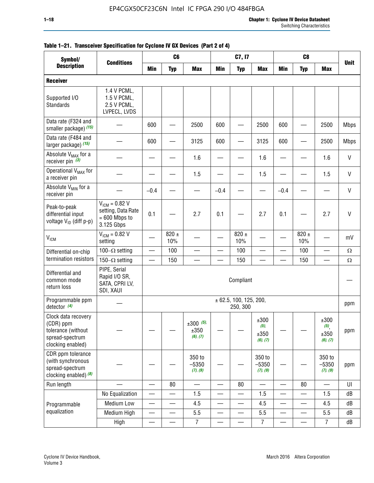| Symbol/                                                                                        |                                                                           | C <sub>6</sub><br>C7, I7<br>C <sub>8</sub><br><b>Unit</b> |                          |                                 |                          |                                        |                                     |                          |                          |                                                |              |
|------------------------------------------------------------------------------------------------|---------------------------------------------------------------------------|-----------------------------------------------------------|--------------------------|---------------------------------|--------------------------|----------------------------------------|-------------------------------------|--------------------------|--------------------------|------------------------------------------------|--------------|
| <b>Description</b>                                                                             | <b>Conditions</b>                                                         | Min                                                       | <b>Typ</b>               | <b>Max</b>                      | <b>Min</b>               | <b>Typ</b>                             | <b>Max</b>                          | <b>Min</b>               | <b>Typ</b>               | <b>Max</b>                                     |              |
| <b>Receiver</b>                                                                                |                                                                           |                                                           |                          |                                 |                          |                                        |                                     |                          |                          |                                                |              |
| Supported I/O<br>Standards                                                                     | 1.4 V PCML,<br>1.5 V PCML,<br>2.5 V PCML,<br>LVPECL, LVDS                 |                                                           |                          |                                 |                          |                                        |                                     |                          |                          |                                                |              |
| Data rate (F324 and<br>smaller package) (15)                                                   |                                                                           | 600                                                       |                          | 2500                            | 600                      |                                        | 2500                                | 600                      |                          | 2500                                           | <b>Mbps</b>  |
| Data rate (F484 and<br>larger package) (15)                                                    |                                                                           | 600                                                       |                          | 3125                            | 600                      |                                        | 3125                                | 600                      |                          | 2500                                           | <b>Mbps</b>  |
| Absolute V <sub>MAX</sub> for a<br>receiver pin $(3)$                                          |                                                                           |                                                           |                          | 1.6                             |                          |                                        | 1.6                                 |                          |                          | 1.6                                            | V            |
| Operational V <sub>MAX</sub> for<br>a receiver pin                                             |                                                                           |                                                           |                          | 1.5                             |                          |                                        | 1.5                                 |                          |                          | 1.5                                            | V            |
| Absolute V <sub>MIN</sub> for a<br>receiver pin                                                |                                                                           | $-0.4$                                                    |                          |                                 | $-0.4$                   |                                        |                                     | $-0.4$                   |                          |                                                | V            |
| Peak-to-peak<br>differential input<br>voltage V <sub>ID</sub> (diff p-p)                       | $V_{ICM} = 0.82 V$<br>setting, Data Rate<br>$= 600$ Mbps to<br>3.125 Gbps | 0.1                                                       |                          | 2.7                             | 0.1                      |                                        | 2.7                                 | 0.1                      |                          | 2.7                                            | $\mathsf{V}$ |
| $V_{ICM}$                                                                                      | $V_{IGM} = 0.82 V$<br>setting                                             |                                                           | 820 $\pm$<br>10%         |                                 |                          | 820 $\pm$<br>10%                       |                                     |                          | $820 \pm$<br>10%         |                                                | mV           |
| Differential on-chip                                                                           | 100 $-\Omega$ setting                                                     | —                                                         | 100                      |                                 |                          | 100                                    |                                     | <u>—</u>                 | 100                      |                                                | $\Omega$     |
| termination resistors                                                                          | 150 $-\Omega$ setting                                                     |                                                           | 150                      |                                 |                          | 150                                    |                                     |                          | 150                      |                                                | $\Omega$     |
| Differential and<br>common mode<br>return loss                                                 | PIPE, Serial<br>Rapid I/O SR,<br>SATA, CPRI LV,<br>SDI, XAUI              |                                                           |                          |                                 |                          | Compliant                              |                                     |                          |                          |                                                |              |
| Programmable ppm<br>detector $(4)$                                                             |                                                                           |                                                           |                          |                                 |                          | $\pm$ 62.5, 100, 125, 200,<br>250, 300 |                                     |                          |                          |                                                | ppm          |
| Clock data recovery<br>(CDR) ppm<br>tolerance (without<br>spread-spectrum<br>clocking enabled) |                                                                           |                                                           |                          | $±300$ (5),<br>±350<br>(6), (7) |                          |                                        | ±300<br>$(5)$ ,<br>±350<br>(6), (7) |                          |                          | ±300<br>$(5)$ <sub>,</sub><br>±350<br>(6), (7) | ppm          |
| CDR ppm tolerance<br>(with synchronous<br>spread-spectrum<br>clocking enabled) (8)             |                                                                           |                                                           |                          | 350 to<br>$-5350$<br>(7), (9)   |                          |                                        | 350 to<br>$-5350$<br>(7), (9)       |                          |                          | 350 to<br>$-5350$<br>(7), (9)                  | ppm          |
| Run length                                                                                     |                                                                           |                                                           | 80                       |                                 |                          | 80                                     | $\overline{\phantom{0}}$            | $\overline{\phantom{0}}$ | 80                       | $\overline{\phantom{0}}$                       | U            |
|                                                                                                | No Equalization                                                           |                                                           |                          | 1.5                             |                          | —                                      | 1.5                                 | $\overline{\phantom{0}}$ | $\overline{\phantom{0}}$ | 1.5                                            | dB           |
| Programmable                                                                                   | Medium Low                                                                | —                                                         | $\overline{\phantom{0}}$ | 4.5                             |                          | —                                      | 4.5                                 | —                        | $\overline{\phantom{0}}$ | 4.5                                            | dB           |
| equalization                                                                                   | Medium High                                                               | $\overbrace{\phantom{aaaaa}}$                             | $\qquad \qquad \qquad$   | 5.5                             | $\overline{\phantom{0}}$ | $\overline{\phantom{0}}$               | 5.5                                 | $\overline{\phantom{0}}$ | $\qquad \qquad$          | 5.5                                            | dB           |
|                                                                                                | High                                                                      | $\qquad \qquad$                                           | $\qquad \qquad$          | $\overline{7}$                  | $\qquad \qquad$          | —<br>——                                | $\overline{7}$                      |                          | $\overline{\phantom{0}}$ | $\overline{7}$                                 | dB           |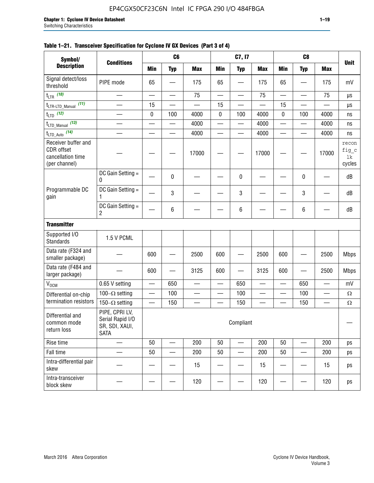| Symbol/                                                                 |                                                                     |            | C <sub>6</sub> |                          |             | C7, I7          |            |                          | C <sub>8</sub> |                          |                                |
|-------------------------------------------------------------------------|---------------------------------------------------------------------|------------|----------------|--------------------------|-------------|-----------------|------------|--------------------------|----------------|--------------------------|--------------------------------|
| <b>Description</b>                                                      | <b>Conditions</b>                                                   | <b>Min</b> | <b>Typ</b>     | <b>Max</b>               | <b>Min</b>  | <b>Typ</b>      | <b>Max</b> | <b>Min</b>               | <b>Typ</b>     | <b>Max</b>               | <b>Unit</b>                    |
| Signal detect/loss<br>threshold                                         | PIPE mode                                                           | 65         |                | 175                      | 65          |                 | 175        | 65                       |                | 175                      | mV                             |
| $t_{LTR}$ (10)                                                          |                                                                     |            |                | 75                       |             | —               | 75         |                          |                | 75                       | $\mu s$                        |
| (11)<br>$t_{\text{LTR-LTD\_Manual}}$                                    |                                                                     | 15         |                |                          | 15          |                 |            | 15                       |                |                          | μs                             |
| $t_{LTD}$ (12)                                                          |                                                                     | $\pmb{0}$  | 100            | 4000                     | $\mathbf 0$ | 100             | 4000       | $\mathbf 0$              | 100            | 4000                     | ns                             |
| $t_{\text{LTD\_Manual}}$ (13)                                           |                                                                     |            |                | 4000                     | —           |                 | 4000       | $\overline{\phantom{0}}$ |                | 4000                     | ns                             |
| $t_{LTD\_Auto}$ (14)                                                    |                                                                     |            |                | 4000                     |             |                 | 4000       |                          |                | 4000                     | ns                             |
| Receiver buffer and<br>CDR offset<br>cancellation time<br>(per channel) |                                                                     |            |                | 17000                    |             |                 | 17000      |                          |                | 17000                    | recon<br>fig_c<br>1k<br>cycles |
|                                                                         | DC Gain Setting =<br>0                                              |            | 0              |                          |             | $\mathbf 0$     |            |                          | 0              |                          | dB                             |
| Programmable DC<br>gain                                                 | DC Gain Setting =                                                   |            | 3              |                          |             | 3               |            |                          | 3              |                          | dB                             |
|                                                                         | DC Gain Setting $=$<br>2                                            |            | 6              |                          |             | $6\phantom{1}6$ |            |                          | 6              |                          | dB                             |
| <b>Transmitter</b>                                                      |                                                                     |            |                |                          |             |                 |            |                          |                |                          |                                |
| Supported I/O<br><b>Standards</b>                                       | 1.5 V PCML                                                          |            |                |                          |             |                 |            |                          |                |                          |                                |
| Data rate (F324 and<br>smaller package)                                 |                                                                     | 600        |                | 2500                     | 600         |                 | 2500       | 600                      |                | 2500                     | <b>Mbps</b>                    |
| Data rate (F484 and<br>larger package)                                  |                                                                     | 600        |                | 3125                     | 600         |                 | 3125       | 600                      |                | 2500                     | <b>Mbps</b>                    |
| $V_{OCM}$                                                               | 0.65 V setting                                                      |            | 650            |                          | —           | 650             |            | $\overline{\phantom{0}}$ | 650            |                          | mV                             |
| Differential on-chip                                                    | 100 $-\Omega$ setting                                               | —          | 100            | $\overline{\phantom{0}}$ |             | 100             |            | $\overline{\phantom{0}}$ | 100            | $\overline{\phantom{0}}$ | $\Omega$                       |
| termination resistors                                                   | 150 $-\Omega$ setting                                               | —          | 150            |                          |             | 150             |            |                          | 150            |                          | Ω                              |
| Differential and<br>common mode<br>return loss                          | PIPE, CPRI LV,<br>Serial Rapid I/O<br>SR, SDI, XAUI,<br><b>SATA</b> |            |                |                          |             | Compliant       |            |                          |                |                          |                                |
| Rise time                                                               | $\overline{\phantom{0}}$                                            | 50         |                | 200                      | 50          |                 | 200        | 50                       |                | 200                      | ps                             |
| Fall time                                                               |                                                                     | 50         |                | 200                      | 50          |                 | 200        | 50                       |                | 200                      | ps                             |
| Intra-differential pair<br>skew                                         |                                                                     |            |                | 15                       |             |                 | 15         |                          |                | 15                       | ps                             |
| Intra-transceiver                                                       |                                                                     |            |                | 100                      |             |                 | 100        |                          |                | 100                      |                                |

block skew  $\begin{vmatrix} - & - & - \ - & - & - \end{vmatrix}$  -  $\begin{vmatrix} - & - & 120 \ - & - & - \end{vmatrix}$  -  $\begin{vmatrix} - & - & 120 \ - & - & - \end{vmatrix}$  - 120  $\begin{vmatrix} - & - & - \ - & - & - \end{vmatrix}$  - 120  $\begin{vmatrix} 0 & - & - \ - & - & - \end{vmatrix}$ 

## **Table 1–21. Transceiver Specification for Cyclone IV GX Devices (Part 3 of 4)**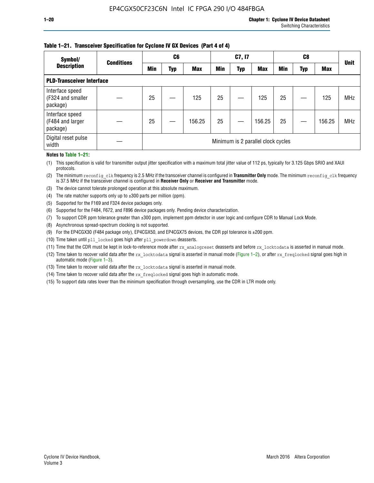## **Table 1–21. Transceiver Specification for Cyclone IV GX Devices (Part 4 of 4)**

| Symbol/                                          | <b>Conditions</b> |     | C6  |            | C7, I7 |            |                                    |     |     | <b>Unit</b> |            |
|--------------------------------------------------|-------------------|-----|-----|------------|--------|------------|------------------------------------|-----|-----|-------------|------------|
| <b>Description</b>                               |                   | Min | Typ | <b>Max</b> | Min    | <b>Typ</b> | <b>Max</b>                         | Min | Typ | <b>Max</b>  |            |
| <b>PLD-Transceiver Interface</b>                 |                   |     |     |            |        |            |                                    |     |     |             |            |
| Interface speed<br>(F324 and smaller<br>package) |                   | 25  |     | 125        | 25     |            | 125                                | 25  |     | 125         | <b>MHz</b> |
| Interface speed<br>(F484 and larger<br>package)  |                   | 25  |     | 156.25     | 25     |            | 156.25                             | 25  |     | 156.25      | <b>MHz</b> |
| Digital reset pulse<br>width                     |                   |     |     |            |        |            | Minimum is 2 parallel clock cycles |     |     |             |            |

## **Notes to Table 1–21:**

(1) This specification is valid for transmitter output jitter specification with a maximum total jitter value of 112 ps, typically for 3.125 Gbps SRIO and XAUI protocols.

(2) The minimum reconfig\_clk frequency is 2.5 MHz if the transceiver channel is configured in **Transmitter Only** mode. The minimum reconfig\_clk frequency is 37.5 MHz if the transceiver channel is configured in **Receiver Only** or **Receiver and Transmitter** mode.

(3) The device cannot tolerate prolonged operation at this absolute maximum.

- (4) The rate matcher supports only up to  $\pm 300$  parts per million (ppm).
- (5) Supported for the F169 and F324 device packages only.
- (6) Supported for the F484, F672, and F896 device packages only. Pending device characterization.
- (7) To support CDR ppm tolerance greater than ±300 ppm, implement ppm detector in user logic and configure CDR to Manual Lock Mode.
- (8) Asynchronous spread-spectrum clocking is not supported.
- (9) For the EP4CGX30 (F484 package only), EP4CGX50, and EP4CGX75 devices, the CDR ppl tolerance is ±200 ppm.
- (10) Time taken until pll\_locked goes high after pll\_powerdown deasserts.
- (11) Time that the CDR must be kept in lock-to-reference mode after rx analogreset deasserts and before rx locktodata is asserted in manual mode.

(12) Time taken to recover valid data after the rx locktodata signal is asserted in manual mode (Figure 1–2), or after rx freqlocked signal goes high in automatic mode (Figure 1–3).

(13) Time taken to recover valid data after the rx locktodata signal is asserted in manual mode.

- (14) Time taken to recover valid data after the rx freqlocked signal goes high in automatic mode.
- (15) To support data rates lower than the minimum specification through oversampling, use the CDR in LTR mode only.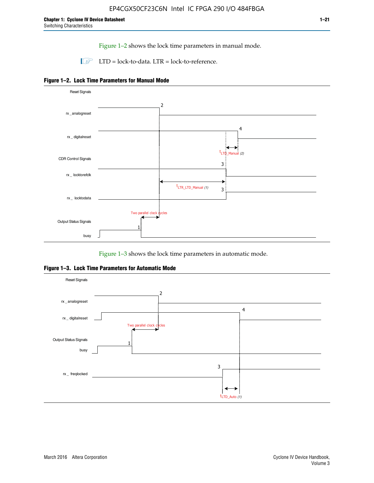Figure 1–2 shows the lock time parameters in manual mode.

 $\Box$  LTD = lock-to-data. LTR = lock-to-reference.





Figure 1–3 shows the lock time parameters in automatic mode.

**Figure 1–3. Lock Time Parameters for Automatic Mode**

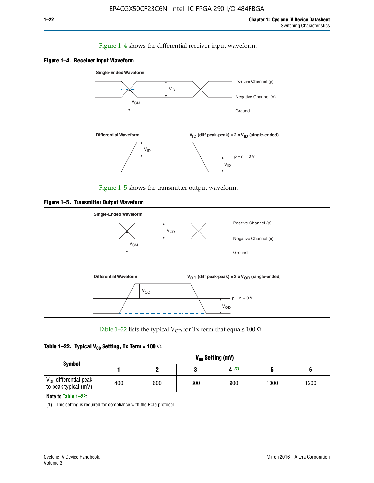### Figure 1–4 shows the differential receiver input waveform.





Figure 1–5 shows the transmitter output waveform.





Table 1–22 lists the typical V<sub>OD</sub> for Tx term that equals 100  $\Omega$ .

| Table 1–22. Typical V <sub>0D</sub> Setting, Tx Term = 100 $\Omega$ |  |  |  |  |  |  |  |
|---------------------------------------------------------------------|--|--|--|--|--|--|--|
|---------------------------------------------------------------------|--|--|--|--|--|--|--|

| <b>Symbol</b>                                          | V <sub>op</sub> Setting (mV) |     |     |      |      |      |  |  |  |  |
|--------------------------------------------------------|------------------------------|-----|-----|------|------|------|--|--|--|--|
|                                                        |                              |     |     | 4(1) |      |      |  |  |  |  |
| $\rm V_{OD}$ differential peak<br>to peak typical (mV) | 400                          | 600 | 800 | 900  | 1000 | 1200 |  |  |  |  |

**Note to Table 1–22:**

(1) This setting is required for compliance with the PCIe protocol.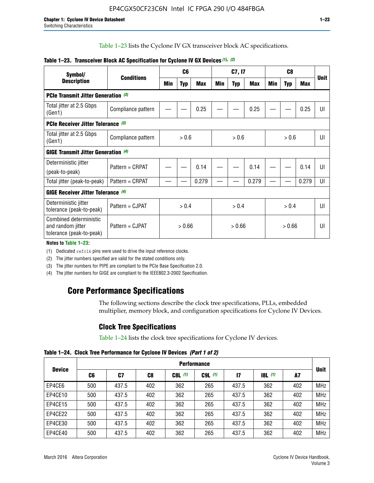Table 1–23 lists the Cyclone IV GX transceiver block AC specifications.

| Symbol/                                                                 |                    | C <sub>6</sub><br><b>Conditions</b> |            | C7, I7     |     |            | C <sub>8</sub> |     |            | <b>Unit</b> |    |
|-------------------------------------------------------------------------|--------------------|-------------------------------------|------------|------------|-----|------------|----------------|-----|------------|-------------|----|
| <b>Description</b>                                                      |                    | Min                                 | <b>Typ</b> | <b>Max</b> | Min | <b>Typ</b> | Max            | Min | <b>Typ</b> | Max         |    |
| <b>PCIe Transmit Jitter Generation (3)</b>                              |                    |                                     |            |            |     |            |                |     |            |             |    |
| Total jitter at 2.5 Gbps<br>(Gen1)                                      | Compliance pattern |                                     |            | 0.25       |     |            | 0.25           |     |            | 0.25        | UI |
| <b>PCIe Receiver Jitter Tolerance (3)</b>                               |                    |                                     |            |            |     |            |                |     |            |             |    |
| Total jitter at 2.5 Gbps<br>(Gen1)                                      | Compliance pattern | > 0.6                               |            | > 0.6      |     | > 0.6      |                | UI  |            |             |    |
| <b>GIGE Transmit Jitter Generation (4)</b>                              |                    |                                     |            |            |     |            |                |     |            |             |    |
| Deterministic jitter<br>(peak-to-peak)                                  | Pattern = CRPAT    |                                     |            | 0.14       |     |            | 0.14           |     |            | 0.14        | UI |
| Total jitter (peak-to-peak)                                             | Pattern = CRPAT    |                                     |            | 0.279      |     |            | 0.279          |     |            | 0.279       | UI |
| <b>GIGE Receiver Jitter Tolerance (4)</b>                               |                    |                                     |            |            |     |            |                |     |            |             |    |
| Deterministic jitter<br>tolerance (peak-to-peak)                        | Pattern = CJPAT    | > 0.4                               |            | > 0.4      |     |            | > 0.4          |     | UI         |             |    |
| Combined deterministic<br>and random jitter<br>tolerance (peak-to-peak) | Pattern = CJPAT    | > 0.66                              |            | > 0.66     |     | > 0.66     |                | UI  |            |             |    |

### **Table 1–23. Transceiver Block AC Specification for Cyclone IV GX Devices** *(1)***,** *(2)*

**Notes to Table 1–23:**

(1) Dedicated refclk pins were used to drive the input reference clocks.

(2) The jitter numbers specified are valid for the stated conditions only.

(3) The jitter numbers for PIPE are compliant to the PCIe Base Specification 2.0.

(4) The jitter numbers for GIGE are compliant to the IEEE802.3-2002 Specification.

## **Core Performance Specifications**

The following sections describe the clock tree specifications, PLLs, embedded multiplier, memory block, and configuration specifications for Cyclone IV Devices.

## **Clock Tree Specifications**

Table 1–24 lists the clock tree specifications for Cyclone IV devices.

**Table 1–24. Clock Tree Performance for Cyclone IV Devices** *(Part 1 of 2)*

|               | <b>Performance</b> |       |     |           |             |               |                  |     |             |
|---------------|--------------------|-------|-----|-----------|-------------|---------------|------------------|-----|-------------|
| <b>Device</b> | C6                 | C7    | C8  | $C8L$ (1) | $C9L$ $(1)$ | $\mathsf{I}7$ | <b>18L</b> $(1)$ | A7  | <b>Unit</b> |
| EP4CE6        | 500                | 437.5 | 402 | 362       | 265         | 437.5         | 362              | 402 | <b>MHz</b>  |
| EP4CE10       | 500                | 437.5 | 402 | 362       | 265         | 437.5         | 362              | 402 | <b>MHz</b>  |
| EP4CE15       | 500                | 437.5 | 402 | 362       | 265         | 437.5         | 362              | 402 | <b>MHz</b>  |
| EP4CE22       | 500                | 437.5 | 402 | 362       | 265         | 437.5         | 362              | 402 | <b>MHz</b>  |
| EP4CE30       | 500                | 437.5 | 402 | 362       | 265         | 437.5         | 362              | 402 | <b>MHz</b>  |
| EP4CE40       | 500                | 437.5 | 402 | 362       | 265         | 437.5         | 362              | 402 | <b>MHz</b>  |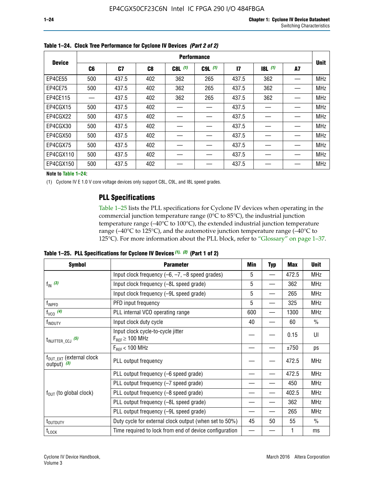|               | <b>Performance</b> |       |     |           |             |              |           |    |             |  |
|---------------|--------------------|-------|-----|-----------|-------------|--------------|-----------|----|-------------|--|
| <b>Device</b> | C6                 | C7    | C8  | $C8L$ (1) | $C9L$ $(1)$ | $\mathbf{I}$ | $18L$ (1) | A7 | <b>Unit</b> |  |
| EP4CE55       | 500                | 437.5 | 402 | 362       | 265         | 437.5        | 362       |    | <b>MHz</b>  |  |
| EP4CE75       | 500                | 437.5 | 402 | 362       | 265         | 437.5        | 362       |    | <b>MHz</b>  |  |
| EP4CE115      |                    | 437.5 | 402 | 362       | 265         | 437.5        | 362       |    | <b>MHz</b>  |  |
| EP4CGX15      | 500                | 437.5 | 402 |           |             | 437.5        |           |    | <b>MHz</b>  |  |
| EP4CGX22      | 500                | 437.5 | 402 |           |             | 437.5        |           |    | <b>MHz</b>  |  |
| EP4CGX30      | 500                | 437.5 | 402 |           |             | 437.5        |           |    | <b>MHz</b>  |  |
| EP4CGX50      | 500                | 437.5 | 402 |           |             | 437.5        |           |    | <b>MHz</b>  |  |
| EP4CGX75      | 500                | 437.5 | 402 |           |             | 437.5        |           |    | <b>MHz</b>  |  |
| EP4CGX110     | 500                | 437.5 | 402 |           |             | 437.5        |           |    | <b>MHz</b>  |  |
| EP4CGX150     | 500                | 437.5 | 402 |           |             | 437.5        |           |    | <b>MHz</b>  |  |

**Table 1–24. Clock Tree Performance for Cyclone IV Devices** *(Part 2 of 2)*

**Note to Table 1–24:**

(1) Cyclone IV E 1.0 V core voltage devices only support C8L, C9L, and I8L speed grades.

## **PLL Specifications**

Table 1–25 lists the PLL specifications for Cyclone IV devices when operating in the commercial junction temperature range (0°C to 85°C), the industrial junction temperature range (–40°C to 100°C), the extended industrial junction temperature range (–40°C to 125°C), and the automotive junction temperature range (–40°C to 125°C). For more information about the PLL block, refer to "Glossary" on page 1–37.

|  |  | Table 1–25. PLL Specifications for Cyclone IV Devices $(1)$ , $(2)$ (Part 1 of 2) |  |
|--|--|-----------------------------------------------------------------------------------|--|
|--|--|-----------------------------------------------------------------------------------|--|

| <b>Symbol</b>                                          | <b>Parameter</b>                                            | Min | <b>Typ</b>               | Max   | <b>Unit</b>   |
|--------------------------------------------------------|-------------------------------------------------------------|-----|--------------------------|-------|---------------|
|                                                        | Input clock frequency $(-6, -7, -8)$ speed grades)          | 5   | —                        | 472.5 | <b>MHz</b>    |
| $f_{\text{IN}}$ (3)                                    | Input clock frequency (-8L speed grade)                     | 5   |                          | 362   | <b>MHz</b>    |
|                                                        | Input clock frequency (-9L speed grade)                     | 5   |                          | 265   | <b>MHz</b>    |
| f <sub>INPFD</sub>                                     | PFD input frequency                                         | 5   |                          | 325   | <b>MHz</b>    |
| $f_{VCO}$ (4)                                          | PLL internal VCO operating range                            | 600 | $\overline{\phantom{0}}$ | 1300  | <b>MHz</b>    |
| f <sub>INDUTY</sub>                                    | Input clock duty cycle                                      | 40  |                          | 60    | $\frac{0}{0}$ |
| $t_{\text{INJITTER\_CCJ}}$ (5)                         | Input clock cycle-to-cycle jitter<br>$F_{REF} \geq 100$ MHz |     |                          | 0.15  | UI            |
|                                                        | $F_{RFF}$ < 100 MHz                                         |     |                          | ±750  | ps            |
| $f_{\text{OUT\_EXT}}$ (external clock<br>output) $(3)$ | PLL output frequency                                        |     |                          | 472.5 | <b>MHz</b>    |
|                                                        | PLL output frequency (-6 speed grade)                       |     |                          | 472.5 | <b>MHz</b>    |
|                                                        | PLL output frequency (-7 speed grade)                       |     |                          | 450   | <b>MHz</b>    |
| $f_{OUT}$ (to global clock)                            | PLL output frequency (-8 speed grade)                       |     |                          | 402.5 | <b>MHz</b>    |
|                                                        | PLL output frequency (-8L speed grade)                      |     |                          | 362   | <b>MHz</b>    |
|                                                        | PLL output frequency (-9L speed grade)                      |     |                          | 265   | <b>MHz</b>    |
| t <sub>outputy</sub>                                   | Duty cycle for external clock output (when set to 50%)      | 45  | 50                       | 55    | $\frac{0}{0}$ |
| $t_{\text{LOCK}}$                                      | Time required to lock from end of device configuration      |     |                          |       | ms            |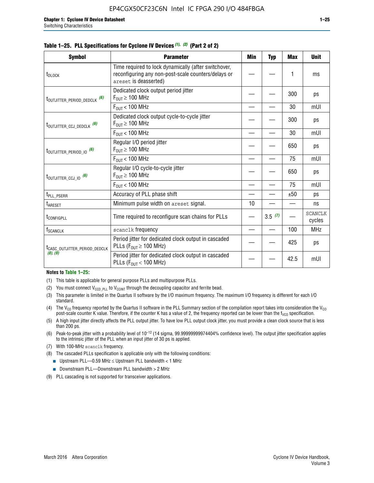|  | Table 1–25. PLL Specifications for Cyclone IV Devices $(1)$ , $(2)$ (Part 2 of 2) |  |  |
|--|-----------------------------------------------------------------------------------|--|--|
|--|-----------------------------------------------------------------------------------|--|--|

| <b>Symbol</b>                             | <b>Parameter</b>                                                                                                                     | Min | <b>Typ</b> | <b>Max</b> | <b>Unit</b>              |
|-------------------------------------------|--------------------------------------------------------------------------------------------------------------------------------------|-----|------------|------------|--------------------------|
| t <sub>DLOCK</sub>                        | Time required to lock dynamically (after switchover,<br>reconfiguring any non-post-scale counters/delays or<br>areset is deasserted) |     |            | 1          | ms                       |
| t <sub>outjitter_period_dedclk</sub> (6)  | Dedicated clock output period jitter<br>$F_{OIII} \geq 100$ MHz                                                                      |     |            | 300        | ps                       |
|                                           | $F_{OUT}$ < 100 MHz                                                                                                                  |     |            | 30         | mUI                      |
| t <sub>outjitter_ccj_dedclk</sub> (6)     | Dedicated clock output cycle-to-cycle jitter<br>$F_{OUT} \geq 100$ MHz                                                               |     |            | 300        | ps                       |
|                                           | $F_{OUT}$ < 100 MHz                                                                                                                  |     |            | 30         | mUI                      |
| t <sub>outjitter_period_io</sub> (6)      | Regular I/O period jitter<br>$F_{OUT} \geq 100$ MHz                                                                                  |     |            | 650        | ps                       |
|                                           | $F_{OUT}$ < 100 MHz                                                                                                                  |     |            | 75         | mUI                      |
| t <sub>outjitter_ccj_io</sub> (6)         | Regular I/O cycle-to-cycle jitter<br>$F_{OUT} \geq 100$ MHz                                                                          |     |            | 650        | ps                       |
|                                           | $F_{OIII}$ < 100 MHz                                                                                                                 |     |            | 75         | mUI                      |
| t <sub>PLL_PSERR</sub>                    | Accuracy of PLL phase shift                                                                                                          |     |            | ±50        | ps                       |
| t <sub>ARESET</sub>                       | Minimum pulse width on areset signal.                                                                                                | 10  |            |            | ns                       |
| t <sub>configpll</sub>                    | Time required to reconfigure scan chains for PLLs                                                                                    |     | 3.5(7)     |            | <b>SCANCLK</b><br>cycles |
| f <sub>SCANCLK</sub>                      | scanclk frequency                                                                                                                    |     |            | 100        | <b>MHz</b>               |
| t <sub>CASC_OUTJITTER_PERIOD_DEDCLK</sub> | Period jitter for dedicated clock output in cascaded<br>PLLs ( $F_{OUT} \ge 100$ MHz)                                                |     |            | 425        | ps                       |
| (8), (9)                                  | Period jitter for dedicated clock output in cascaded<br>PLLs ( $F_{OUT}$ < 100 MHz)                                                  |     |            | 42.5       | mUI                      |

#### **Notes to Table 1–25:**

- (1) This table is applicable for general purpose PLLs and multipurpose PLLs.
- (2) You must connect  $V_{CCD-PLL}$  to  $V_{CCINT}$  through the decoupling capacitor and ferrite bead.
- (3) This parameter is limited in the Quartus II software by the I/O maximum frequency. The maximum I/O frequency is different for each I/O standard.
- (4) The  $V_{CO}$  frequency reported by the Quartus II software in the PLL Summary section of the compilation report takes into consideration the  $V_{CO}$ post-scale counter K value. Therefore, if the counter K has a value of 2, the frequency reported can be lower than the f<sub>VCO</sub> specification.
- (5) A high input jitter directly affects the PLL output jitter. To have low PLL output clock jitter, you must provide a clean clock source that is less than 200 ps.
- (6) Peak-to-peak jitter with a probability level of 10–12 (14 sigma, 99.99999999974404% confidence level). The output jitter specification applies to the intrinsic jitter of the PLL when an input jitter of 30 ps is applied.
- (7) With 100-MHz scanclk frequency.
- (8) The cascaded PLLs specification is applicable only with the following conditions:
	- **■** Upstream PLL—0.59 MHz  $\leq$  Upstream PLL bandwidth  $<$  1 MHz
	- Downstream PLL—Downstream PLL bandwidth > 2 MHz
- (9) PLL cascading is not supported for transceiver applications.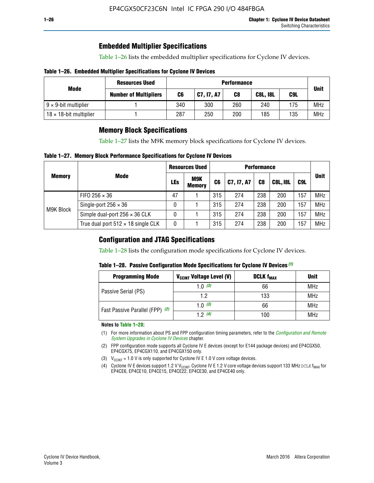## **Embedded Multiplier Specifications**

Table 1–26 lists the embedded multiplier specifications for Cyclone IV devices.

### **Table 1–26. Embedded Multiplier Specifications for Cyclone IV Devices**

|                                | <b>Resources Used</b>        | <b>Performance</b> |            |     |                 |     |             |
|--------------------------------|------------------------------|--------------------|------------|-----|-----------------|-----|-------------|
| Mode                           | <b>Number of Multipliers</b> | C6                 | C7, I7, A7 | C8  | <b>C8L, I8L</b> | C9L | <b>Unit</b> |
| $9 \times 9$ -bit multiplier   |                              | 340                | 300        | 260 | 240             | 175 | <b>MHz</b>  |
| $18 \times 18$ -bit multiplier |                              | 287                | 250        | 200 | 185             | 135 | <b>MHz</b>  |

## **Memory Block Specifications**

Table 1–27 lists the M9K memory block specifications for Cyclone IV devices.

### **Table 1–27. Memory Block Performance Specifications for Cyclone IV Devices**

|               |                                           | <b>Resources Used</b> |                      | <b>Performance</b> |            |                |                 |     |             |
|---------------|-------------------------------------------|-----------------------|----------------------|--------------------|------------|----------------|-----------------|-----|-------------|
| <b>Memory</b> | <b>Mode</b>                               | <b>LEs</b>            | M9K<br><b>Memory</b> | C <sub>6</sub>     | C7, I7, A7 | C <sub>8</sub> | <b>C8L, I8L</b> | C9L | <b>Unit</b> |
|               | FIFO 256 $\times$ 36                      | 47                    |                      | 315                | 274        | 238            | 200             | 157 | <b>MHz</b>  |
| M9K Block     | Single-port $256 \times 36$               | 0                     |                      | 315                | 274        | 238            | 200             | 157 | <b>MHz</b>  |
|               | Simple dual-port $256 \times 36$ CLK      | 0                     |                      | 315                | 274        | 238            | 200             | 157 | <b>MHz</b>  |
|               | True dual port $512 \times 18$ single CLK | 0                     |                      | 315                | 274        | 238            | 200             | 157 | <b>MHz</b>  |

## **Configuration and JTAG Specifications**

Table 1–28 lists the configuration mode specifications for Cyclone IV devices.

### **Table 1–28. Passive Configuration Mode Specifications for Cyclone IV Devices** *(1)*

| <b>Programming Mode</b>         | V <sub>CCINT</sub> Voltage Level (V) | <b>DCLK f<sub>MAX</sub></b> | <b>Unit</b> |
|---------------------------------|--------------------------------------|-----------------------------|-------------|
| Passive Serial (PS)             | 1.0 $(3)$                            | 66                          | MHz         |
|                                 | 1.2                                  | 133                         | MHz         |
| Fast Passive Parallel (FPP) (2) | 1.0 $(3)$                            | 66                          | <b>MHz</b>  |
|                                 | 12(4)                                | 100                         | <b>MHz</b>  |

#### **Notes to Table 1–28:**

- (1) For more information about PS and FPP configuration timing parameters, refer to the *[Configuration and Remote](http://www.altera.com/literature/hb/cyclone-iv/cyiv-51008.pdf)  [System Upgrades in Cyclone IV Devices](http://www.altera.com/literature/hb/cyclone-iv/cyiv-51008.pdf)* chapter.
- (2) FPP configuration mode supports all Cyclone IV E devices (except for E144 package devices) and EP4CGX50, EP4CGX75, EP4CGX110, and EP4CGX150 only.
- (3)  $V_{CCMT}$  = 1.0 V is only supported for Cyclone IV E 1.0 V core voltage devices.
- (4) Cyclone IV E devices support 1.2 V V<sub>CCINT</sub>. Cyclone IV E 1.2 V core voltage devices support 133 MHz DCLK f<sub>MAX</sub> for EP4CE6, EP4CE10, EP4CE15, EP4CE22, EP4CE30, and EP4CE40 only.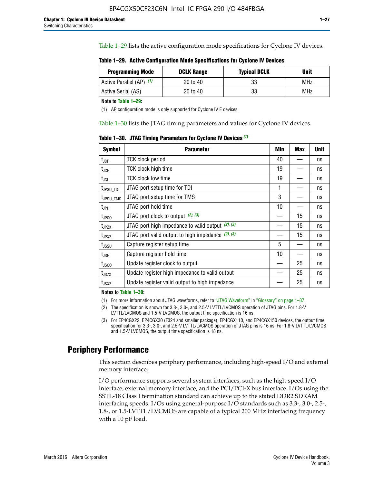Table 1–29 lists the active configuration mode specifications for Cyclone IV devices.

**Table 1–29. Active Configuration Mode Specifications for Cyclone IV Devices**

| <b>Programming Mode</b>  | <b>DCLK Range</b> | <b>Typical DCLK</b> | Unit |
|--------------------------|-------------------|---------------------|------|
| Active Parallel (AP) (1) | 20 to 40          | 33                  | MHz  |
| Active Serial (AS)       | 20 to 40          | 33                  | MHz  |

**Note to Table 1–29:**

(1) AP configuration mode is only supported for Cyclone IV E devices.

Table 1–30 lists the JTAG timing parameters and values for Cyclone IV devices.

**Table 1–30. JTAG Timing Parameters for Cyclone IV Devices** *(1)*

| <b>Symbol</b>         | <b>Parameter</b>                                       | Min | <b>Max</b> | <b>Unit</b> |
|-----------------------|--------------------------------------------------------|-----|------------|-------------|
| $t_{JCP}$             | <b>TCK clock period</b>                                | 40  |            | ns          |
| $t_{\rm JCH}$         | TCK clock high time                                    | 19  |            | ns          |
| $t_{JCL}$             | TCK clock low time                                     | 19  |            | ns          |
| $t_{JPSU\_TDI}$       | JTAG port setup time for TDI                           | 1   |            | ns          |
| t <sub>JPSU_TMS</sub> | JTAG port setup time for TMS                           | 3   |            | ns          |
| t <sub>JPH</sub>      | JTAG port hold time                                    | 10  |            | ns          |
| t <sub>JPCO</sub>     | JTAG port clock to output $(2)$ , $(3)$                |     | 15         | ns          |
| t <sub>JPZX</sub>     | JTAG port high impedance to valid output $(2)$ , $(3)$ |     | 15         | ns          |
| t <sub>JPXZ</sub>     | JTAG port valid output to high impedance $(2)$ , $(3)$ |     | 15         | ns          |
| $t_{\rm JSSU}$        | Capture register setup time                            | 5   |            | ns          |
| $t_{\mathsf{JSH}}$    | Capture register hold time                             | 10  |            | ns          |
| $t_{\rm JSCO}$        | Update register clock to output                        |     | 25         | ns          |
| $t_{\text{JSZX}}$     | Update register high impedance to valid output         |     | 25         | ns          |
| t <sub>JSXZ</sub>     | Update register valid output to high impedance         |     | 25         | ns          |

**Notes to Table 1–30:**

(1) For more information about JTAG waveforms, refer to "JTAG Waveform" in "Glossary" on page 1–37.

(2) The specification is shown for 3.3-, 3.0-, and 2.5-V LVTTL/LVCMOS operation of JTAG pins. For 1.8-V LVTTL/LVCMOS and 1.5-V LVCMOS, the output time specification is 16 ns.

(3) For EP4CGX22, EP4CGX30 (F324 and smaller package), EP4CGX110, and EP4CGX150 devices, the output time specification for 3.3-, 3.0-, and 2.5-V LVTTL/LVCMOS operation of JTAG pins is 16 ns. For 1.8-V LVTTL/LVCMOS and 1.5-V LVCMOS, the output time specification is 18 ns.

## **Periphery Performance**

This section describes periphery performance, including high-speed I/O and external memory interface.

I/O performance supports several system interfaces, such as the high-speed I/O interface, external memory interface, and the PCI/PCI-X bus interface. I/Os using the SSTL-18 Class I termination standard can achieve up to the stated DDR2 SDRAM interfacing speeds. I/Os using general-purpose I/O standards such as 3.3-, 3.0-, 2.5-, 1.8-, or 1.5-LVTTL/LVCMOS are capable of a typical 200 MHz interfacing frequency with a 10 pF load.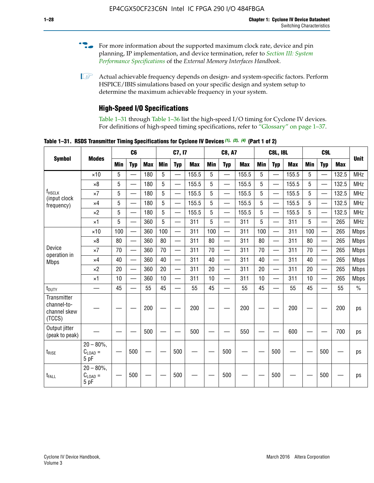- For more information about the supported maximum clock rate, device and pin planning, IP implementation, and device termination, refer to *[Section III: System](http://www.altera.com/literature/hb/external-memory/emi_intro_specs.pdf)  [Performance Specifications](http://www.altera.com/literature/hb/external-memory/emi_intro_specs.pdf)* of the *External Memory Interfaces Handbook*.
- **1 Actual achievable frequency depends on design- and system-specific factors. Perform** HSPICE/IBIS simulations based on your specific design and system setup to determine the maximum achievable frequency in your system.

## **High-Speed I/O Specifications**

Table 1–31 through Table 1–36 list the high-speed I/O timing for Cyclone IV devices. For definitions of high-speed timing specifications, refer to "Glossary" on page 1–37.

**Table 1–31. RSDS Transmitter Timing Specifications for Cyclone IV Devices** *(1)***,** *(2)***,** *(4)* **(Part 1 of 2)**

|                                                      |                                     |            | C <sub>6</sub>           |            |            | C7, I7                   |            |            | <b>C8, A7</b>            |            |            | <b>C8L, I8L</b>          |            |     | C <sub>9</sub> L         |            |             |
|------------------------------------------------------|-------------------------------------|------------|--------------------------|------------|------------|--------------------------|------------|------------|--------------------------|------------|------------|--------------------------|------------|-----|--------------------------|------------|-------------|
| <b>Symbol</b>                                        | <b>Modes</b>                        | <b>Min</b> | <b>Typ</b>               | <b>Max</b> | <b>Min</b> | <b>Typ</b>               | <b>Max</b> | <b>Min</b> | <b>Typ</b>               | <b>Max</b> | <b>Min</b> | <b>Typ</b>               | <b>Max</b> | Min | <b>Typ</b>               | <b>Max</b> | <b>Unit</b> |
|                                                      | $\times$ 10                         | 5          |                          | 180        | 5          | $\overline{\phantom{0}}$ | 155.5      | 5          | $\overline{\phantom{0}}$ | 155.5      | 5          | $\overline{\phantom{0}}$ | 155.5      | 5   |                          | 132.5      | <b>MHz</b>  |
|                                                      | $\times 8$                          | 5          |                          | 180        | 5          |                          | 155.5      | 5          | $\overline{\phantom{0}}$ | 155.5      | 5          |                          | 155.5      | 5   |                          | 132.5      | <b>MHz</b>  |
| f <sub>HSCLK</sub><br>(input clock                   | $\times 7$                          | 5          |                          | 180        | 5          |                          | 155.5      | 5          | $\overline{\phantom{0}}$ | 155.5      | 5          |                          | 155.5      | 5   |                          | 132.5      | <b>MHz</b>  |
| frequency)                                           | $\times$ 4                          | 5          | $\overline{\phantom{0}}$ | 180        | 5          |                          | 155.5      | 5          | $\overline{\phantom{0}}$ | 155.5      | 5          |                          | 155.5      | 5   |                          | 132.5      | <b>MHz</b>  |
|                                                      | $\times 2$                          | 5          | $\overline{\phantom{m}}$ | 180        | 5          | —                        | 155.5      | 5          | $\overline{\phantom{0}}$ | 155.5      | 5          | —                        | 155.5      | 5   | —                        | 132.5      | <b>MHz</b>  |
|                                                      | $\times$ 1                          | 5          |                          | 360        | 5          | $\overline{\phantom{0}}$ | 311        | 5          | $\qquad \qquad$          | 311        | 5          | —                        | 311        | 5   | —                        | 265        | <b>MHz</b>  |
|                                                      | $\times$ 10                         | 100        | $\overline{\phantom{0}}$ | 360        | 100        |                          | 311        | 100        | $\overline{\phantom{0}}$ | 311        | 100        | $\overline{\phantom{0}}$ | 311        | 100 |                          | 265        | <b>Mbps</b> |
|                                                      | $\times 8$                          | 80         | $\overline{\phantom{0}}$ | 360        | 80         |                          | 311        | 80         | $\overline{\phantom{0}}$ | 311        | 80         | $\overline{\phantom{0}}$ | 311        | 80  |                          | 265        | <b>Mbps</b> |
| Device                                               | $\times 7$                          | 70         |                          | 360        | 70         | $\equiv$                 | 311        | 70         | $\overline{\phantom{0}}$ | 311        | 70         | $\overline{\phantom{0}}$ | 311        | 70  | $\equiv$                 | 265        | <b>Mbps</b> |
| operation in<br><b>Mbps</b>                          | $\times$ 4                          | 40         |                          | 360        | 40         |                          | 311        | 40         | $\overline{\phantom{0}}$ | 311        | 40         | $\overline{\phantom{0}}$ | 311        | 40  | $\overline{\phantom{0}}$ | 265        | <b>Mbps</b> |
|                                                      | $\times 2$                          | 20         |                          | 360        | 20         |                          | 311        | 20         |                          | 311        | 20         |                          | 311        | 20  | $\overline{\phantom{0}}$ | 265        | <b>Mbps</b> |
|                                                      | $\times$ 1                          | 10         |                          | 360        | 10         |                          | 311        | 10         | $\overline{\phantom{0}}$ | 311        | 10         | $\overline{\phantom{0}}$ | 311        | 10  | $\overline{\phantom{0}}$ | 265        | <b>Mbps</b> |
| $t_{\text{DUTY}}$                                    | $\overline{\phantom{0}}$            | 45         | $\overline{\phantom{0}}$ | 55         | 45         |                          | 55         | 45         | $\overline{\phantom{0}}$ | 55         | 45         |                          | 55         | 45  |                          | 55         | $\%$        |
| Transmitter<br>channel-to-<br>channel skew<br>(TCCS) |                                     |            |                          | 200        |            |                          | 200        |            |                          | 200        |            |                          | 200        |     |                          | 200        | ps          |
| Output jitter<br>(peak to peak)                      |                                     |            |                          | 500        |            |                          | 500        |            |                          | 550        |            |                          | 600        |     |                          | 700        | ps          |
| $t_{\text{RISE}}$                                    | $20 - 80\%$<br>$C_{LOAD} =$<br>5 pF |            | 500                      |            |            | 500                      |            |            | 500                      |            |            | 500                      |            |     | 500                      |            | ps          |
| t <sub>FALL</sub>                                    | $20 - 80\%$<br>$C_{LOAD}$ =<br>5 pF |            | 500                      |            |            | 500                      |            |            | 500                      |            |            | 500                      |            |     | 500                      |            | ps          |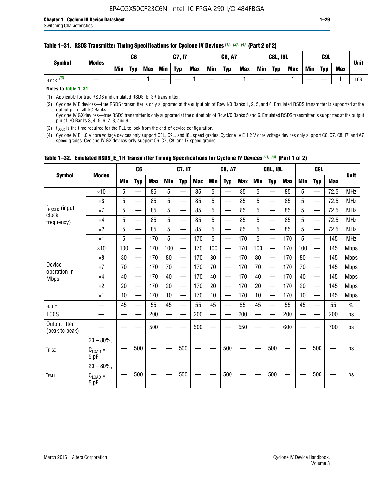Min | Typ | Max | Min | Typ | Max | Min | Typ | Max | Min | Typ | Max | Min | Typ | Max

#### **Table 1–31. RSDS Transmitter Timing Specifications for Cyclone IV Devices** *(1)***,** *(2)***,** *(4)* **(Part 2 of 2)**

|  | Notes to Table 1-31: |
|--|----------------------|
|  |                      |

(1) Applicable for true RSDS and emulated RSDS\_E\_3R transmitter.

(2) Cyclone IV E devices—true RSDS transmitter is only supported at the output pin of Row I/O Banks 1, 2, 5, and 6. Emulated RSDS transmitter is supported at the output pin of all I/O Banks. Cyclone IV GX devices—true RSDS transmitter is only supported at the output pin of Row I/O Banks 5 and 6. Emulated RSDS transmitter is supported at the output

t<sub>LOCK</sub> (3) | 一 | — | — | 1 | — | ― | 1 | ― | ― | 1 | ― | 1 | ― | 1 | ― | 1 | ― | 1 | ms

pin of I/O Banks 3, 4, 5, 6, 7, 8, and 9. (3)  $t_{\text{LOCK}}$  is the time required for the PLL to lock from the end-of-device configuration.

(4) Cyclone IV E 1.0 V core voltage devices only support C8L, C9L, and I8L speed grades. Cyclone IV E 1.2 V core voltage devices only support C6, C7, C8, I7, and A7 speed grades. Cyclone IV GX devices only support C6, C7, C8, and I7 speed grades.

|                                 |                             |            | C <sub>6</sub>                  |            |                          | C7, I7                   |            |                          | C8, A7                   |            |            | <b>C8L, I8L</b>          |            |            | C <sub>9</sub> L         |            |               |
|---------------------------------|-----------------------------|------------|---------------------------------|------------|--------------------------|--------------------------|------------|--------------------------|--------------------------|------------|------------|--------------------------|------------|------------|--------------------------|------------|---------------|
| <b>Symbol</b>                   | <b>Modes</b>                | <b>Min</b> | <b>Typ</b>                      | <b>Max</b> | <b>Min</b>               | <b>Typ</b>               | <b>Max</b> | <b>Min</b>               | <b>Typ</b>               | <b>Max</b> | <b>Min</b> | <b>Typ</b>               | <b>Max</b> | <b>Min</b> | <b>Typ</b>               | <b>Max</b> | <b>Unit</b>   |
|                                 | $\times$ 10                 | 5          |                                 | 85         | 5                        | $\overline{\phantom{0}}$ | 85         | 5                        | $\overline{\phantom{0}}$ | 85         | 5          | $\overline{\phantom{0}}$ | 85         | 5          | —                        | 72.5       | <b>MHz</b>    |
|                                 | $\times 8$                  | 5          | $\overline{\phantom{0}}$        | 85         | 5                        | $\overline{\phantom{0}}$ | 85         | $\overline{5}$           | $\overline{\phantom{0}}$ | 85         | 5          | $\overline{\phantom{0}}$ | 85         | 5          | $\overline{\phantom{0}}$ | 72.5       | <b>MHz</b>    |
| f <sub>HSCLK</sub> (input       | $\times 7$                  | 5          | —                               | 85         | 5                        | —                        | 85         | $5\phantom{.0}$          | —                        | 85         | 5          | $\overline{\phantom{0}}$ | 85         | 5          | $\overline{\phantom{0}}$ | 72.5       | <b>MHz</b>    |
| clock<br>frequency)             | $\times 4$                  | 5          | $\overline{\phantom{0}}$        | 85         | 5                        |                          | 85         | 5                        | $\overline{\phantom{0}}$ | 85         | 5          | $\overline{\phantom{0}}$ | 85         | 5          | $\overline{\phantom{0}}$ | 72.5       | <b>MHz</b>    |
|                                 | $\times 2$                  | 5          | $\equiv$                        | 85         | 5                        | $\overline{\phantom{a}}$ | 85         | 5                        | $\equiv$                 | 85         | 5          | $\overline{\phantom{0}}$ | 85         | 5          |                          | 72.5       | <b>MHz</b>    |
|                                 | $\times$ 1                  | 5          | $\overline{\phantom{0}}$        | 170        | 5                        | $\overline{\phantom{0}}$ | 170        | 5                        | $\overline{\phantom{0}}$ | 170        | 5          |                          | 170        | 5          |                          | 145        | <b>MHz</b>    |
|                                 | $\times$ 10                 | 100        | $\overline{\phantom{0}}$        | 170        | 100                      |                          | 170        | 100                      | $\qquad \qquad$          | 170        | 100        | $\overline{\phantom{0}}$ | 170        | 100        |                          | 145        | <b>Mbps</b>   |
|                                 | $\times 8$                  | 80         | $\overbrace{\qquad \qquad }^{}$ | 170        | 80                       | $\overline{\phantom{0}}$ | 170        | 80                       |                          | 170        | 80         |                          | 170        | 80         |                          | 145        | <b>Mbps</b>   |
| Device                          | $\times 7$                  | 70         | $\qquad \qquad \qquad$          | 170        | 70                       | —                        | 170        | 70                       |                          | 170        | 70         |                          | 170        | 70         | $\overline{\phantom{0}}$ | 145        | <b>Mbps</b>   |
| operation in<br><b>Mbps</b>     | $\times 4$                  | 40         | $\qquad \qquad$                 | 170        | 40                       | —                        | 170        | 40                       |                          | 170        | 40         |                          | 170        | 40         | $\overline{\phantom{0}}$ | 145        | <b>Mbps</b>   |
|                                 | $\times 2$                  | 20         |                                 | 170        | 20                       | $\overline{\phantom{0}}$ | 170        | 20                       | $\overline{\phantom{0}}$ | 170        | 20         |                          | 170        | 20         |                          | 145        | <b>Mbps</b>   |
|                                 | $\times$ 1                  | 10         | $\overline{\phantom{0}}$        | 170        | 10                       | $\overline{\phantom{0}}$ | 170        | 10                       |                          | 170        | 10         | $\overline{\phantom{0}}$ | 170        | 10         |                          | 145        | <b>Mbps</b>   |
| t <sub>DUTY</sub>               |                             | 45         |                                 | 55         | 45                       |                          | 55         | 45                       |                          | 55         | 45         | $\overline{\phantom{0}}$ | 55         | 45         |                          | 55         | $\frac{0}{0}$ |
| <b>TCCS</b>                     | $\overline{\phantom{0}}$    |            |                                 | 200        | $\overline{\phantom{0}}$ |                          | 200        | $\overline{\phantom{0}}$ | $\overline{\phantom{0}}$ | 200        |            | —                        | 200        |            |                          | 200        | ps            |
| Output jitter<br>(peak to peak) |                             |            |                                 | 500        |                          |                          | 500        |                          |                          | 550        |            |                          | 600        |            |                          | 700        | ps            |
|                                 | $20 - 80\%$ ,               |            |                                 |            |                          |                          |            |                          |                          |            |            |                          |            |            |                          |            |               |
| $t_{\text{RISE}}$               | $C_{LOAD} =$<br>5 pF        |            | 500                             |            |                          | 500                      |            |                          | 500                      |            |            | 500                      |            |            | 500                      |            | ps            |
|                                 | $20 - 80\%$ .               |            |                                 |            |                          |                          |            |                          |                          |            |            |                          |            |            |                          |            |               |
| t <sub>FALL</sub>               | $C_{\text{LOAD}} =$<br>5 pF |            | 500                             |            |                          | 500                      |            |                          | 500                      |            |            | 500                      |            |            | 500                      |            | ps            |

### **Table 1–32. Emulated RSDS\_E\_1R Transmitter Timing Specifications for Cyclone IV Devices** *(1), (3)* **(Part 1 of 2)**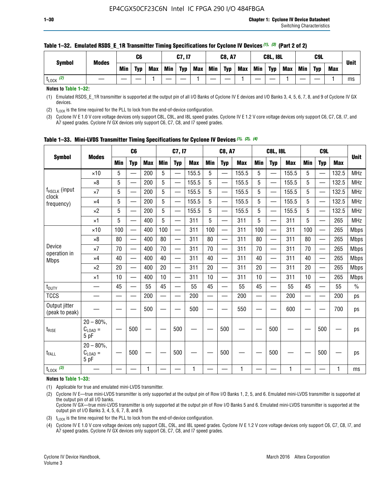| <b>Symbol</b>        | <b>Modes</b> |            | C6  |            |            | C7, I7     |            |     | <b>C8, A7</b> |            |     | <b>C8L, I8L</b> |     |     | C <sub>9</sub> L |     | <b>Unit</b> |
|----------------------|--------------|------------|-----|------------|------------|------------|------------|-----|---------------|------------|-----|-----------------|-----|-----|------------------|-----|-------------|
|                      |              | <b>Min</b> | Typ | <b>Max</b> | <b>Min</b> | <b>Typ</b> | <b>Max</b> | Min | <b>Typ</b>    | <b>Max</b> | Min | <b>Typ</b>      | Max | Min | <b>Typ</b>       | Max |             |
| (2)<br><b>L</b> LOCK |              |            |     |            |            |            |            |     |               |            |     |                 |     |     |                  |     | ms          |

### **Table 1–32. Emulated RSDS\_E\_1R Transmitter Timing Specifications for Cyclone IV Devices** *(1), (3)* **(Part 2 of 2)**

**Notes to Table 1–32:**

(1) Emulated RSDS\_E\_1R transmitter is supported at the output pin of all I/O Banks of Cyclone IV E devices and I/O Banks 3, 4, 5, 6, 7, 8, and 9 of Cyclone IV GX devices.

(2)  $t_{\text{LOCK}}$  is the time required for the PLL to lock from the end-of-device configuration.

(3) Cyclone IV E 1.0 V core voltage devices only support C8L, C9L, and I8L speed grades. Cyclone IV E 1.2 V core voltage devices only support C6, C7, C8, I7, and A7 speed grades. Cyclone IV GX devices only support C6, C7, C8, and I7 speed grades.

|                                 |                                            |            | C <sub>6</sub>           |            |            | C7, I7                   |            |            | <b>C8, A7</b>            |            |                          | <b>C8L, I8L</b>          |            |            | C <sub>9</sub> L |            |               |
|---------------------------------|--------------------------------------------|------------|--------------------------|------------|------------|--------------------------|------------|------------|--------------------------|------------|--------------------------|--------------------------|------------|------------|------------------|------------|---------------|
| <b>Symbol</b>                   | <b>Modes</b>                               | <b>Min</b> | <b>Typ</b>               | <b>Max</b> | <b>Min</b> | <b>Typ</b>               | <b>Max</b> | <b>Min</b> | <b>Typ</b>               | <b>Max</b> | <b>Min</b>               | <b>Typ</b>               | <b>Max</b> | <b>Min</b> | <b>Typ</b>       | <b>Max</b> | <b>Unit</b>   |
|                                 | $\times$ 10                                | 5          | —<br>—                   | 200        | 5          |                          | 155.5      | 5          | ÷,                       | 155.5      | 5                        | $\overline{\phantom{0}}$ | 155.5      | 5          |                  | 132.5      | <b>MHz</b>    |
|                                 | $\times 8$                                 | 5          | $\overline{\phantom{0}}$ | 200        | 5          | $\overline{\phantom{0}}$ | 155.5      | 5          | —                        | 155.5      | 5                        |                          | 155.5      | 5          |                  | 132.5      | <b>MHz</b>    |
| f <sub>HSCLK</sub> (input       | $\times 7$                                 | 5          | $\overline{\phantom{0}}$ | 200        | 5          | —                        | 155.5      | 5          | $\overline{\phantom{0}}$ | 155.5      | 5                        |                          | 155.5      | 5          | —                | 132.5      | <b>MHz</b>    |
| clock<br>frequency)             | $\times$ 4                                 | 5          | $\overline{\phantom{0}}$ | 200        | 5          | —                        | 155.5      | 5          | $\overline{\phantom{0}}$ | 155.5      | 5                        | $\overline{\phantom{0}}$ | 155.5      | 5          | —                | 132.5      | <b>MHz</b>    |
|                                 | $\times 2$                                 | 5          | $\overline{\phantom{0}}$ | 200        | 5          | $\overline{\phantom{0}}$ | 155.5      | 5          | $\overline{\phantom{0}}$ | 155.5      | 5                        | $\overline{\phantom{0}}$ | 155.5      | 5          |                  | 132.5      | <b>MHz</b>    |
|                                 | $\times$ 1                                 | 5          | $\overline{\phantom{0}}$ | 400        | 5          |                          | 311        | 5          | —                        | 311        | 5                        | $\overline{\phantom{0}}$ | 311        | 5          |                  | 265        | <b>MHz</b>    |
|                                 | $\times$ 10                                | 100        |                          | 400        | 100        | $\overline{\phantom{0}}$ | 311        | 100        | $\overline{\phantom{0}}$ | 311        | 100                      | $\overline{\phantom{0}}$ | 311        | 100        |                  | 265        | <b>Mbps</b>   |
|                                 | $\times 8$                                 | 80         | $\overline{\phantom{0}}$ | 400        | 80         | $\equiv$                 | 311        | 80         | $\overline{\phantom{0}}$ | 311        | 80                       | —                        | 311        | 80         |                  | 265        | <b>Mbps</b>   |
| Device<br>operation in          | $\times 7$                                 | 70         | $\overline{\phantom{0}}$ | 400        | 70         | $\overline{\phantom{0}}$ | 311        | 70         | $\qquad \qquad$          | 311        | 70                       |                          | 311        | 70         |                  | 265        | <b>Mbps</b>   |
| <b>Mbps</b>                     | $\times 4$                                 | 40         | $\overline{\phantom{0}}$ | 400        | 40         |                          | 311        | 40         | er<br>Here               | 311        | 40                       | $\overline{\phantom{0}}$ | 311        | 40         |                  | 265        | <b>Mbps</b>   |
|                                 | $\times 2$                                 | 20         | $\overline{\phantom{0}}$ | 400        | 20         | —                        | 311        | 20         | $\overline{\phantom{0}}$ | 311        | 20                       | $\overline{\phantom{0}}$ | 311        | 20         |                  | 265        | <b>Mbps</b>   |
|                                 | ×1                                         | 10         | $\overline{\phantom{0}}$ | 400        | 10         | —                        | 311        | 10         | $\overline{\phantom{0}}$ | 311        | 10                       | $\overline{\phantom{0}}$ | 311        | 10         |                  | 265        | <b>Mbps</b>   |
| t <sub>DUTY</sub>               |                                            | 45         |                          | 55         | 45         |                          | 55         | 45         | $\overline{\phantom{0}}$ | 55         | 45                       | —                        | 55         | 45         |                  | 55         | $\frac{0}{0}$ |
| <b>TCCS</b>                     |                                            |            |                          | 200        | —          |                          | 200        |            |                          | 200        | $\overline{\phantom{0}}$ |                          | 200        |            |                  | 200        | ps            |
| Output jitter<br>(peak to peak) |                                            |            |                          | 500        |            |                          | 500        |            |                          | 550        |                          |                          | 600        |            |                  | 700        | ps            |
| $t_{\text{RISE}}$               | $20 - 80\%$<br>$C_{\text{LOAD}} =$<br>5 pF |            | 500                      |            |            | 500                      |            |            | 500                      |            |                          | 500                      |            |            | 500              |            | ps            |
| t <sub>FALL</sub>               | $20 - 80\%$<br>$C_{LOAD} =$<br>5 pF        |            | 500                      |            |            | 500                      |            |            | 500                      |            |                          | 500                      |            |            | 500              |            | ps            |
| $t_{\text{LOCK}}$ (3)           |                                            |            |                          | 1          |            |                          | 1          |            |                          | 1          |                          |                          | 1          |            |                  | 1          | ms            |

**Table 1–33. Mini-LVDS Transmitter Timing Specifications for Cyclone IV Devices** *(1)***,** *(2)***,** *(4)*

**Notes to Table 1–33:**

(1) Applicable for true and emulated mini-LVDS transmitter.

(2) Cyclone IV E—true mini-LVDS transmitter is only supported at the output pin of Row I/O Banks 1, 2, 5, and 6. Emulated mini-LVDS transmitter is supported at the output pin of all I/O banks.

Cyclone IV GX—true mini-LVDS transmitter is only supported at the output pin of Row I/O Banks 5 and 6. Emulated mini-LVDS transmitter is supported at the output pin of I/O Banks 3, 4, 5, 6, 7, 8, and 9.

(3)  $t_{\text{LOCK}}$  is the time required for the PLL to lock from the end-of-device configuration.

(4) Cyclone IV E 1.0 V core voltage devices only support C8L, C9L, and I8L speed grades. Cyclone IV E 1.2 V core voltage devices only support C6, C7, C8, I7, and A7 speed grades. Cyclone IV GX devices only support C6, C7, C8, and I7 speed grades.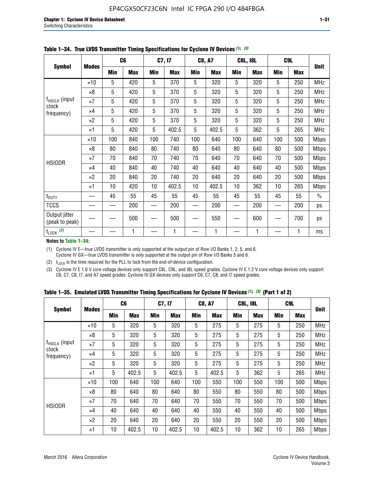|                                    |              |     | C <sub>6</sub> |     | C7, I7     |            | <b>C8, A7</b> |             | <b>C8L, I8L</b> |            | C <sub>9</sub> L | <b>Unit</b>   |
|------------------------------------|--------------|-----|----------------|-----|------------|------------|---------------|-------------|-----------------|------------|------------------|---------------|
| <b>Symbol</b>                      | <b>Modes</b> | Min | <b>Max</b>     | Min | <b>Max</b> | <b>Min</b> | <b>Max</b>    | <b>Min</b>  | <b>Max</b>      | <b>Min</b> | <b>Max</b>       |               |
|                                    | $\times 10$  | 5   | 420            | 5   | 370        | 5          | 320           | 5           | 320             | 5          | 250              | <b>MHz</b>    |
|                                    | $\times 8$   | 5   | 420            | 5   | 370        | 5          | 320           | 5           | 320             | 5          | 250              | <b>MHz</b>    |
| f <sub>HSCLK</sub> (input<br>clock | $\times 7$   | 5   | 420            | 5   | 370        | 5          | 320           | $\mathbf 5$ | 320             | 5          | 250              | MHz           |
| frequency)                         | $\times$ 4   | 5   | 420            | 5   | 370        | 5          | 320           | 5           | 320             | 5          | 250              | MHz           |
|                                    | $\times 2$   | 5   | 420            | 5   | 370        | 5          | 320           | $\sqrt{5}$  | 320             | 5          | 250              | MHz           |
|                                    | $\times$ 1   | 5   | 420            | 5   | 402.5      | 5          | 402.5         | 5           | 362             | 5          | 265              | <b>MHz</b>    |
|                                    | $\times$ 10  | 100 | 840            | 100 | 740        | 100        | 640           | 100         | 640             | 100        | 500              | Mbps          |
|                                    | ×8           | 80  | 840            | 80  | 740        | 80         | 640           | 80          | 640             | 80         | 500              | <b>Mbps</b>   |
| <b>HSIODR</b>                      | $\times 7$   | 70  | 840            | 70  | 740        | 70         | 640           | 70          | 640             | 70         | 500              | <b>Mbps</b>   |
|                                    | $\times$ 4   | 40  | 840            | 40  | 740        | 40         | 640           | 40          | 640             | 40         | 500              | Mbps          |
|                                    | $\times 2$   | 20  | 840            | 20  | 740        | 20         | 640           | 20          | 640             | 20         | 500              | <b>Mbps</b>   |
|                                    | $\times$ 1   | 10  | 420            | 10  | 402.5      | 10         | 402.5         | 10          | 362             | 10         | 265              | <b>Mbps</b>   |
| t <sub>DUTY</sub>                  |              | 45  | 55             | 45  | 55         | 45         | 55            | 45          | 55              | 45         | 55               | $\frac{0}{0}$ |
| <b>TCCS</b>                        |              |     | 200            |     | 200        |            | 200           |             | 200             |            | 200              | ps            |
| Output jitter<br>(peak to peak)    |              |     | 500            |     | 500        |            | 550           |             | 600             |            | 700              | ps            |
| $t_{\text{LOCK}}$ (2)              |              |     | 1              |     | 1          |            | 1             |             | 1               |            | 1                | ms            |

**Table 1–34. True LVDS Transmitter Timing Specifications for Cyclone IV Devices** *(1)***,** *(3)*

**Notes to Table 1–34:**

(1) Cyclone IV E—true LVDS transmitter is only supported at the output pin of Row I/O Banks 1, 2, 5, and 6. Cyclone IV GX—true LVDS transmitter is only supported at the output pin of Row I/O Banks 5 and 6.

(2)  $t_{\text{LOCK}}$  is the time required for the PLL to lock from the end-of-device configuration.

(3) Cyclone IV E 1.0 V core voltage devices only support C8L, C9L, and I8L speed grades. Cyclone IV E 1.2 V core voltage devices only support C6, C7, C8, I7, and A7 speed grades. Cyclone IV GX devices only support C6, C7, C8, and I7 speed grades.

|  |  |  |  |  |  | Table 1–35. Emulated LVDS Transmitter Timing Specifications for Cyclone IV Devices <sup>(1),</sup> <sup>(3)</sup> (Part 1 of 2) |  |  |
|--|--|--|--|--|--|---------------------------------------------------------------------------------------------------------------------------------|--|--|
|--|--|--|--|--|--|---------------------------------------------------------------------------------------------------------------------------------|--|--|

|                                                  |              | C <sub>6</sub> |            | C7, I7     |            | <b>C8, A7</b> |            | <b>C8L, I8L</b> |            | C <sub>9</sub> L |            |             |
|--------------------------------------------------|--------------|----------------|------------|------------|------------|---------------|------------|-----------------|------------|------------------|------------|-------------|
| <b>Symbol</b>                                    | <b>Modes</b> | Min            | <b>Max</b> | <b>Min</b> | <b>Max</b> | <b>Min</b>    | <b>Max</b> | Min             | <b>Max</b> | <b>Min</b>       | <b>Max</b> | <b>Unit</b> |
|                                                  | $\times$ 10  | 5              | 320        | 5          | 320        | 5             | 275        | 5               | 275        | 5                | 250        | <b>MHz</b>  |
|                                                  | $\times 8$   | 5              | 320        | 5          | 320        | 5             | 275        | 5               | 275        | 5                | 250        | <b>MHz</b>  |
| f <sub>HSCLK</sub> (input<br>clock<br>frequency) | $\times 7$   | 5              | 320        | 5          | 320        | 5             | 275        | 5               | 275        | 5                | 250        | <b>MHz</b>  |
|                                                  | $\times$ 4   | 5              | 320        | 5          | 320        | 5             | 275        | 5               | 275        | 5                | 250        | <b>MHz</b>  |
|                                                  | $\times 2$   | 5              | 320        | 5          | 320        | 5             | 275        | 5               | 275        | 5                | 250        | <b>MHz</b>  |
|                                                  | ×1           | 5              | 402.5      | 5          | 402.5      | 5             | 402.5      | 5               | 362        | 5                | 265        | <b>MHz</b>  |
|                                                  | $\times$ 10  | 100            | 640        | 100        | 640        | 100           | 550        | 100             | 550        | 100              | 500        | <b>Mbps</b> |
|                                                  | $\times 8$   | 80             | 640        | 80         | 640        | 80            | 550        | 80              | 550        | 80               | 500        | <b>Mbps</b> |
|                                                  | $\times 7$   | 70             | 640        | 70         | 640        | 70            | 550        | 70              | 550        | 70               | 500        | <b>Mbps</b> |
| <b>HSIODR</b>                                    | $\times$ 4   | 40             | 640        | 40         | 640        | 40            | 550        | 40              | 550        | 40               | 500        | <b>Mbps</b> |
|                                                  | $\times 2$   | 20             | 640        | 20         | 640        | 20            | 550        | 20              | 550        | 20               | 500        | <b>Mbps</b> |
|                                                  | ×1           | 10             | 402.5      | 10         | 402.5      | 10            | 402.5      | 10              | 362        | 10               | 265        | <b>Mbps</b> |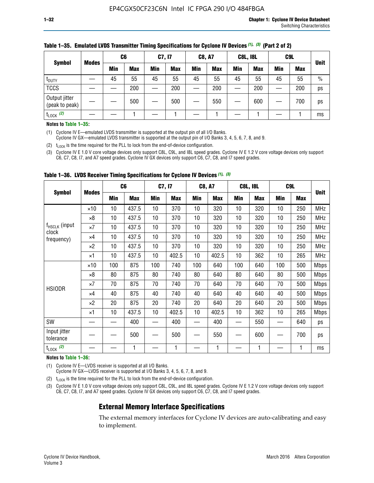| <b>Symbol</b>                   |              | C <sub>6</sub> |            | C7, I7     |            | <b>C8, A7</b> |            | <b>C8L, I8L</b> |            |     | C <sub>9</sub> L |               |
|---------------------------------|--------------|----------------|------------|------------|------------|---------------|------------|-----------------|------------|-----|------------------|---------------|
|                                 | <b>Modes</b> | Min            | <b>Max</b> | <b>Min</b> | <b>Max</b> | <b>Min</b>    | <b>Max</b> | Min             | <b>Max</b> | Min | <b>Max</b>       | <b>Unit</b>   |
| t <sub>DUTY</sub>               |              | 45             | 55         | 45         | 55         | 45            | 55         | 45              | 55         | 45  | 55               | $\frac{0}{0}$ |
| <b>TCCS</b>                     |              |                | 200        |            | 200        |               | 200        |                 | 200        | –   | 200              | ps            |
| Output jitter<br>(peak to peak) |              |                | 500        |            | 500        |               | 550        |                 | 600        | __  | 700              | ps            |
| $t_{\text{LOCK}}$ (2)           |              |                |            |            |            |               |            |                 |            |     |                  | ms            |

#### **Table 1–35. Emulated LVDS Transmitter Timing Specifications for Cyclone IV Devices** *(1)***,** *(3)* **(Part 2 of 2)**

#### **Notes to Table 1–35:**

(1) Cyclone IV E—emulated LVDS transmitter is supported at the output pin of all I/O Banks.

Cyclone IV GX—emulated LVDS transmitter is supported at the output pin of I/O Banks 3, 4, 5, 6, 7, 8, and 9.

(2)  $t_{\text{LOCK}}$  is the time required for the PLL to lock from the end-of-device configuration.

(3) Cyclone IV E 1.0 V core voltage devices only support C8L, C9L, and I8L speed grades. Cyclone IV E 1.2 V core voltage devices only support C6, C7, C8, I7, and A7 speed grades. Cyclone IV GX devices only support C6, C7, C8, and I7 speed grades.

|                                    |              |     | C6         | C7, I7 |            | <b>C8, A7</b> |            |     | <b>C8L, I8L</b> | C <sub>9</sub> L         |            |             |
|------------------------------------|--------------|-----|------------|--------|------------|---------------|------------|-----|-----------------|--------------------------|------------|-------------|
| <b>Symbol</b>                      | <b>Modes</b> | Min | <b>Max</b> | Min    | <b>Max</b> | Min           | <b>Max</b> | Min | <b>Max</b>      | Min                      | <b>Max</b> | <b>Unit</b> |
|                                    | $\times$ 10  | 10  | 437.5      | 10     | 370        | 10            | 320        | 10  | 320             | 10                       | 250        | <b>MHz</b>  |
|                                    | $\times 8$   | 10  | 437.5      | 10     | 370        | 10            | 320        | 10  | 320             | 10                       | 250        | <b>MHz</b>  |
| f <sub>HSCLK</sub> (input<br>clock | $\times 7$   | 10  | 437.5      | 10     | 370        | 10            | 320        | 10  | 320             | 10                       | 250        | <b>MHz</b>  |
| frequency)                         | $\times 4$   | 10  | 437.5      | 10     | 370        | 10            | 320        | 10  | 320             | 10                       | 250        | <b>MHz</b>  |
|                                    | $\times 2$   | 10  | 437.5      | 10     | 370        | 10            | 320        | 10  | 320             | 10                       | 250        | <b>MHz</b>  |
|                                    | ×1           | 10  | 437.5      | 10     | 402.5      | 10            | 402.5      | 10  | 362             | 10                       | 265        | <b>MHz</b>  |
|                                    | $\times$ 10  | 100 | 875        | 100    | 740        | 100           | 640        | 100 | 640             | 100                      | 500        | <b>Mbps</b> |
|                                    | $\times 8$   | 80  | 875        | 80     | 740        | 80            | 640        | 80  | 640             | 80                       | 500        | <b>Mbps</b> |
| <b>HSIODR</b>                      | ×7           | 70  | 875        | 70     | 740        | 70            | 640        | 70  | 640             | 70                       | 500        | <b>Mbps</b> |
|                                    | ×4           | 40  | 875        | 40     | 740        | 40            | 640        | 40  | 640             | 40                       | 500        | <b>Mbps</b> |
|                                    | $\times 2$   | 20  | 875        | 20     | 740        | 20            | 640        | 20  | 640             | 20                       | 500        | <b>Mbps</b> |
|                                    | ×1           | 10  | 437.5      | 10     | 402.5      | 10            | 402.5      | 10  | 362             | 10                       | 265        | <b>Mbps</b> |
| SW                                 |              |     | 400        |        | 400        |               | 400        |     | 550             | $\overline{\phantom{0}}$ | 640        | ps          |
| Input jitter<br>tolerance          |              |     | 500        |        | 500        |               | 550        |     | 600             |                          | 700        | ps          |
| $t_{\text{LOCK}}$ (2)              |              |     | 1          |        | 1          |               | 1          |     | $\mathbf{1}$    |                          | 1          | ms          |

**Table 1–36. LVDS Receiver Timing Specifications for Cyclone IV Devices** *(1)***,** *(3)*

#### **Notes to Table 1–36:**

(1) Cyclone IV E—LVDS receiver is supported at all I/O Banks.

Cyclone IV GX—LVDS receiver is supported at I/O Banks 3, 4, 5, 6, 7, 8, and 9.

(2)  $t_{\text{LOCK}}$  is the time required for the PLL to lock from the end-of-device configuration.

(3) Cyclone IV E 1.0 V core voltage devices only support C8L, C9L, and I8L speed grades. Cyclone IV E 1.2 V core voltage devices only support C6, C7, C8, I7, and A7 speed grades. Cyclone IV GX devices only support C6, C7, C8, and I7 speed grades.

## **External Memory Interface Specifications**

The external memory interfaces for Cyclone IV devices are auto-calibrating and easy to implement.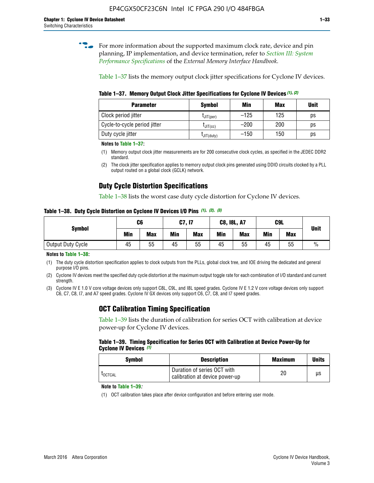**for more information about the supported maximum clock rate, device and pin** planning, IP implementation, and device termination, refer to *[Section III: System](http://www.altera.com/literature/hb/external-memory/emi_intro_specs.pdf)  [Performance Specifications](http://www.altera.com/literature/hb/external-memory/emi_intro_specs.pdf)* of the *External Memory Interface Handbook*.

Table 1–37 lists the memory output clock jitter specifications for Cyclone IV devices.

**Table 1–37. Memory Output Clock Jitter Specifications for Cyclone IV Devices** *(1)***,** *(2)*

| <b>Parameter</b>             | <b>Symbol</b>  | Min    | Max | <b>Unit</b> |
|------------------------------|----------------|--------|-----|-------------|
| Clock period jitter          | $L$ JIT(per)   | $-125$ | 125 | ps          |
| Cycle-to-cycle period jitter | $L$ JIT $(cc)$ | $-200$ | 200 | ps          |
| Duty cycle jitter            | LJIT(duty)     | $-150$ | 150 | ps          |

**Notes to Table 1–37:**

- (1) Memory output clock jitter measurements are for 200 consecutive clock cycles, as specified in the JEDEC DDR2 standard.
- (2) The clock jitter specification applies to memory output clock pins generated using DDIO circuits clocked by a PLL output routed on a global clock (GCLK) network.

## **Duty Cycle Distortion Specifications**

Table 1–38 lists the worst case duty cycle distortion for Cyclone IV devices.

**Table 1–38. Duty Cycle Distortion on Cyclone IV Devices I/O Pins** *(1)***,** *(2), (3)*

| <b>Symbol</b>     | C <sub>6</sub> |            | C7, I7     |            | <b>C8, I8L, A7</b> |            | C9L        |            | <b>Unit</b>   |
|-------------------|----------------|------------|------------|------------|--------------------|------------|------------|------------|---------------|
|                   | Min            | <b>Max</b> | <b>Min</b> | <b>Max</b> | Min                | <b>Max</b> | <b>Min</b> | <b>Max</b> |               |
| Output Duty Cycle | 45             | 55         | 45         | 55         | 45                 | 55         | 45         | 55         | $\frac{0}{0}$ |

**Notes to Table 1–38:**

(1) The duty cycle distortion specification applies to clock outputs from the PLLs, global clock tree, and IOE driving the dedicated and general purpose I/O pins.

(2) Cyclone IV devices meet the specified duty cycle distortion at the maximum output toggle rate for each combination of I/O standard and current strength.

(3) Cyclone IV E 1.0 V core voltage devices only support C8L, C9L, and I8L speed grades. Cyclone IV E 1.2 V core voltage devices only support C6, C7, C8, I7, and A7 speed grades. Cyclone IV GX devices only support C6, C7, C8, and I7 speed grades.

## **OCT Calibration Timing Specification**

Table 1–39 lists the duration of calibration for series OCT with calibration at device power-up for Cyclone IV devices.

#### **Table 1–39. Timing Specification for Series OCT with Calibration at Device Power-Up for Cyclone IV Devices** *(1)*

| Symbol  | <b>Description</b>                                            | <b>Maximum</b> | <b>Units</b> |
|---------|---------------------------------------------------------------|----------------|--------------|
| LOCTCAL | Duration of series OCT with<br>calibration at device power-up | 20             | μs           |

#### **Note to Table 1–39***:*

(1) OCT calibration takes place after device configuration and before entering user mode.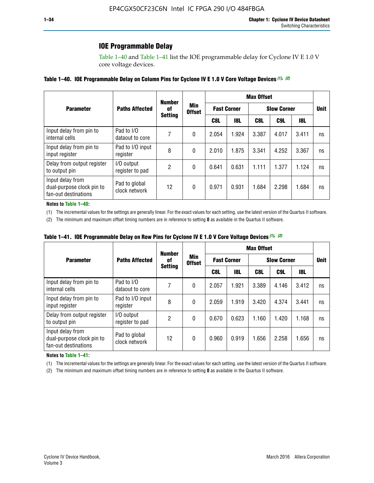## **IOE Programmable Delay**

Table 1–40 and Table 1–41 list the IOE programmable delay for Cyclone IV E 1.0 V core voltage devices.

### **Table 1–40. IOE Programmable Delay on Column Pins for Cyclone IV E 1.0 V Core Voltage Devices** *(1)***,** *(2)*

|                                                                       |                                | <b>Number</b><br>0f<br><b>Setting</b> | Min<br><b>Offset</b> | <b>Max Offset</b>  |            |                    |             |       |    |  |
|-----------------------------------------------------------------------|--------------------------------|---------------------------------------|----------------------|--------------------|------------|--------------------|-------------|-------|----|--|
| <b>Parameter</b>                                                      | <b>Paths Affected</b>          |                                       |                      | <b>Fast Corner</b> |            | <b>Slow Corner</b> | <b>Unit</b> |       |    |  |
|                                                                       |                                |                                       |                      | C8L                | <b>18L</b> | C8L                | C9L         | 18L   |    |  |
| Input delay from pin to<br>internal cells                             | Pad to I/O<br>dataout to core  |                                       | 0                    | 2.054              | 1.924      | 3.387              | 4.017       | 3.411 | ns |  |
| Input delay from pin to<br>input register                             | Pad to I/O input<br>register   | 8                                     | 0                    | 2.010              | 1.875      | 3.341              | 4.252       | 3.367 | ns |  |
| Delay from output register<br>to output pin                           | I/O output<br>register to pad  | 2                                     | 0                    | 0.641              | 0.631      | 1.111              | 1.377       | 1.124 | ns |  |
| Input delay from<br>dual-purpose clock pin to<br>fan-out destinations | Pad to global<br>clock network | 12                                    | 0                    | 0.971              | 0.931      | 1.684              | 2.298       | 1.684 | ns |  |

#### **Notes to Table 1–40:**

(1) The incremental values for the settings are generally linear. For the exact values for each setting, use the latest version of the Quartus II software.

(2) The minimum and maximum offset timing numbers are in reference to setting **0** as available in the Quartus II software.

| Table 1–41. IOE Programmable Delay on Row Pins for Cyclone IV E 1.0 V Core Voltage Devices (1), (2) |  |  |
|-----------------------------------------------------------------------------------------------------|--|--|
|-----------------------------------------------------------------------------------------------------|--|--|

|                                                                       |                                | <b>Number</b><br>0f<br><b>Setting</b> |                      | <b>Max Offset</b> |                    |                    |             |       |    |  |
|-----------------------------------------------------------------------|--------------------------------|---------------------------------------|----------------------|-------------------|--------------------|--------------------|-------------|-------|----|--|
| <b>Parameter</b>                                                      | <b>Paths Affected</b>          |                                       | Min<br><b>Offset</b> |                   | <b>Fast Corner</b> | <b>Slow Corner</b> | <b>Unit</b> |       |    |  |
|                                                                       |                                |                                       |                      | C8L               | <b>18L</b>         | C8L                | C9L         | 18L   |    |  |
| Input delay from pin to<br>internal cells                             | Pad to I/O<br>dataout to core  |                                       | 0                    | 2.057             | 1.921              | 3.389              | 4.146       | 3.412 | ns |  |
| Input delay from pin to<br>input register                             | Pad to I/O input<br>register   | 8                                     | 0                    | 2.059             | 1.919              | 3.420              | 4.374       | 3.441 | ns |  |
| Delay from output register<br>to output pin                           | I/O output<br>register to pad  | 2                                     | 0                    | 0.670             | 0.623              | 1.160              | 1.420       | 1.168 | ns |  |
| Input delay from<br>dual-purpose clock pin to<br>fan-out destinations | Pad to global<br>clock network | 12                                    | 0                    | 0.960             | 0.919              | 1.656              | 2.258       | 1.656 | ns |  |

#### **Notes to Table 1–41:**

(1) The incremental values for the settings are generally linear. For the exact values for each setting, use the latest version of the Quartus II software.

(2) The minimum and maximum offset timing numbers are in reference to setting **0** as available in the Quartus II software.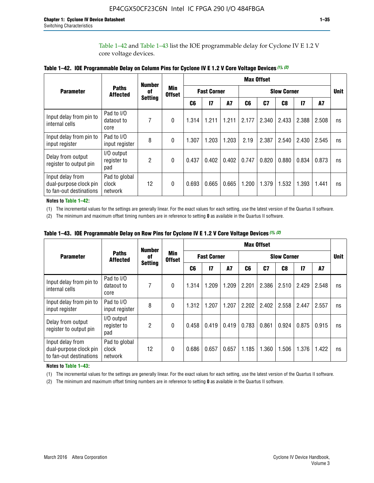Table 1–42 and Table 1–43 list the IOE programmable delay for Cyclone IV E 1.2 V core voltage devices.

|                                                                       |                                   | <b>Number</b>        | <b>Min</b><br><b>Offset</b> | <b>Max Offset</b> |                    |           |       |       |             |               |       |    |
|-----------------------------------------------------------------------|-----------------------------------|----------------------|-----------------------------|-------------------|--------------------|-----------|-------|-------|-------------|---------------|-------|----|
| <b>Parameter</b>                                                      | <b>Paths</b><br><b>Affected</b>   | of<br><b>Setting</b> |                             |                   | <b>Fast Corner</b> |           |       |       | <b>Unit</b> |               |       |    |
|                                                                       |                                   |                      |                             | C <sub>6</sub>    | $\mathbf{I}$       | <b>A7</b> | C6    | C7    | C8          | $\mathsf{I}7$ | A7    |    |
| Input delay from pin to<br>internal cells                             | Pad to I/O<br>dataout to<br>core  | 7                    | 0                           | 1.314             | 1.211              | 1.211     | 2.177 | 2.340 | 2.433       | 2.388         | 2.508 | ns |
| Input delay from pin to<br>input register                             | Pad to I/O<br>input register      | 8                    | $\Omega$                    | 1.307             | 1.203              | 1.203     | 2.19  | 2.387 | 2.540       | 2.430         | 2.545 | ns |
| Delay from output<br>register to output pin                           | I/O output<br>register to<br>pad  | 2                    | 0                           | 0.437             | 0.402              | 0.402     | 0.747 | 0.820 | 0.880       | 0.834         | 0.873 | ns |
| Input delay from<br>dual-purpose clock pin<br>to fan-out destinations | Pad to global<br>clock<br>network | 12                   | 0                           | 0.693             | 0.665              | 0.665     | 1.200 | 1.379 | 1.532       | 1.393         | 1.441 | ns |

**Table 1–42. IOE Programmable Delay on Column Pins for Cyclone IV E 1.2 V Core Voltage Devices** *(1)***,** *(2)*

**Notes to Table 1–42:**

(1) The incremental values for the settings are generally linear. For the exact values for each setting, use the latest version of the Quartus II software.

(2) The minimum and maximum offset timing numbers are in reference to setting **0** as available in the Quartus II software.

|                                                                       |                                   | <b>Number</b><br>0f<br><b>Setting</b> | <b>Min</b><br><b>Offset</b> | <b>Max Offset</b> |                    |           |                    |       |       |               |       |    |
|-----------------------------------------------------------------------|-----------------------------------|---------------------------------------|-----------------------------|-------------------|--------------------|-----------|--------------------|-------|-------|---------------|-------|----|
| <b>Parameter</b>                                                      | <b>Paths</b><br><b>Affected</b>   |                                       |                             |                   | <b>Fast Corner</b> |           | <b>Slow Corner</b> |       |       |               |       |    |
|                                                                       |                                   |                                       |                             | C6                | $\mathbf{I}$       | <b>A7</b> | C6                 | C7    | C8    | $\mathsf{I}7$ | A7    |    |
| Input delay from pin to<br>internal cells                             | Pad to I/O<br>dataout to<br>core  | 7                                     | $\Omega$                    | 1.314             | 1.209              | 1.209     | 2.201              | 2.386 | 2.510 | 2.429         | 2.548 | ns |
| Input delay from pin to<br>input register                             | Pad to I/O<br>input register      | 8                                     | $\Omega$                    | 1.312             | 1.207              | 1.207     | 2.202              | 2.402 | 2.558 | 2.447         | 2.557 | ns |
| Delay from output<br>register to output pin                           | I/O output<br>register to<br>pad  | 2                                     | $\Omega$                    | 0.458             | 0.419              | 0.419     | 0.783              | 0.861 | 0.924 | 0.875         | 0.915 | ns |
| Input delay from<br>dual-purpose clock pin<br>to fan-out destinations | Pad to global<br>clock<br>network | 12                                    | $\Omega$                    | 0.686             | 0.657              | 0.657     | 1.185              | 1.360 | 1.506 | 1.376         | 1.422 | ns |

**Table 1–43. IOE Programmable Delay on Row Pins for Cyclone IV E 1.2 V Core Voltage Devices** *(1)***,** *(2)*

#### **Notes to Table 1–43:**

(1) The incremental values for the settings are generally linear. For the exact values for each setting, use the latest version of the Quartus II software.

(2) The minimum and maximum offset timing numbers are in reference to setting **0** as available in the Quartus II software.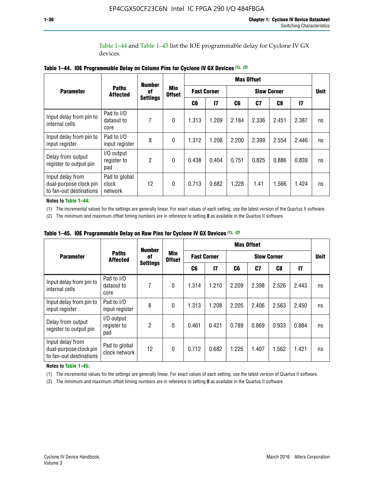Table 1–44 and Table 1–45 list the IOE programmable delay for Cyclone IV GX devices.

|                                                                       |                                   | <b>Number</b>         | <b>Min</b><br><b>Offset</b> | <b>Max Offset</b> |                    |       |             |       |       |    |  |
|-----------------------------------------------------------------------|-----------------------------------|-----------------------|-----------------------------|-------------------|--------------------|-------|-------------|-------|-------|----|--|
| <b>Parameter</b>                                                      | <b>Paths</b><br><b>Affected</b>   | 0f<br><b>Settings</b> |                             |                   | <b>Fast Corner</b> |       | <b>Unit</b> |       |       |    |  |
|                                                                       |                                   |                       |                             | C6                | $\mathsf{I}7$      | C6    | C7          | C8    | 17    |    |  |
| Input delay from pin to<br>internal cells                             | Pad to I/O<br>dataout to<br>core  | 7                     | $\mathbf{0}$                | 1.313             | 1.209              | 2.184 | 2.336       | 2.451 | 2.387 | ns |  |
| Input delay from pin to<br>input register                             | Pad to I/O<br>input register      | 8                     | $\mathbf{0}$                | 1.312             | 1.208              | 2.200 | 2.399       | 2.554 | 2.446 | ns |  |
| Delay from output<br>register to output pin                           | I/O output<br>register to<br>pad  | $\mathfrak{p}$        | $\mathbf{0}$                | 0.438             | 0.404              | 0.751 | 0.825       | 0.886 | 0.839 | ns |  |
| Input delay from<br>dual-purpose clock pin<br>to fan-out destinations | Pad to global<br>clock<br>network | 12                    | $\mathbf{0}$                | 0.713             | 0.682              | 1.228 | 1.41        | 1.566 | 1.424 | ns |  |

**Table 1–44. IOE Programmable Delay on Column Pins for Cyclone IV GX Devices** *(1)***,** *(2)*

**Notes to Table 1–44:**

(1) The incremental values for the settings are generally linear. For exact values of each setting, use the latest version of the Quartus II software.

(2) The minimum and maximum offset timing numbers are in reference to setting **0** as available in the Quartus II software.

|                                                                       |                                  | <b>Number</b>         | <b>Min</b><br><b>Offset</b> | <b>Max Offset</b>  |       |                    |       |       |               |             |  |
|-----------------------------------------------------------------------|----------------------------------|-----------------------|-----------------------------|--------------------|-------|--------------------|-------|-------|---------------|-------------|--|
| <b>Parameter</b>                                                      | <b>Paths</b><br><b>Affected</b>  | 0f<br><b>Settings</b> |                             | <b>Fast Corner</b> |       | <b>Slow Corner</b> |       |       |               | <b>Unit</b> |  |
|                                                                       |                                  |                       |                             | C6                 | 17    | C6                 | C7    | C8    | $\mathsf{I}7$ |             |  |
| Input delay from pin to<br>internal cells                             | Pad to I/O<br>dataout to<br>core | 7                     | $\mathbf{0}$                | 1.314              | 1.210 | 2.209              | 2.398 | 2.526 | 2.443         | ns          |  |
| Input delay from pin to<br>input register                             | Pad to I/O<br>input register     | 8                     | $\mathbf{0}$                | 1.313              | 1.208 | 2.205              | 2.406 | 2.563 | 2.450         | ns          |  |
| Delay from output<br>register to output pin                           | I/O output<br>register to<br>pad | $\overline{2}$        | $\mathbf{0}$                | 0.461              | 0.421 | 0.789              | 0.869 | 0.933 | 0.884         | ns          |  |
| Input delay from<br>dual-purpose clock pin<br>to fan-out destinations | Pad to global<br>clock network   | 12                    | $\mathbf{0}$                | 0.712              | 0.682 | 1.225              | 1.407 | 1.562 | 1.421         | ns          |  |

**Table 1–45. IOE Programmable Delay on Row Pins for Cyclone IV GX Devices** *(1)***,** *(2)*

#### **Notes to Table 1–45:**

(1) The incremental values for the settings are generally linear. For exact values of each setting, use the latest version of Quartus II software.

(2) The minimum and maximum offset timing numbers are in reference to setting **0** as available in the Quartus II software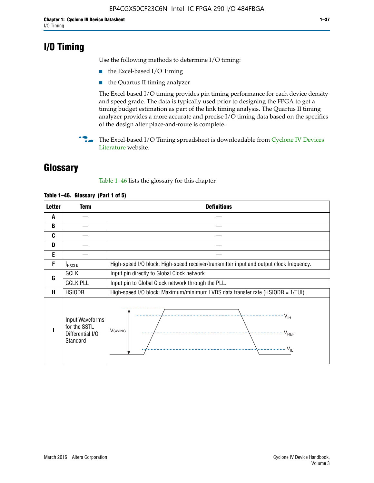## **I/O Timing**

Use the following methods to determine I/O timing:

- the Excel-based I/O Timing
- the Quartus II timing analyzer

The Excel-based I/O timing provides pin timing performance for each device density and speed grade. The data is typically used prior to designing the FPGA to get a timing budget estimation as part of the link timing analysis. The Quartus II timing analyzer provides a more accurate and precise I/O timing data based on the specifics of the design after place-and-route is complete.

**For The Excel-based I/O Timing spreadsheet is downloadable from Cyclone IV Devices** [Literature](http://www.altera.com/literature/lit-cyclone-iv.jsp) website.

## **Glossary**

Table 1–46 lists the glossary for this chapter.

| <b>Letter</b> | Term                                                            | <b>Definitions</b>                                                                                                                                                                                                                                                                                                                                                                                                                                                |  |  |  |  |  |  |  |  |
|---------------|-----------------------------------------------------------------|-------------------------------------------------------------------------------------------------------------------------------------------------------------------------------------------------------------------------------------------------------------------------------------------------------------------------------------------------------------------------------------------------------------------------------------------------------------------|--|--|--|--|--|--|--|--|
| A             |                                                                 |                                                                                                                                                                                                                                                                                                                                                                                                                                                                   |  |  |  |  |  |  |  |  |
| B             |                                                                 |                                                                                                                                                                                                                                                                                                                                                                                                                                                                   |  |  |  |  |  |  |  |  |
| C             |                                                                 |                                                                                                                                                                                                                                                                                                                                                                                                                                                                   |  |  |  |  |  |  |  |  |
| D             |                                                                 |                                                                                                                                                                                                                                                                                                                                                                                                                                                                   |  |  |  |  |  |  |  |  |
| E             |                                                                 |                                                                                                                                                                                                                                                                                                                                                                                                                                                                   |  |  |  |  |  |  |  |  |
| F             | $f_{HSCLK}$                                                     | High-speed I/O block: High-speed receiver/transmitter input and output clock frequency.                                                                                                                                                                                                                                                                                                                                                                           |  |  |  |  |  |  |  |  |
| G             | <b>GCLK</b>                                                     | Input pin directly to Global Clock network.                                                                                                                                                                                                                                                                                                                                                                                                                       |  |  |  |  |  |  |  |  |
|               | <b>GCLK PLL</b>                                                 | Input pin to Global Clock network through the PLL.                                                                                                                                                                                                                                                                                                                                                                                                                |  |  |  |  |  |  |  |  |
| н             | <b>HSIODR</b>                                                   | High-speed I/O block: Maximum/minimum LVDS data transfer rate (HSIODR = 1/TUI).                                                                                                                                                                                                                                                                                                                                                                                   |  |  |  |  |  |  |  |  |
|               | Input Waveforms<br>for the SSTL<br>Differential I/O<br>Standard | $\frac{1}{1 + \frac{1}{1 + \frac{1}{1 + \frac{1}{1 + \frac{1}{1 + \frac{1}{1 + \frac{1}{1 + \frac{1}{1 + \frac{1}{1 + \frac{1}{1 + \frac{1}{1 + \frac{1}{1 + \frac{1}{1 + \frac{1}{1 + \frac{1}{1 + \frac{1}{1 + \frac{1}{1 + \frac{1}{1 + \frac{1}{1 + \frac{1}{1 + \frac{1}{1 + \frac{1}{1 + \frac{1}{1 + \frac{1}{1 + \frac{1}{1 + \frac{1}{1 + \frac{1}{1 + \frac{1}{1 + \frac{1}{1 + \frac{1}{1 + \frac{1}{1 + \frac{$<br><b>V</b> swing<br>V <sub>REF</sub> |  |  |  |  |  |  |  |  |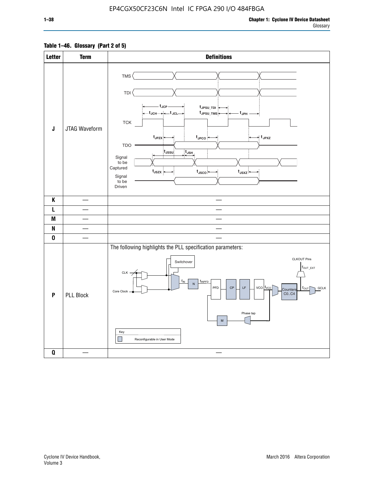## **Table 1–46. Glossary (Part 2 of 5)**

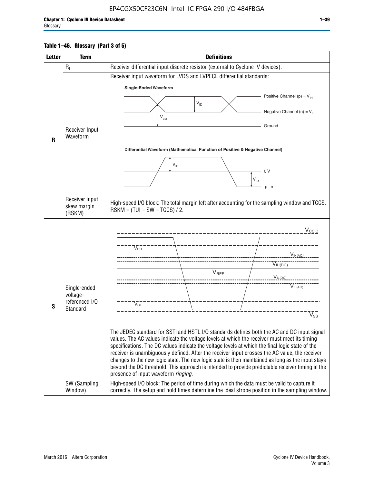## **Table 1–46. Glossary (Part 3 of 5)**

| <b>Letter</b> | <b>Term</b>                                                            | <b>Definitions</b>                                                                                                                                                                                                                                                                                                                                                                                                                                                                                                                                                                                                                                                                                                                                                                                                                                                                                                                          |  |  |  |  |  |  |  |
|---------------|------------------------------------------------------------------------|---------------------------------------------------------------------------------------------------------------------------------------------------------------------------------------------------------------------------------------------------------------------------------------------------------------------------------------------------------------------------------------------------------------------------------------------------------------------------------------------------------------------------------------------------------------------------------------------------------------------------------------------------------------------------------------------------------------------------------------------------------------------------------------------------------------------------------------------------------------------------------------------------------------------------------------------|--|--|--|--|--|--|--|
|               | $R_L$                                                                  | Receiver differential input discrete resistor (external to Cyclone IV devices).                                                                                                                                                                                                                                                                                                                                                                                                                                                                                                                                                                                                                                                                                                                                                                                                                                                             |  |  |  |  |  |  |  |
|               |                                                                        | Receiver input waveform for LVDS and LVPECL differential standards:                                                                                                                                                                                                                                                                                                                                                                                                                                                                                                                                                                                                                                                                                                                                                                                                                                                                         |  |  |  |  |  |  |  |
|               |                                                                        | <b>Single-Ended Waveform</b>                                                                                                                                                                                                                                                                                                                                                                                                                                                                                                                                                                                                                                                                                                                                                                                                                                                                                                                |  |  |  |  |  |  |  |
|               |                                                                        | Positive Channel (p) = $V_{\text{H}}$                                                                                                                                                                                                                                                                                                                                                                                                                                                                                                                                                                                                                                                                                                                                                                                                                                                                                                       |  |  |  |  |  |  |  |
|               |                                                                        | $\mathsf{V}_{\mathsf{ID}}$                                                                                                                                                                                                                                                                                                                                                                                                                                                                                                                                                                                                                                                                                                                                                                                                                                                                                                                  |  |  |  |  |  |  |  |
|               |                                                                        | Negative Channel (n) = $V_{\parallel}$<br>$\mathsf{V}_{\scriptscriptstyle \mathsf{CM}}$                                                                                                                                                                                                                                                                                                                                                                                                                                                                                                                                                                                                                                                                                                                                                                                                                                                     |  |  |  |  |  |  |  |
|               |                                                                        | Ground                                                                                                                                                                                                                                                                                                                                                                                                                                                                                                                                                                                                                                                                                                                                                                                                                                                                                                                                      |  |  |  |  |  |  |  |
|               | Receiver Input<br>Waveform                                             |                                                                                                                                                                                                                                                                                                                                                                                                                                                                                                                                                                                                                                                                                                                                                                                                                                                                                                                                             |  |  |  |  |  |  |  |
| $\mathbf{R}$  |                                                                        |                                                                                                                                                                                                                                                                                                                                                                                                                                                                                                                                                                                                                                                                                                                                                                                                                                                                                                                                             |  |  |  |  |  |  |  |
|               |                                                                        | Differential Waveform (Mathematical Function of Positive & Negative Channel)                                                                                                                                                                                                                                                                                                                                                                                                                                                                                                                                                                                                                                                                                                                                                                                                                                                                |  |  |  |  |  |  |  |
|               |                                                                        | $V_{ID}$                                                                                                                                                                                                                                                                                                                                                                                                                                                                                                                                                                                                                                                                                                                                                                                                                                                                                                                                    |  |  |  |  |  |  |  |
|               |                                                                        | - 0 V                                                                                                                                                                                                                                                                                                                                                                                                                                                                                                                                                                                                                                                                                                                                                                                                                                                                                                                                       |  |  |  |  |  |  |  |
|               |                                                                        | $V_{ID}$                                                                                                                                                                                                                                                                                                                                                                                                                                                                                                                                                                                                                                                                                                                                                                                                                                                                                                                                    |  |  |  |  |  |  |  |
|               |                                                                        | $p - n$                                                                                                                                                                                                                                                                                                                                                                                                                                                                                                                                                                                                                                                                                                                                                                                                                                                                                                                                     |  |  |  |  |  |  |  |
|               | Receiver input<br>skew margin                                          | High-speed I/O block: The total margin left after accounting for the sampling window and TCCS.<br>$RSKM = (TUI - SW - TCCS) / 2.$                                                                                                                                                                                                                                                                                                                                                                                                                                                                                                                                                                                                                                                                                                                                                                                                           |  |  |  |  |  |  |  |
|               | (RSKM)                                                                 |                                                                                                                                                                                                                                                                                                                                                                                                                                                                                                                                                                                                                                                                                                                                                                                                                                                                                                                                             |  |  |  |  |  |  |  |
| S             | Single-ended<br>voltage-<br>referenced I/O<br>Standard<br>SW (Sampling | V <sub>CCIO</sub><br>$\nabla_{\!\circ\mathsf{H}}^-$<br>V <sub>IH</sub> (AC)<br>$V_{IH(DC)}$<br>$V_{REF}$<br>$V_{I L (DC)}$<br>VIL(AC)<br>$V_{OL}$<br>$\overline{\mathsf{V}}_\mathsf{SS}^-$<br>The JEDEC standard for SSTI and HSTL I/O standards defines both the AC and DC input signal<br>values. The AC values indicate the voltage levels at which the receiver must meet its timing<br>specifications. The DC values indicate the voltage levels at which the final logic state of the<br>receiver is unambiguously defined. After the receiver input crosses the AC value, the receiver<br>changes to the new logic state. The new logic state is then maintained as long as the input stays<br>beyond the DC threshold. This approach is intended to provide predictable receiver timing in the<br>presence of input waveform ringing.<br>High-speed I/O block: The period of time during which the data must be valid to capture it |  |  |  |  |  |  |  |
|               | Window)                                                                | correctly. The setup and hold times determine the ideal strobe position in the sampling window.                                                                                                                                                                                                                                                                                                                                                                                                                                                                                                                                                                                                                                                                                                                                                                                                                                             |  |  |  |  |  |  |  |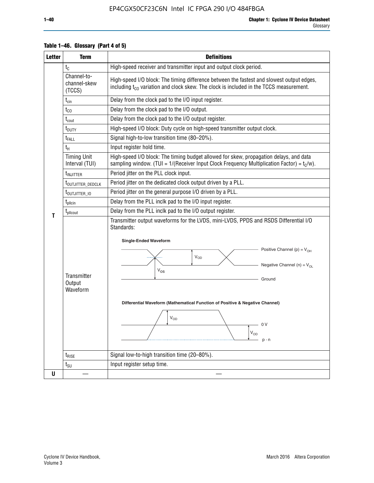| <b>Letter</b> | <b>Term</b>                           | <b>Definitions</b>                                                                                                                                                                                                                                                                                                                                                                                      |  |  |  |
|---------------|---------------------------------------|---------------------------------------------------------------------------------------------------------------------------------------------------------------------------------------------------------------------------------------------------------------------------------------------------------------------------------------------------------------------------------------------------------|--|--|--|
|               | $t_{C}$                               | High-speed receiver and transmitter input and output clock period.                                                                                                                                                                                                                                                                                                                                      |  |  |  |
|               | Channel-to-<br>channel-skew<br>(TCCS) | High-speed I/O block: The timing difference between the fastest and slowest output edges,<br>including t <sub>co</sub> variation and clock skew. The clock is included in the TCCS measurement.                                                                                                                                                                                                         |  |  |  |
|               | $t_{\text{cin}}$                      | Delay from the clock pad to the I/O input register.                                                                                                                                                                                                                                                                                                                                                     |  |  |  |
|               | $t_{CO}$                              | Delay from the clock pad to the I/O output.                                                                                                                                                                                                                                                                                                                                                             |  |  |  |
|               | $t_{\text{cout}}$                     | Delay from the clock pad to the I/O output register.                                                                                                                                                                                                                                                                                                                                                    |  |  |  |
|               | t <sub>DUTY</sub>                     | High-speed I/O block: Duty cycle on high-speed transmitter output clock.                                                                                                                                                                                                                                                                                                                                |  |  |  |
|               | t <sub>FALL</sub>                     | Signal high-to-low transition time (80-20%).                                                                                                                                                                                                                                                                                                                                                            |  |  |  |
|               | $t_H$                                 | Input register hold time.                                                                                                                                                                                                                                                                                                                                                                               |  |  |  |
|               | <b>Timing Unit</b><br>Interval (TUI)  | High-speed I/O block: The timing budget allowed for skew, propagation delays, and data<br>sampling window. (TUI = $1/($ Receiver Input Clock Frequency Multiplication Factor) = $tC/w$ ).                                                                                                                                                                                                               |  |  |  |
|               | $t_{\text{INJITTER}}$                 | Period jitter on the PLL clock input.                                                                                                                                                                                                                                                                                                                                                                   |  |  |  |
|               | t <sub>outjitter_dedclk</sub>         | Period jitter on the dedicated clock output driven by a PLL.                                                                                                                                                                                                                                                                                                                                            |  |  |  |
|               | t <sub>outjitter_io</sub>             | Period jitter on the general purpose I/O driven by a PLL.                                                                                                                                                                                                                                                                                                                                               |  |  |  |
|               | $t_{\rm plicin}$                      | Delay from the PLL inclk pad to the I/O input register.                                                                                                                                                                                                                                                                                                                                                 |  |  |  |
| т             | t <sub>plicout</sub>                  | Delay from the PLL inclk pad to the I/O output register.                                                                                                                                                                                                                                                                                                                                                |  |  |  |
|               | Transmitter<br>Output<br>Waveform     | Transmitter output waveforms for the LVDS, mini-LVDS, PPDS and RSDS Differential I/O<br>Standards:<br><b>Single-Ended Waveform</b><br>Positive Channel (p) = $V_{OH}$<br><b>V<sub>OD</sub></b><br>Negative Channel (n) = $V_{OL}$<br>$V_{OS}$<br>Ground<br>Differential Waveform (Mathematical Function of Positive & Negative Channel)<br>$\rm V_{OD}$<br>0 V<br>$\mathsf{V}_{\mathsf{OD}}$<br>$p - n$ |  |  |  |
|               | $t_{RISE}$                            | Signal low-to-high transition time (20-80%).                                                                                                                                                                                                                                                                                                                                                            |  |  |  |
|               | $t_{\text{SU}}$                       | Input register setup time.                                                                                                                                                                                                                                                                                                                                                                              |  |  |  |
| U             |                                       |                                                                                                                                                                                                                                                                                                                                                                                                         |  |  |  |

## **Table 1–46. Glossary (Part 4 of 5)**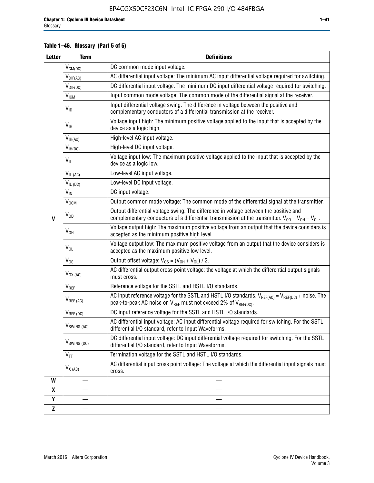## **Table 1–46. Glossary (Part 5 of 5)**

| <b>Letter</b>    | <b>Definitions</b><br><b>Term</b> |                                                                                                                                                                                                   |
|------------------|-----------------------------------|---------------------------------------------------------------------------------------------------------------------------------------------------------------------------------------------------|
|                  | $V_{CM(DC)}$                      | DC common mode input voltage.                                                                                                                                                                     |
|                  | $V_{DIF(AC)}$                     | AC differential input voltage: The minimum AC input differential voltage required for switching.                                                                                                  |
|                  | $V_{DIF(DC)}$                     | DC differential input voltage: The minimum DC input differential voltage required for switching.                                                                                                  |
|                  | V <sub>ICM</sub>                  | Input common mode voltage: The common mode of the differential signal at the receiver.                                                                                                            |
|                  | $V_{ID}$                          | Input differential voltage swing: The difference in voltage between the positive and<br>complementary conductors of a differential transmission at the receiver.                                  |
|                  | $V_{\text{IH}}$                   | Voltage input high: The minimum positive voltage applied to the input that is accepted by the<br>device as a logic high.                                                                          |
|                  | $V_{IH(AC)}$                      | High-level AC input voltage.                                                                                                                                                                      |
|                  | $V_{IH(DC)}$                      | High-level DC input voltage.                                                                                                                                                                      |
|                  | $V_{IL}$                          | Voltage input low: The maximum positive voltage applied to the input that is accepted by the<br>device as a logic low.                                                                            |
|                  | $V_{IL(AC)}$                      | Low-level AC input voltage.                                                                                                                                                                       |
|                  | $V_{IL(DC)}$                      | Low-level DC input voltage.                                                                                                                                                                       |
|                  | $V_{\text{IN}}$                   | DC input voltage.                                                                                                                                                                                 |
|                  | <b>V<sub>OCM</sub></b>            | Output common mode voltage: The common mode of the differential signal at the transmitter.                                                                                                        |
| $\mathbf{V}$     | $V_{OD}$                          | Output differential voltage swing: The difference in voltage between the positive and<br>complementary conductors of a differential transmission at the transmitter. $V_{OD} = V_{OH} - V_{OL}$ . |
|                  | $V_{OH}$                          | Voltage output high: The maximum positive voltage from an output that the device considers is<br>accepted as the minimum positive high level.                                                     |
|                  | $V_{OL}$                          | Voltage output low: The maximum positive voltage from an output that the device considers is<br>accepted as the maximum positive low level.                                                       |
|                  | $V_{OS}$                          | Output offset voltage: $V_{OS} = (V_{OH} + V_{OL}) / 2$ .                                                                                                                                         |
|                  | $V_{OX (AC)}$                     | AC differential output cross point voltage: the voltage at which the differential output signals<br>must cross.                                                                                   |
|                  | V <sub>REF</sub>                  | Reference voltage for the SSTL and HSTL I/O standards.                                                                                                                                            |
|                  | $V_{REF\,(AC)}$                   | AC input reference voltage for the SSTL and HSTL I/O standards. $V_{REF(AC)} = V_{REF(DC)} + noise$ . The<br>peak-to-peak AC noise on $V_{REF}$ must not exceed 2% of $V_{REF(DC)}$ .             |
|                  | $V_{REF(DC)}$                     | DC input reference voltage for the SSTL and HSTL I/O standards.                                                                                                                                   |
|                  | $V_{\text{SWING (AC)}}$           | AC differential input voltage: AC input differential voltage required for switching. For the SSTL<br>differential I/O standard, refer to Input Waveforms.                                         |
|                  | $V_{SWING(DC)}$                   | DC differential input voltage: DC input differential voltage required for switching. For the SSTL<br>differential I/O standard, refer to Input Waveforms.                                         |
|                  | $V_{TT}$                          | Termination voltage for the SSTL and HSTL I/O standards.                                                                                                                                          |
|                  | $V_{X(AC)}$                       | AC differential input cross point voltage: The voltage at which the differential input signals must<br>cross.                                                                                     |
| W                |                                   |                                                                                                                                                                                                   |
| $\boldsymbol{x}$ |                                   |                                                                                                                                                                                                   |
| Y                |                                   |                                                                                                                                                                                                   |
| $\mathbf{Z}$     |                                   |                                                                                                                                                                                                   |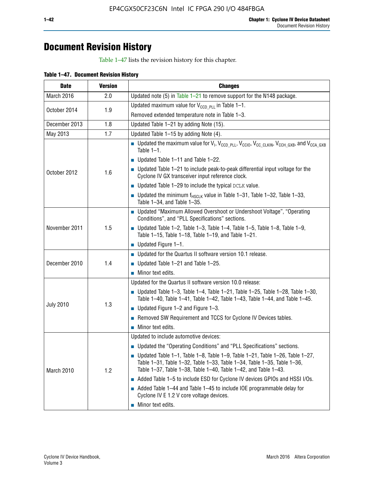## **Document Revision History**

Table 1–47 lists the revision history for this chapter.

| <b>Date</b>      | <b>Version</b> | <b>Changes</b>                                                                                                                                                                                                                            |
|------------------|----------------|-------------------------------------------------------------------------------------------------------------------------------------------------------------------------------------------------------------------------------------------|
| March 2016       | 2.0            | Updated note (5) in Table $1-21$ to remove support for the N148 package.                                                                                                                                                                  |
|                  | 1.9            | Updated maximum value for $V_{CCD, PL}$ in Table 1-1.                                                                                                                                                                                     |
| October 2014     |                | Removed extended temperature note in Table 1-3.                                                                                                                                                                                           |
| December 2013    | 1.8            | Updated Table 1-21 by adding Note (15).                                                                                                                                                                                                   |
| May 2013         | 1.7            | Updated Table 1-15 by adding Note (4).                                                                                                                                                                                                    |
|                  |                | Dpdated the maximum value for $V_1$ , $V_{CCD\_PLL}$ , $V_{CC10}$ , $V_{CC\_CLKIN}$ , $V_{CCH\_GXB}$ , and $V_{CCA\_GXB}$<br>Table $1-1$ .                                                                                                |
|                  |                | $\blacksquare$ Updated Table 1-11 and Table 1-22.                                                                                                                                                                                         |
| October 2012     | 1.6            | $\blacksquare$ Updated Table 1-21 to include peak-to-peak differential input voltage for the<br>Cyclone IV GX transceiver input reference clock.                                                                                          |
|                  |                | $\blacksquare$ Updated Table 1-29 to include the typical DCLK value.                                                                                                                                                                      |
|                  |                | <b>Updated the minimum f<sub>HSCLK</sub></b> value in Table 1-31, Table 1-32, Table 1-33,<br>Table 1-34, and Table 1-35.                                                                                                                  |
|                  |                | • Updated "Maximum Allowed Overshoot or Undershoot Voltage", "Operating<br>Conditions", and "PLL Specifications" sections.                                                                                                                |
| November 2011    | 1.5            | Updated Table 1-2, Table 1-3, Table 1-4, Table 1-5, Table 1-8, Table 1-9,<br>Table 1-15, Table 1-18, Table 1-19, and Table 1-21.                                                                                                          |
|                  |                | ■ Updated Figure $1-1$ .                                                                                                                                                                                                                  |
|                  | 1.4            | • Updated for the Quartus II software version 10.1 release.                                                                                                                                                                               |
| December 2010    |                | $\blacksquare$ Updated Table 1-21 and Table 1-25.                                                                                                                                                                                         |
|                  |                | $\blacksquare$ Minor text edits.                                                                                                                                                                                                          |
|                  |                | Updated for the Quartus II software version 10.0 release:                                                                                                                                                                                 |
|                  |                | Updated Table 1-3, Table 1-4, Table 1-21, Table 1-25, Table 1-28, Table 1-30,<br>Table 1-40, Table 1-41, Table 1-42, Table 1-43, Table 1-44, and Table 1-45.                                                                              |
| <b>July 2010</b> | 1.3            | ■ Updated Figure $1-2$ and Figure $1-3$ .                                                                                                                                                                                                 |
|                  |                | Removed SW Requirement and TCCS for Cyclone IV Devices tables.                                                                                                                                                                            |
|                  |                | $\blacksquare$ Minor text edits.                                                                                                                                                                                                          |
|                  |                | Updated to include automotive devices:                                                                                                                                                                                                    |
|                  | 1.2            | • Updated the "Operating Conditions" and "PLL Specifications" sections.                                                                                                                                                                   |
| March 2010       |                | $\blacksquare$ Updated Table 1-1, Table 1-8, Table 1-9, Table 1-21, Table 1-26, Table 1-27,<br>Table 1-31, Table 1-32, Table 1-33, Table 1-34, Table 1-35, Table 1-36,<br>Table 1-37, Table 1-38, Table 1-40, Table 1-42, and Table 1-43. |
|                  |                | Added Table 1-5 to include ESD for Cyclone IV devices GPIOs and HSSI I/Os.                                                                                                                                                                |
|                  |                | Added Table 1-44 and Table 1-45 to include IOE programmable delay for<br>Cyclone IV E 1.2 V core voltage devices.                                                                                                                         |
|                  |                | Minor text edits.                                                                                                                                                                                                                         |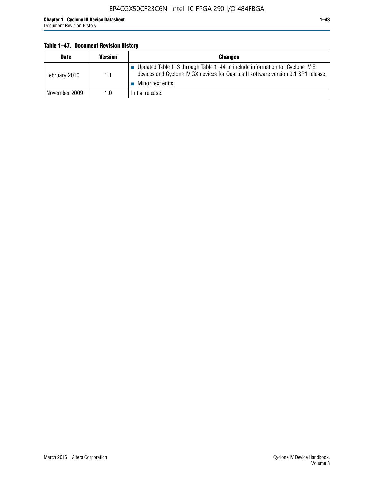## **Table 1–47. Document Revision History**

| <b>Date</b>   | <b>Version</b> | <b>Changes</b>                                                                                                                                                                          |
|---------------|----------------|-----------------------------------------------------------------------------------------------------------------------------------------------------------------------------------------|
| February 2010 | 1.1            | Updated Table 1–3 through Table 1–44 to include information for Cyclone IV E<br>devices and Cyclone IV GX devices for Quartus II software version 9.1 SP1 release.<br>Minor text edits. |
| November 2009 | 1.0            | Initial release.                                                                                                                                                                        |